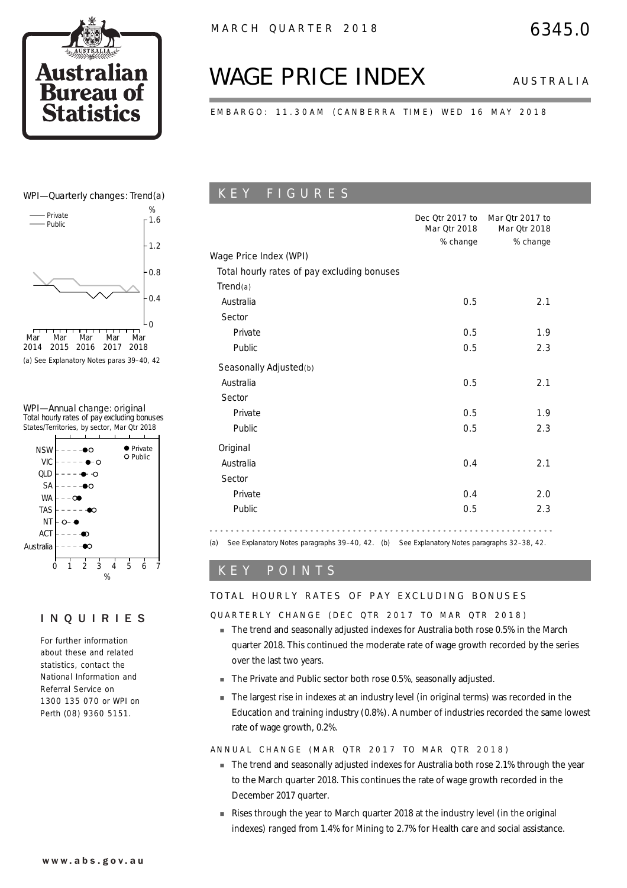

# *WAGE PRICE INDEX AUSTRALIA*

EMBARGO: 11.30AM (CANBERRA TIME) WED 16 MAY 2018

### WPI—Quarterly changes: Trend(a)



(a) See Explanatory Notes paras 39–40, 42

### WPI—Annual change: original

Total hourly rates of pay excluding bonuses States/Territories, by sector, Mar Qtr 2018



### INQUIRIES

For further information about these and related statistics, contact the National Information and Referral Service on 1300 135 070 or WPI on Perth (08) 9360 5151.

# K E Y F I G U R E S

|                                             | Dec Otr 2017 to<br>Mar Otr 2018 | Mar Qtr 2017 to<br>Mar Qtr 2018 |
|---------------------------------------------|---------------------------------|---------------------------------|
|                                             | % change                        | % change                        |
| Wage Price Index (WPI)                      |                                 |                                 |
| Total hourly rates of pay excluding bonuses |                                 |                                 |
| Trend(a)                                    |                                 |                                 |
| Australia                                   | 0.5                             | 2.1                             |
| Sector                                      |                                 |                                 |
| Private                                     | 0.5                             | 1.9                             |
| Public                                      | 0.5                             | 2.3                             |
| Seasonally Adjusted(b)                      |                                 |                                 |
| Australia                                   | 0.5                             | 2.1                             |
| Sector                                      |                                 |                                 |
| Private                                     | 0.5                             | 1.9                             |
| Public                                      | 0.5                             | 2.3                             |
| Original                                    |                                 |                                 |
| Australia                                   | 0.4                             | 2.1                             |
| Sector                                      |                                 |                                 |
| Private                                     | 0.4                             | 2.0                             |
| Public                                      | 0.5                             | 2.3                             |

(a) See Explanatory Notes paragraphs 39–40, 42. (b) See Explanatory Notes paragraphs 32–38, 42.

### K E Y P O I N T S

### TOTAL HOURLY RATES OF PAY EXCLUDING BONUSES

### QUARTERLY CHANGE (DEC QTR 2017 TO MAR QTR 2018)

- ! The trend and seasonally adjusted indexes for Australia both rose 0.5% in the March quarter 2018. This continued the moderate rate of wage growth recorded by the series over the last two years.
- The Private and Public sector both rose 0.5%, seasonally adjusted.
- ! The largest rise in indexes at an industry level (in original terms) was recorded in the Education and training industry (0.8%). A number of industries recorded the same lowest rate of wage growth, 0.2%.

ANNUAL CHANGE (MAR QTR 2017 TO MAR QTR 2018)

- The trend and seasonally adjusted indexes for Australia both rose 2.1% through the year to the March quarter 2018. This continues the rate of wage growth recorded in the December 2017 quarter.
- **EXEL EXECT** Rises through the year to March quarter 2018 at the industry level (in the original indexes) ranged from 1.4% for Mining to 2.7% for Health care and social assistance.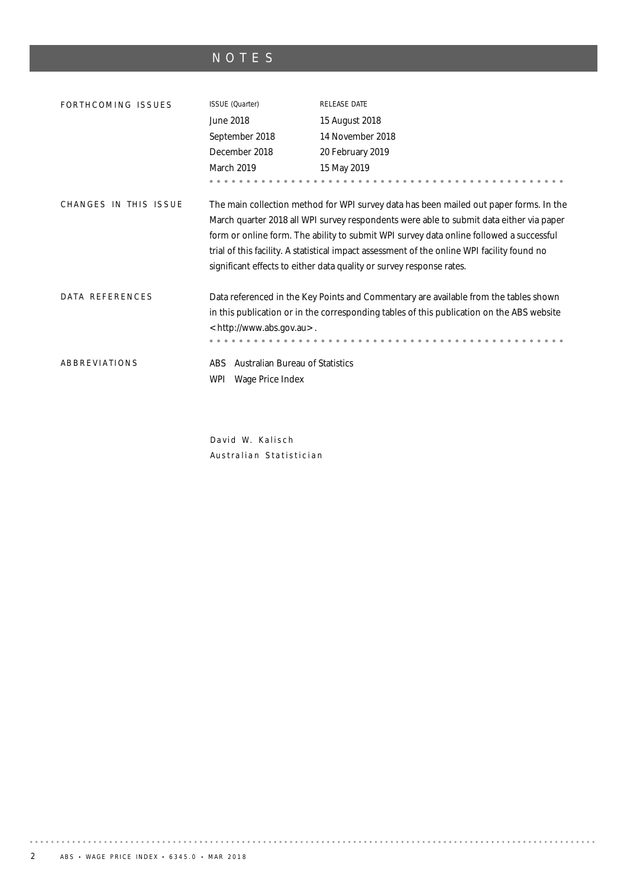# NOTES

| FORTHCOMING ISSUES    | ISSUE (Quarter)                                                          | <b>RELEASE DATE</b>                                                                                                                                                                                                                                                                                                                                                                                                                                 |
|-----------------------|--------------------------------------------------------------------------|-----------------------------------------------------------------------------------------------------------------------------------------------------------------------------------------------------------------------------------------------------------------------------------------------------------------------------------------------------------------------------------------------------------------------------------------------------|
|                       | June 2018                                                                | 15 August 2018                                                                                                                                                                                                                                                                                                                                                                                                                                      |
|                       | September 2018                                                           | 14 November 2018                                                                                                                                                                                                                                                                                                                                                                                                                                    |
|                       | December 2018                                                            | 20 February 2019                                                                                                                                                                                                                                                                                                                                                                                                                                    |
|                       | March 2019                                                               | 15 May 2019                                                                                                                                                                                                                                                                                                                                                                                                                                         |
|                       |                                                                          |                                                                                                                                                                                                                                                                                                                                                                                                                                                     |
| CHANGES IN THIS ISSUE |                                                                          | The main collection method for WPI survey data has been mailed out paper forms. In the<br>March quarter 2018 all WPI survey respondents were able to submit data either via paper<br>form or online form. The ability to submit WPI survey data online followed a successful<br>trial of this facility. A statistical impact assessment of the online WPI facility found no<br>significant effects to either data quality or survey response rates. |
| DATA REFERENCES       | <http: www.abs.gov.au="">.</http:>                                       | Data referenced in the Key Points and Commentary are available from the tables shown<br>in this publication or in the corresponding tables of this publication on the ABS website                                                                                                                                                                                                                                                                   |
| ABBREVIATIONS         | <b>Australian Bureau of Statistics</b><br>ABS<br>Wage Price Index<br>WPI |                                                                                                                                                                                                                                                                                                                                                                                                                                                     |

David W. Kalisch Australian Statistician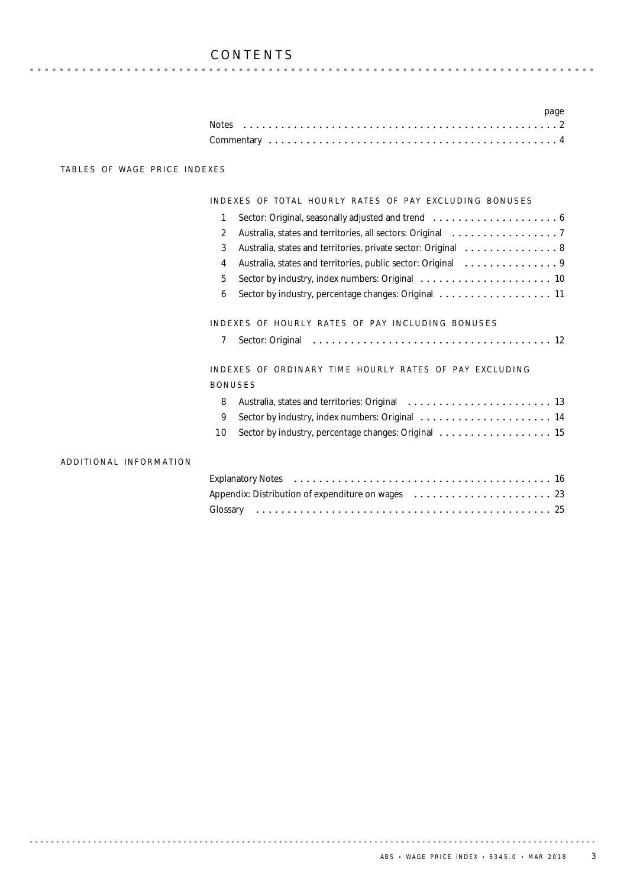## CONTENTS

|  |  |  |  |  |  |  |  |  |  |  |  |  |  |  |  |  | page |  |
|--|--|--|--|--|--|--|--|--|--|--|--|--|--|--|--|--|------|--|
|  |  |  |  |  |  |  |  |  |  |  |  |  |  |  |  |  |      |  |
|  |  |  |  |  |  |  |  |  |  |  |  |  |  |  |  |  |      |  |

### TABLES OF WAGE PRICE INDEXES

### INDEXES OF TOTAL HOURLY RATES OF PAY EXCLUDING BONUSES

| 1                                                                   |                        |
|---------------------------------------------------------------------|------------------------|
| $\overline{2}$                                                      |                        |
| 3<br>Australia, states and territories, private sector: Original  8 |                        |
| 4                                                                   |                        |
| 5                                                                   |                        |
| 6                                                                   |                        |
| INDEXES OF HOURLY RATES OF PAY INCLUDING BONUSES                    |                        |
| 7                                                                   |                        |
| INDEXES OF ORDINARY TIME HOURLY RATES OF PAY EXCLUDING              |                        |
| <b>BONUSES</b>                                                      |                        |
| 8                                                                   |                        |
| 9                                                                   |                        |
| 10                                                                  |                        |
|                                                                     | ADDITIONAL INFORMATION |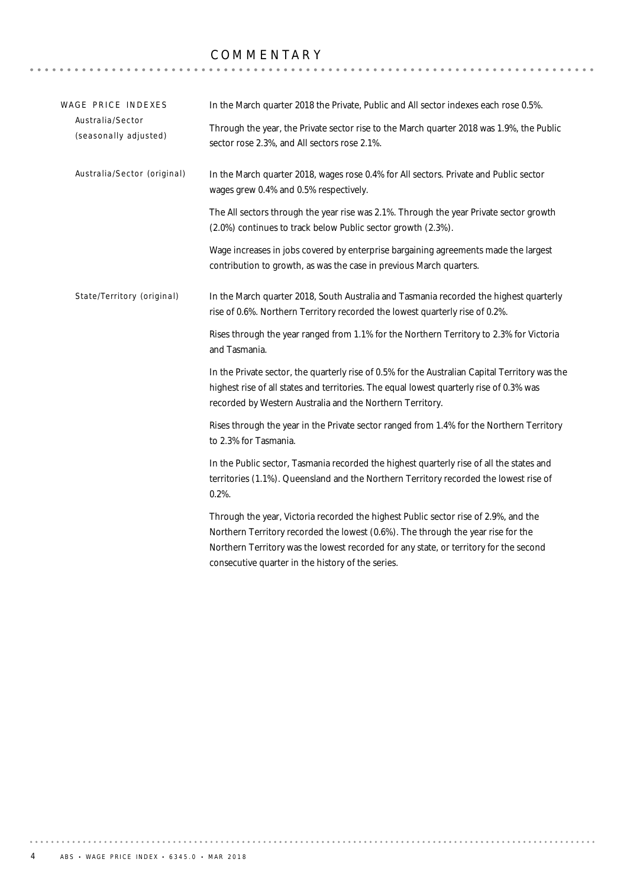# COMMENTARY **COMMENTARY**

| WAGE PRICE INDEXES                        | In the March quarter 2018 the Private, Public and All sector indexes each rose 0.5%.                                                                                                                                                                                                                                  |
|-------------------------------------------|-----------------------------------------------------------------------------------------------------------------------------------------------------------------------------------------------------------------------------------------------------------------------------------------------------------------------|
| Australia/Sector<br>(seasonally adjusted) | Through the year, the Private sector rise to the March quarter 2018 was 1.9%, the Public<br>sector rose 2.3%, and All sectors rose 2.1%.                                                                                                                                                                              |
| Australia/Sector (original)               | In the March quarter 2018, wages rose 0.4% for All sectors. Private and Public sector<br>wages grew 0.4% and 0.5% respectively.                                                                                                                                                                                       |
|                                           | The All sectors through the year rise was 2.1%. Through the year Private sector growth<br>(2.0%) continues to track below Public sector growth (2.3%).                                                                                                                                                                |
|                                           | Wage increases in jobs covered by enterprise bargaining agreements made the largest<br>contribution to growth, as was the case in previous March quarters.                                                                                                                                                            |
| State/Territory (original)                | In the March quarter 2018, South Australia and Tasmania recorded the highest quarterly<br>rise of 0.6%. Northern Territory recorded the lowest quarterly rise of 0.2%.                                                                                                                                                |
|                                           | Rises through the year ranged from 1.1% for the Northern Territory to 2.3% for Victoria<br>and Tasmania.                                                                                                                                                                                                              |
|                                           | In the Private sector, the quarterly rise of 0.5% for the Australian Capital Territory was the<br>highest rise of all states and territories. The equal lowest quarterly rise of 0.3% was<br>recorded by Western Australia and the Northern Territory.                                                                |
|                                           | Rises through the year in the Private sector ranged from 1.4% for the Northern Territory<br>to 2.3% for Tasmania.                                                                                                                                                                                                     |
|                                           | In the Public sector, Tasmania recorded the highest quarterly rise of all the states and<br>territories (1.1%). Queensland and the Northern Territory recorded the lowest rise of<br>$0.2%$ .                                                                                                                         |
|                                           | Through the year, Victoria recorded the highest Public sector rise of 2.9%, and the<br>Northern Territory recorded the lowest (0.6%). The through the year rise for the<br>Northern Territory was the lowest recorded for any state, or territory for the second<br>consecutive quarter in the history of the series. |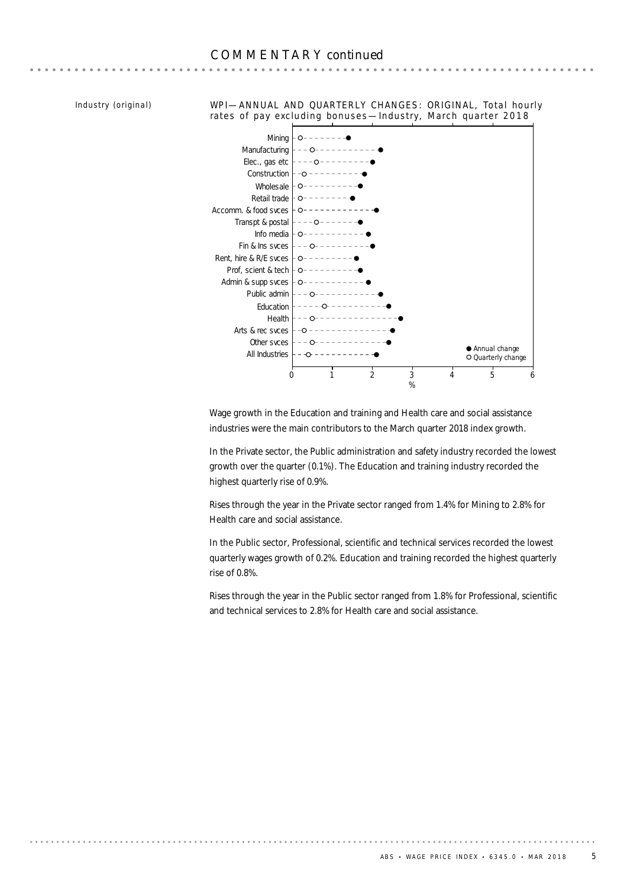**AAAAAAAAAA** 

*Industry (original)*

WPI—ANNUAL AND QUARTERLY CHANGES: ORIGINAL, Total hourly rates of pay excluding bonuses —Industry, March quarter 2018



Wage growth in the Education and training and Health care and social assistance industries were the main contributors to the March quarter 2018 index growth.

In the Private sector, the Public administration and safety industry recorded the lowest growth over the quarter (0.1%). The Education and training industry recorded the highest quarterly rise of 0.9%.

Rises through the year in the Private sector ranged from 1.4% for Mining to 2.8% for Health care and social assistance.

In the Public sector, Professional, scientific and technical services recorded the lowest quarterly wages growth of 0.2%. Education and training recorded the highest quarterly rise of 0.8%.

Rises through the year in the Public sector ranged from 1.8% for Professional, scientific and technical services to 2.8% for Health care and social assistance.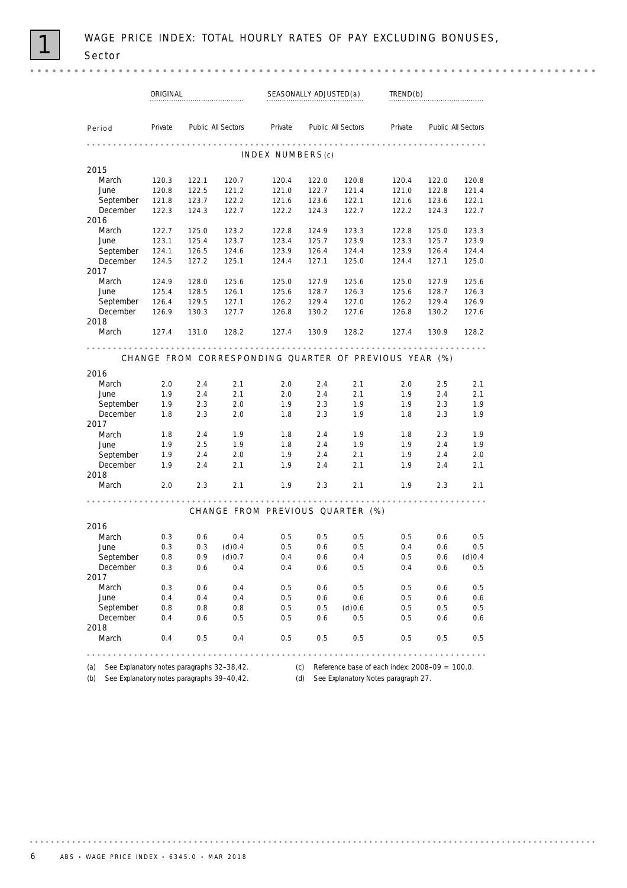$0.000$ 

|                                                   | ORIGINAL |       |                    |                                                        | SEASONALLY ADJUSTED(a) |                    | TREND(b)                                              |       |                    |  |
|---------------------------------------------------|----------|-------|--------------------|--------------------------------------------------------|------------------------|--------------------|-------------------------------------------------------|-------|--------------------|--|
| Period                                            | Private  |       | Public All Sectors | Private                                                |                        | Public All Sectors | Private                                               |       | Public All Sectors |  |
|                                                   |          |       |                    |                                                        |                        |                    |                                                       |       |                    |  |
|                                                   |          |       |                    | INDEX NUMBERS(c)                                       |                        |                    |                                                       |       |                    |  |
| 2015                                              |          |       |                    |                                                        |                        |                    |                                                       |       |                    |  |
| March                                             | 120.3    | 122.1 | 120.7              | 120.4                                                  | 122.0                  | 120.8              | 120.4                                                 | 122.0 | 120.8              |  |
| June                                              | 120.8    | 122.5 | 121.2              | 121.0                                                  | 122.7                  | 121.4              | 121.0                                                 | 122.8 | 121.4              |  |
| September                                         | 121.8    | 123.7 | 122.2              | 121.6                                                  | 123.6                  | 122.1              | 121.6                                                 | 123.6 | 122.1              |  |
| December                                          | 122.3    | 124.3 | 122.7              | 122.2                                                  | 124.3                  | 122.7              | 122.2                                                 | 124.3 | 122.7              |  |
| 2016                                              |          |       |                    |                                                        |                        |                    |                                                       |       |                    |  |
| March                                             | 122.7    | 125.0 | 123.2              | 122.8                                                  | 124.9                  | 123.3              | 122.8                                                 | 125.0 | 123.3              |  |
| June                                              | 123.1    | 125.4 | 123.7              | 123.4                                                  | 125.7                  | 123.9              | 123.3                                                 | 125.7 | 123.9              |  |
| September                                         | 124.1    | 126.5 | 124.6              | 123.9                                                  | 126.4                  | 124.4              | 123.9                                                 | 126.4 | 124.4              |  |
| December                                          | 124.5    | 127.2 | 125.1              | 124.4                                                  | 127.1                  | 125.0              | 124.4                                                 | 127.1 | 125.0              |  |
| 2017                                              |          |       |                    |                                                        |                        |                    |                                                       |       |                    |  |
| March                                             | 124.9    | 128.0 | 125.6              | 125.0                                                  | 127.9                  | 125.6              | 125.0                                                 | 127.9 | 125.6              |  |
| June                                              | 125.4    | 128.5 | 126.1              | 125.6                                                  | 128.7                  | 126.3              | 125.6                                                 | 128.7 | 126.3              |  |
| September                                         | 126.4    | 129.5 | 127.1              | 126.2                                                  | 129.4                  | 127.0              | 126.2                                                 | 129.4 | 126.9              |  |
| December                                          | 126.9    | 130.3 | 127.7              | 126.8                                                  | 130.2                  | 127.6              | 126.8                                                 | 130.2 | 127.6              |  |
| 2018                                              |          |       |                    |                                                        |                        |                    |                                                       |       |                    |  |
| March                                             | 127.4    | 131.0 | 128.2              | 127.4                                                  | 130.9                  | 128.2              | 127.4                                                 | 130.9 | 128.2              |  |
|                                                   |          |       |                    | CHANGE FROM CORRESPONDING QUARTER OF PREVIOUS YEAR (%) |                        |                    |                                                       |       |                    |  |
|                                                   |          |       |                    |                                                        |                        |                    |                                                       |       |                    |  |
| 2016                                              |          |       |                    |                                                        |                        |                    |                                                       |       |                    |  |
| March                                             | 2.0      | 2.4   | 2.1                | 2.0                                                    | 2.4                    | 2.1                | 2.0                                                   | 2.5   | 2.1                |  |
| June                                              | 1.9      | 2.4   | 2.1                | 2.0                                                    | 2.4                    | 2.1                | 1.9                                                   | 2.4   | 2.1                |  |
| September                                         | 1.9      | 2.3   | 2.0                | 1.9                                                    | 2.3                    | 1.9                | 1.9                                                   | 2.3   | 1.9                |  |
| December                                          | 1.8      | 2.3   | 2.0                | 1.8                                                    | 2.3                    | 1.9                | 1.8                                                   | 2.3   | 1.9                |  |
| 2017                                              |          |       |                    |                                                        |                        |                    |                                                       |       |                    |  |
| March                                             | 1.8      | 2.4   | 1.9                | 1.8                                                    | 2.4                    | 1.9                | 1.8                                                   | 2.3   | 1.9                |  |
| June                                              | 1.9      | 2.5   | 1.9                | 1.8                                                    | 2.4                    | 1.9                | 1.9                                                   | 2.4   | 1.9                |  |
| September                                         | 1.9      | 2.4   | 2.0                | 1.9                                                    | 2.4                    | 2.1                | 1.9                                                   | 2.4   | 2.0                |  |
| December                                          | 1.9      | 2.4   | 2.1                | 1.9                                                    | 2.4                    | 2.1                | 1.9                                                   | 2.4   | 2.1                |  |
| 2018<br>March                                     | 2.0      | 2.3   | 2.1                | 1.9                                                    | 2.3                    | 2.1                | 1.9                                                   | 2.3   | 2.1                |  |
|                                                   |          |       |                    |                                                        |                        |                    |                                                       |       |                    |  |
|                                                   |          |       |                    | CHANGE FROM PREVIOUS QUARTER (%)                       |                        |                    |                                                       |       |                    |  |
| 2016                                              |          |       |                    |                                                        |                        |                    |                                                       |       |                    |  |
| March                                             | 0.3      | 0.6   | 0.4                | 0.5                                                    | 0.5                    | 0.5                | 0.5                                                   | 0.6   | 0.5                |  |
| June                                              | 0.3      | 0.3   | (d)0.4             | 0.5                                                    | 0.6                    | 0.5                | 0.4                                                   | 0.6   | 0.5                |  |
| September                                         | 0.8      | 0.9   | (d)0.7             | 0.4                                                    | 0.6                    | 0.4                | 0.5                                                   | 0.6   | $(d)$ 0.4          |  |
| December                                          | 0.3      | 0.6   | 0.4                | 0.4                                                    | 0.6                    | 0.5                | 0.4                                                   | 0.6   | 0.5                |  |
| 2017                                              |          |       |                    |                                                        |                        |                    |                                                       |       |                    |  |
| March                                             | 0.3      | 0.6   | 0.4                | 0.5                                                    | 0.6                    | 0.5                | 0.5                                                   | 0.6   | 0.5                |  |
| June                                              | 0.4      | 0.4   | 0.4                | 0.5                                                    | 0.6                    | 0.6                | 0.5                                                   | 0.6   | 0.6                |  |
| September                                         | 0.8      | 0.8   | 0.8                | 0.5                                                    | 0.5                    | (d)0.6             | 0.5                                                   | 0.5   | 0.5                |  |
| December                                          | 0.4      | 0.6   | 0.5                | 0.5                                                    | 0.6                    | 0.5                | 0.5                                                   | 0.6   | 0.6                |  |
| 2018                                              |          |       |                    |                                                        |                        |                    |                                                       |       |                    |  |
| March                                             | 0.4      | 0.5   | 0.4                | 0.5                                                    | 0.5                    | 0.5                | 0.5                                                   | 0.5   | 0.5                |  |
|                                                   |          |       |                    |                                                        |                        |                    |                                                       |       |                    |  |
| See Explanatory notes paragraphs 32-38,42.<br>(a) |          |       |                    |                                                        |                        |                    | (c) Reference base of each index: $2008-09 = 100.0$ . |       |                    |  |

(b) See Explanatory notes paragraphs 39–40,42. (d) See Explanatory Notes paragraph 27.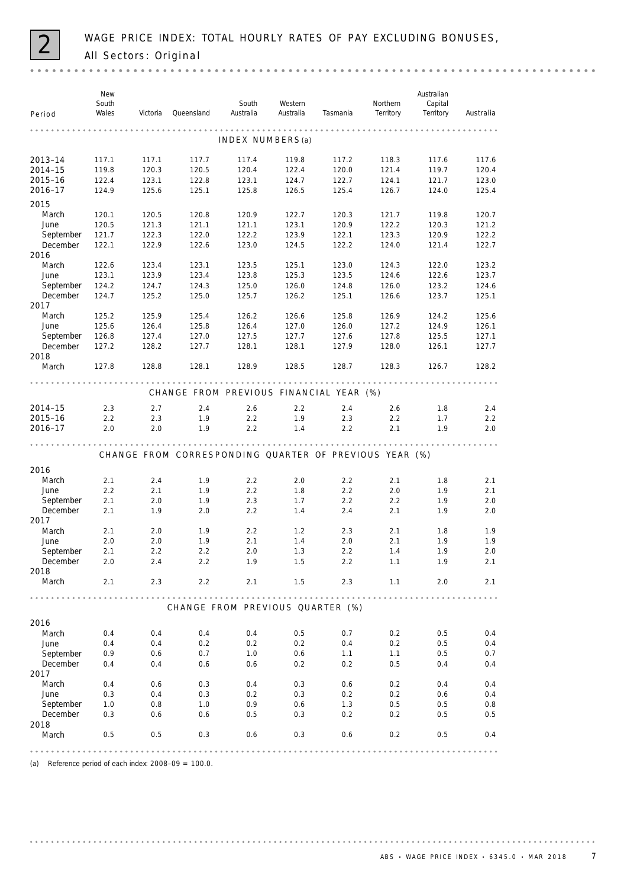

| Period           | New<br>South<br>Wales | Victoria | Queensland | South<br>Australia | Western<br>Australia | Tasmania                                               | Northern<br>Territory | Australian<br>Capital<br>Territory | Australia |
|------------------|-----------------------|----------|------------|--------------------|----------------------|--------------------------------------------------------|-----------------------|------------------------------------|-----------|
|                  |                       |          |            |                    |                      |                                                        |                       |                                    |           |
|                  |                       |          |            | INDEX NUMBERS(a)   |                      |                                                        |                       |                                    |           |
| 2013-14          | 117.1                 | 117.1    | 117.7      | 117.4              | 119.8                | 117.2                                                  | 118.3                 | 117.6                              | 117.6     |
| 2014-15          | 119.8                 | 120.3    | 120.5      | 120.4              | 122.4                | 120.0                                                  | 121.4                 | 119.7                              | 120.4     |
| 2015-16          | 122.4                 | 123.1    | 122.8      | 123.1              | 124.7                | 122.7                                                  | 124.1                 | 121.7                              | 123.0     |
| 2016-17          | 124.9                 | 125.6    | 125.1      | 125.8              | 126.5                | 125.4                                                  | 126.7                 | 124.0                              | 125.4     |
| 2015             |                       |          |            |                    |                      |                                                        |                       |                                    |           |
| March            | 120.1                 | 120.5    | 120.8      | 120.9              | 122.7                | 120.3                                                  | 121.7                 | 119.8                              | 120.7     |
| June             | 120.5                 | 121.3    | 121.1      | 121.1              | 123.1                | 120.9                                                  | 122.2                 | 120.3                              | 121.2     |
| September        | 121.7                 | 122.3    | 122.0      | 122.2              | 123.9                | 122.1                                                  | 123.3                 | 120.9                              | 122.2     |
| December         | 122.1                 | 122.9    | 122.6      | 123.0              | 124.5                | 122.2                                                  | 124.0                 | 121.4                              | 122.7     |
| 2016             |                       |          |            |                    |                      |                                                        |                       |                                    |           |
| March            | 122.6                 | 123.4    | 123.1      | 123.5              | 125.1                | 123.0                                                  | 124.3                 | 122.0                              | 123.2     |
| June             | 123.1                 | 123.9    | 123.4      | 123.8              | 125.3                | 123.5                                                  | 124.6                 | 122.6                              | 123.7     |
| September        | 124.2                 | 124.7    | 124.3      | 125.0              | 126.0                | 124.8                                                  | 126.0                 | 123.2                              | 124.6     |
| December         | 124.7                 | 125.2    | 125.0      | 125.7              | 126.2                | 125.1                                                  | 126.6                 | 123.7                              | 125.1     |
| 2017             |                       |          |            |                    |                      |                                                        |                       |                                    |           |
| March            | 125.2                 | 125.9    | 125.4      | 126.2              | 126.6                | 125.8                                                  | 126.9                 | 124.2                              | 125.6     |
| June             | 125.6                 | 126.4    | 125.8      | 126.4              | 127.0                | 126.0                                                  | 127.2                 | 124.9                              | 126.1     |
| September        | 126.8                 | 127.4    | 127.0      | 127.5              | 127.7                | 127.6                                                  | 127.8                 | 125.5                              | 127.1     |
| December         | 127.2                 | 128.2    | 127.7      | 128.1              | 128.1                | 127.9                                                  | 128.0                 | 126.1                              | 127.7     |
| 2018             |                       |          |            |                    |                      |                                                        |                       |                                    |           |
| March            | 127.8                 | 128.8    | 128.1      | 128.9              | 128.5                | 128.7                                                  | 128.3                 | 126.7                              | 128.2     |
|                  |                       |          |            |                    |                      | CHANGE FROM PREVIOUS FINANCIAL YEAR (%)                |                       |                                    |           |
| 2014-15          | 2.3                   | 2.7      | 2.4        | 2.6                | 2.2                  | 2.4                                                    | 2.6                   | 1.8                                | 2.4       |
| 2015-16          | 2.2                   | 2.3      | 1.9        | 2.2                | 1.9                  | 2.3                                                    | 2.2                   | 1.7                                | 2.2       |
| 2016-17          | 2.0                   | 2.0      | 1.9        | 2.2                | 1.4                  | 2.2                                                    | 2.1                   | 1.9                                | 2.0       |
|                  |                       |          |            |                    |                      |                                                        |                       |                                    |           |
|                  |                       |          |            |                    |                      | CHANGE FROM CORRESPONDING QUARTER OF PREVIOUS YEAR (%) |                       |                                    |           |
| 2016             |                       |          |            |                    |                      |                                                        |                       |                                    |           |
| March            | 2.1                   | 2.4      | 1.9        | 2.2                | 2.0                  | 2.2                                                    | 2.1                   | 1.8                                | 2.1       |
| June             | 2.2                   | 2.1      | 1.9        | 2.2                | 1.8                  | 2.2                                                    | 2.0                   | 1.9                                | 2.1       |
| September        | 2.1                   | 2.0      | 1.9        | 2.3                | 1.7                  | 2.2                                                    | 2.2                   | 1.9                                | 2.0       |
| December         | 2.1                   | 1.9      | 2.0        | 2.2                | 1.4                  | 2.4                                                    | 2.1                   | 1.9                                | 2.0       |
| 2017             |                       |          |            |                    |                      |                                                        |                       |                                    |           |
| March            | 2.1                   | 2.0      | 1.9        | 2.2                | 1.2                  | 2.3                                                    | 2.1                   | 1.8                                | 1.9       |
| June             | 2.0                   | 2.0      | 1.9        | 2.1                | 1.4                  | 2.0                                                    | 2.1                   | 1.9                                | 1.9       |
| September        | 2.1                   | 2.2      | 2.2        | 2.0                | 1.3                  | 2.2                                                    | 1.4                   | 1.9                                | 2.0       |
| December         | 2.0                   | 2.4      | 2.2        | 1.9                | 1.5                  | 2.2                                                    | 1.1                   | 1.9                                | 2.1       |
| 2018             |                       |          |            |                    |                      |                                                        |                       |                                    |           |
| March            | 2.1                   | 2.3      | 2.2        | 2.1                | 1.5                  | 2.3                                                    | 1.1                   | 2.0                                | 2.1       |
|                  |                       |          |            |                    |                      | CHANGE FROM PREVIOUS QUARTER (%)                       |                       |                                    | 0.00000   |
|                  |                       |          |            |                    |                      |                                                        |                       |                                    |           |
| 2016             |                       |          |            |                    |                      |                                                        |                       |                                    |           |
| March            | 0.4                   | 0.4      | 0.4        | 0.4                | 0.5                  | 0.7                                                    | 0.2                   | 0.5                                | 0.4       |
| June             | 0.4                   | 0.4      | 0.2        | 0.2                | 0.2                  | 0.4                                                    | 0.2                   | 0.5                                | 0.4       |
| September        | 0.9                   | 0.6      | 0.7        | 1.0                | 0.6                  | 1.1                                                    | 1.1                   | 0.5                                | 0.7       |
| December<br>2017 | 0.4                   | 0.4      | 0.6        | 0.6                | 0.2                  | 0.2                                                    | 0.5                   | 0.4                                | 0.4       |
| March            | 0.4                   | 0.6      | 0.3        | 0.4                | 0.3                  | 0.6                                                    | 0.2                   | 0.4                                | 0.4       |
| June             | 0.3                   | 0.4      | 0.3        | 0.2                | 0.3                  | 0.2                                                    | 0.2                   | 0.6                                | 0.4       |
| September        | 1.0                   | 0.8      | 1.0        | 0.9                | 0.6                  | 1.3                                                    | 0.5                   | 0.5                                | 0.8       |
| December         | 0.3                   | 0.6      | 0.6        | 0.5                | 0.3                  | 0.2                                                    | 0.2                   | 0.5                                | 0.5       |
| 2018             |                       |          |            |                    |                      |                                                        |                       |                                    |           |
| March            | 0.5                   | 0.5      | 0.3        | 0.6                | 0.3                  | 0.6                                                    | 0.2                   | 0.5                                | 0.4       |
|                  |                       |          |            |                    |                      |                                                        |                       |                                    |           |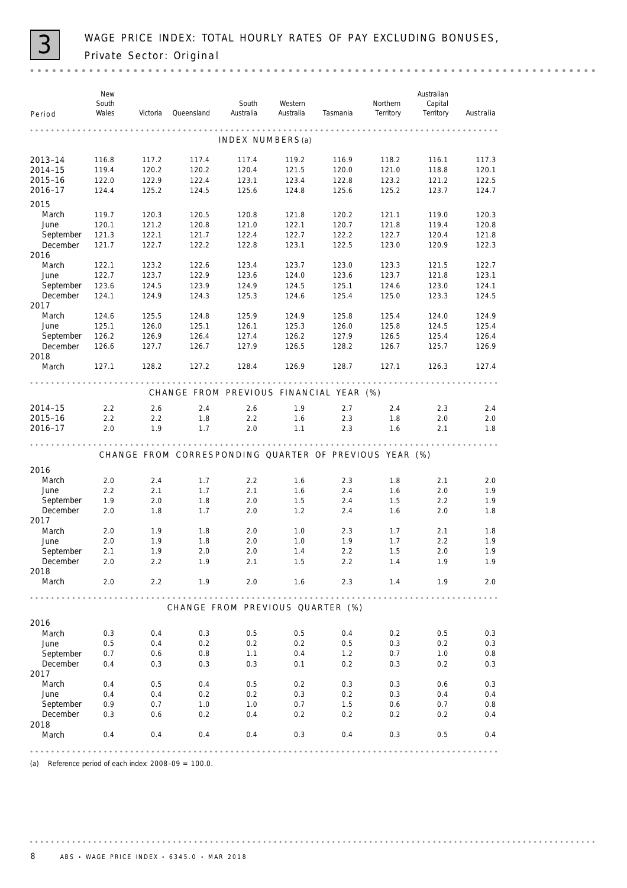

| Period                | New<br>South<br>Wales | Victoria       | Queensland     | South<br>Australia | Western<br>Australia | Tasmania                                               | Northern<br>Territory | Australian<br>Capital<br>Territory | Australia      |
|-----------------------|-----------------------|----------------|----------------|--------------------|----------------------|--------------------------------------------------------|-----------------------|------------------------------------|----------------|
|                       |                       |                |                |                    |                      |                                                        |                       |                                    |                |
|                       |                       |                |                | INDEX NUMBERS(a)   |                      |                                                        |                       |                                    |                |
| 2013-14               | 116.8                 | 117.2          | 117.4          | 117.4              | 119.2                | 116.9                                                  | 118.2                 | 116.1                              | 117.3          |
| 2014-15               | 119.4                 | 120.2          | 120.2          | 120.4              | 121.5                | 120.0                                                  | 121.0                 | 118.8                              | 120.1          |
| 2015-16               | 122.0                 | 122.9          | 122.4          | 123.1              | 123.4                | 122.8                                                  | 123.2                 | 121.2                              | 122.5          |
| 2016-17               | 124.4                 | 125.2          | 124.5          | 125.6              | 124.8                | 125.6                                                  | 125.2                 | 123.7                              | 124.7          |
| 2015                  |                       |                |                |                    |                      |                                                        |                       |                                    |                |
| March                 | 119.7                 | 120.3          | 120.5          | 120.8              | 121.8                | 120.2                                                  | 121.1                 | 119.0                              | 120.3          |
| June                  | 120.1                 | 121.2          | 120.8          | 121.0              | 122.1                | 120.7                                                  | 121.8                 | 119.4                              | 120.8          |
| September             | 121.3                 | 122.1          | 121.7          | 122.4              | 122.7                | 122.2                                                  | 122.7                 | 120.4                              | 121.8          |
| December              | 121.7                 | 122.7          | 122.2          | 122.8              | 123.1                | 122.5                                                  | 123.0                 | 120.9                              | 122.3          |
| 2016                  |                       |                |                |                    |                      |                                                        |                       |                                    |                |
| March<br>June         | 122.1                 | 123.2          | 122.6          | 123.4              | 123.7                | 123.0                                                  | 123.3                 | 121.5                              | 122.7          |
|                       | 122.7<br>123.6        | 123.7          | 122.9<br>123.9 | 123.6<br>124.9     | 124.0<br>124.5       | 123.6<br>125.1                                         | 123.7                 | 121.8<br>123.0                     | 123.1<br>124.1 |
| September<br>December | 124.1                 | 124.5<br>124.9 | 124.3          | 125.3              | 124.6                | 125.4                                                  | 124.6<br>125.0        | 123.3                              | 124.5          |
| 2017                  |                       |                |                |                    |                      |                                                        |                       |                                    |                |
| March                 | 124.6                 | 125.5          | 124.8          | 125.9              | 124.9                | 125.8                                                  | 125.4                 | 124.0                              | 124.9          |
| June                  | 125.1                 | 126.0          | 125.1          | 126.1              | 125.3                | 126.0                                                  | 125.8                 | 124.5                              | 125.4          |
| September             | 126.2                 | 126.9          | 126.4          | 127.4              | 126.2                | 127.9                                                  | 126.5                 | 125.4                              | 126.4          |
| December              | 126.6                 | 127.7          | 126.7          | 127.9              | 126.5                | 128.2                                                  | 126.7                 | 125.7                              | 126.9          |
| 2018                  |                       |                |                |                    |                      |                                                        |                       |                                    |                |
| March                 | 127.1                 | 128.2          | 127.2          | 128.4              | 126.9                | 128.7                                                  | 127.1                 | 126.3                              | 127.4          |
|                       |                       |                |                |                    |                      | CHANGE FROM PREVIOUS FINANCIAL YEAR (%)                |                       |                                    |                |
| 2014-15               | 2.2                   | 2.6            | 2.4            | 2.6                | 1.9                  | 2.7                                                    | 2.4                   | 2.3                                | 2.4            |
| 2015-16               | 2.2                   | 2.2            | 1.8            | 2.2                | 1.6                  | 2.3                                                    | 1.8                   | 2.0                                | 2.0            |
| 2016-17               | 2.0                   | 1.9            | 1.7            | 2.0                | 1.1                  | 2.3                                                    | 1.6                   | 2.1                                | 1.8            |
|                       |                       |                |                |                    |                      |                                                        |                       |                                    |                |
|                       |                       |                |                |                    |                      | CHANGE FROM CORRESPONDING QUARTER OF PREVIOUS YEAR (%) |                       |                                    |                |
| 2016                  |                       |                |                |                    |                      |                                                        |                       |                                    |                |
| March                 | 2.0                   | 2.4            | 1.7            | 2.2                | 1.6                  | 2.3                                                    | 1.8                   | 2.1                                | 2.0            |
| June                  | 2.2                   | 2.1            | 1.7            | 2.1                | 1.6                  | 2.4                                                    | 1.6                   | 2.0                                | 1.9            |
| September             | 1.9                   | 2.0            | 1.8            | 2.0                | 1.5                  | 2.4                                                    | 1.5                   | 2.2                                | 1.9            |
| December              | 2.0                   | 1.8            | 1.7            | 2.0                | 1.2                  | 2.4                                                    | 1.6                   | 2.0                                | 1.8            |
| 2017                  |                       |                |                |                    |                      |                                                        |                       |                                    |                |
| March                 | 2.0                   | 1.9            | 1.8            | 2.0                | 1.0                  | 2.3                                                    | 1.7                   | 2.1                                | 1.8            |
| June                  | 2.0                   | 1.9            | 1.8            | 2.0                | 1.0                  | 1.9                                                    | 1.7                   | 2.2                                | 1.9            |
| September             | 2.1                   | 1.9            | 2.0            | 2.0                | 1.4                  | 2.2                                                    | 1.5                   | 2.0                                | 1.9            |
| December              | 2.0                   | 2.2            | 1.9            | 2.1                | 1.5                  | 2.2                                                    | 1.4                   | 1.9                                | 1.9            |
| 2018<br>March         | 2.0                   | 2.2            | 1.9            | 2.0                | 1.6                  | 2.3                                                    | 1.4                   | 1.9                                | 2.0            |
|                       |                       |                |                |                    |                      |                                                        |                       |                                    |                |
|                       |                       |                |                |                    |                      | CHANGE FROM PREVIOUS QUARTER (%)                       |                       |                                    |                |
| 2016                  |                       |                |                |                    |                      |                                                        |                       |                                    |                |
| March                 | 0.3                   | 0.4            | 0.3            | 0.5                | 0.5                  | 0.4                                                    | 0.2                   | 0.5                                | 0.3            |
| June                  | 0.5                   | 0.4            | 0.2            | 0.2                | 0.2                  | 0.5                                                    | 0.3                   | 0.2                                | 0.3            |
| September             | 0.7                   | 0.6            | 0.8            | 1.1                | 0.4                  | 1.2                                                    | 0.7                   | 1.0                                | 0.8            |
| December              | 0.4                   | 0.3            | 0.3            | 0.3                | 0.1                  | 0.2                                                    | 0.3                   | 0.2                                | 0.3            |
| 2017                  |                       |                |                |                    |                      |                                                        |                       |                                    |                |
| March                 | 0.4                   | 0.5            | 0.4            | 0.5                | 0.2                  | 0.3                                                    | 0.3                   | 0.6                                | 0.3            |
| June                  | 0.4                   | 0.4            | 0.2            | 0.2                | 0.3                  | 0.2                                                    | 0.3                   | 0.4                                | 0.4            |
| September             | 0.9                   | 0.7            | 1.0            | 1.0                | 0.7                  | 1.5                                                    | 0.6                   | 0.7                                | 0.8            |
| December              | 0.3                   | 0.6            | 0.2            | 0.4                | 0.2                  | 0.2                                                    | 0.2                   | 0.2                                | 0.4            |
| 2018<br>March         | 0.4                   | 0.4            | 0.4            | 0.4                | 0.3                  | 0.4                                                    | 0.3                   | 0.5                                | 0.4            |
|                       |                       |                |                |                    |                      |                                                        |                       |                                    |                |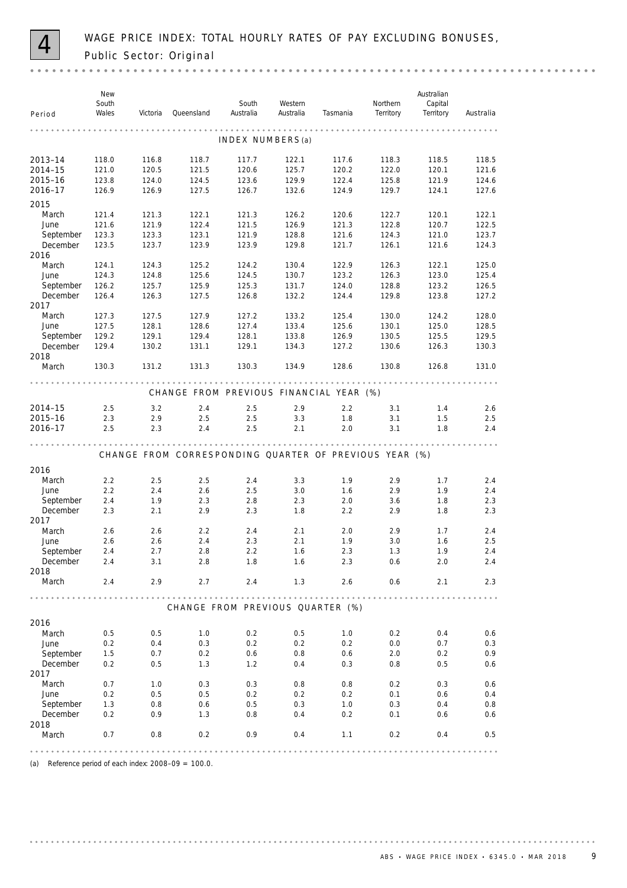

| Period                | New<br>South<br>Wales | Victoria       | Queensland                                             | South<br>Australia | Western<br>Australia | Tasmania       | Northern<br>Territory | Australian<br>Capital<br>Territory | Australia                                      |
|-----------------------|-----------------------|----------------|--------------------------------------------------------|--------------------|----------------------|----------------|-----------------------|------------------------------------|------------------------------------------------|
|                       |                       |                |                                                        |                    |                      |                |                       |                                    |                                                |
|                       |                       |                |                                                        | INDEX NUMBERS(a)   |                      |                |                       |                                    |                                                |
| 2013-14               | 118.0                 | 116.8          | 118.7                                                  | 117.7              | 122.1                | 117.6          | 118.3                 | 118.5                              | 118.5                                          |
| 2014-15               | 121.0                 | 120.5          | 121.5                                                  | 120.6              | 125.7                | 120.2          | 122.0                 | 120.1                              | 121.6                                          |
| 2015-16               | 123.8                 | 124.0          | 124.5                                                  | 123.6              | 129.9                | 122.4          | 125.8                 | 121.9                              | 124.6                                          |
| 2016-17               | 126.9                 | 126.9          | 127.5                                                  | 126.7              | 132.6                | 124.9          | 129.7                 | 124.1                              | 127.6                                          |
| 2015                  |                       |                |                                                        |                    |                      |                |                       |                                    |                                                |
| March                 | 121.4                 | 121.3          | 122.1                                                  | 121.3              | 126.2                | 120.6          | 122.7                 | 120.1                              | 122.1                                          |
| June                  | 121.6                 | 121.9          | 122.4                                                  | 121.5              | 126.9                | 121.3          | 122.8                 | 120.7                              | 122.5                                          |
| September             | 123.3                 | 123.3          | 123.1                                                  | 121.9              | 128.8                | 121.6          | 124.3                 | 121.0                              | 123.7                                          |
| December              | 123.5                 | 123.7          | 123.9                                                  | 123.9              | 129.8                | 121.7          | 126.1                 | 121.6                              | 124.3                                          |
| 2016                  |                       |                |                                                        |                    |                      |                |                       |                                    |                                                |
| March                 | 124.1                 | 124.3          | 125.2                                                  | 124.2              | 130.4                | 122.9          | 126.3                 | 122.1                              | 125.0                                          |
| June                  | 124.3                 | 124.8          | 125.6                                                  | 124.5              | 130.7                | 123.2          | 126.3                 | 123.0                              | 125.4                                          |
| September<br>December | 126.2<br>126.4        | 125.7<br>126.3 | 125.9<br>127.5                                         | 125.3<br>126.8     | 131.7<br>132.2       | 124.0<br>124.4 | 128.8<br>129.8        | 123.2<br>123.8                     | 126.5<br>127.2                                 |
| 2017                  |                       |                |                                                        |                    |                      |                |                       |                                    |                                                |
| March                 | 127.3                 | 127.5          | 127.9                                                  | 127.2              | 133.2                | 125.4          | 130.0                 | 124.2                              | 128.0                                          |
| June                  | 127.5                 | 128.1          | 128.6                                                  | 127.4              | 133.4                | 125.6          | 130.1                 | 125.0                              | 128.5                                          |
| September             | 129.2                 | 129.1          | 129.4                                                  | 128.1              | 133.8                | 126.9          | 130.5                 | 125.5                              | 129.5                                          |
| December              | 129.4                 | 130.2          | 131.1                                                  | 129.1              | 134.3                | 127.2          | 130.6                 | 126.3                              | 130.3                                          |
| 2018                  |                       |                |                                                        |                    |                      |                |                       |                                    |                                                |
| March                 | 130.3                 | 131.2          | 131.3                                                  | 130.3              | 134.9                | 128.6          | 130.8                 | 126.8                              | 131.0                                          |
|                       |                       |                |                                                        |                    |                      |                |                       |                                    |                                                |
|                       |                       |                | CHANGE FROM PREVIOUS FINANCIAL YEAR (%)                |                    |                      |                |                       |                                    |                                                |
| 2014-15               | 2.5                   | 3.2            | 2.4                                                    | 2.5                | 2.9                  | 2.2            | 3.1                   | 1.4                                | 2.6                                            |
| 2015-16               | 2.3                   | 2.9            | 2.5                                                    | 2.5                | 3.3                  | 1.8            | 3.1                   | 1.5                                | 2.5                                            |
| 2016-17               | 2.5                   | 2.3            | 2.4                                                    | 2.5                | 2.1                  | 2.0            | 3.1                   | 1.8                                | 2.4                                            |
|                       |                       |                |                                                        |                    |                      |                |                       |                                    |                                                |
|                       |                       |                | CHANGE FROM CORRESPONDING QUARTER OF PREVIOUS YEAR (%) |                    |                      |                |                       |                                    |                                                |
| 2016                  |                       |                |                                                        |                    |                      |                |                       |                                    |                                                |
| March                 | 2.2                   | 2.5            | 2.5                                                    | 2.4                | 3.3                  | 1.9            | 2.9                   | 1.7                                | 2.4                                            |
| June                  | 2.2                   | 2.4            | 2.6                                                    | 2.5                | 3.0                  | 1.6            | 2.9                   | 1.9                                | 2.4                                            |
| September             | 2.4                   | 1.9            | 2.3                                                    | 2.8                | 2.3                  | 2.0            | 3.6                   | 1.8                                | 2.3                                            |
| December              | 2.3                   | 2.1            | 2.9                                                    | 2.3                | 1.8                  | 2.2            | 2.9                   | 1.8                                | 2.3                                            |
| 2017                  |                       |                |                                                        |                    |                      |                |                       |                                    |                                                |
| March                 | 2.6                   | 2.6            | 2.2                                                    | 2.4                | 2.1                  | 2.0            | 2.9                   | 1.7                                | 2.4                                            |
| June                  | 2.6<br>2.4            | 2.6<br>2.7     | 2.4<br>2.8                                             | 2.3<br>2.2         | 2.1<br>1.6           | 1.9<br>2.3     | 3.0<br>1.3            | 1.6<br>1.9                         | 2.5<br>2.4                                     |
| September<br>December | 2.4                   | 3.1            | 2.8                                                    | 1.8                | 1.6                  | 2.3            | 0.6                   | 2.0                                | 2.4                                            |
| 2018                  |                       |                |                                                        |                    |                      |                |                       |                                    |                                                |
| March                 | 2.4                   | 2.9            | 2.7                                                    | 2.4                | 1.3                  | 2.6            | 0.6                   | 2.1                                | 2.3                                            |
|                       |                       |                |                                                        |                    |                      |                |                       |                                    | $\mathbf{a} \cdot \mathbf{a} \cdot \mathbf{a}$ |
|                       |                       |                | CHANGE FROM PREVIOUS QUARTER (%)                       |                    |                      |                |                       |                                    |                                                |
| 2016                  |                       |                |                                                        |                    |                      |                |                       |                                    |                                                |
| March                 | 0.5                   | 0.5            | 1.0                                                    | 0.2                | 0.5                  | 1.0            | 0.2                   | 0.4                                | 0.6                                            |
| June                  | 0.2                   | 0.4            | 0.3                                                    | 0.2                | 0.2                  | 0.2            | 0.0                   | 0.7                                | 0.3                                            |
| September             | 1.5                   | 0.7            | 0.2                                                    | 0.6                | 0.8                  | 0.6            | 2.0                   | 0.2                                | 0.9                                            |
| December              | 0.2                   | 0.5            | 1.3                                                    | 1.2                | 0.4                  | 0.3            | 0.8                   | 0.5                                | 0.6                                            |
| 2017                  |                       |                |                                                        |                    |                      |                |                       |                                    |                                                |
| March                 | 0.7                   | 1.0            | 0.3                                                    | 0.3                | 0.8                  | 0.8            | 0.2                   | 0.3                                | 0.6                                            |
| June                  | 0.2                   | 0.5            | 0.5                                                    | 0.2                | 0.2                  | 0.2            | 0.1                   | 0.6                                | 0.4                                            |
| September             | 1.3                   | 0.8            | 0.6                                                    | 0.5                | 0.3                  | 1.0            | 0.3                   | 0.4                                | 0.8                                            |
| December              | 0.2                   | 0.9            | 1.3                                                    | 0.8                | 0.4                  | 0.2            | 0.1                   | 0.6                                | 0.6                                            |
| 2018                  |                       |                |                                                        |                    |                      |                |                       |                                    |                                                |
| March                 | 0.7                   | 0.8            | 0.2                                                    | 0.9                | 0.4                  | 1.1            | 0.2                   | 0.4                                | 0.5                                            |
|                       |                       |                |                                                        |                    |                      |                |                       |                                    |                                                |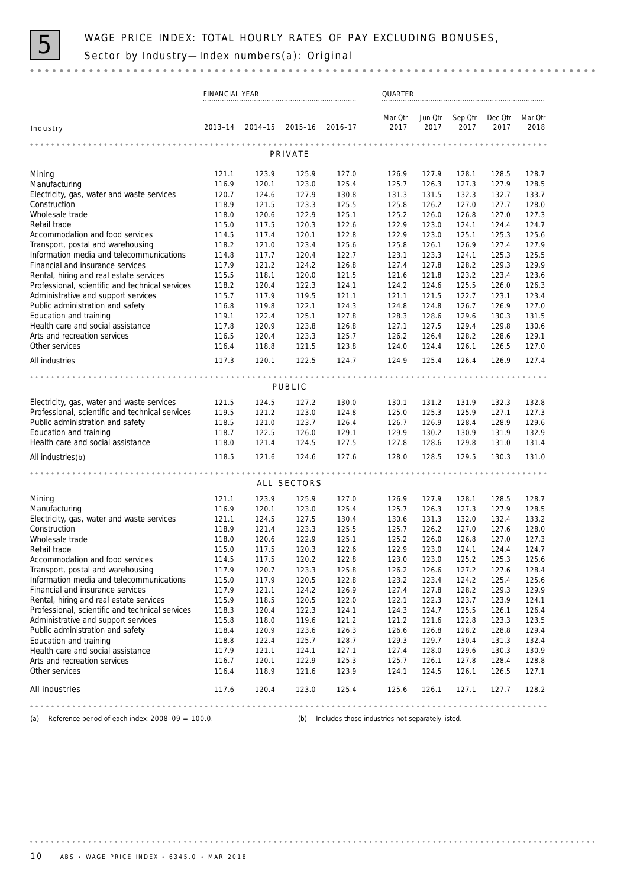

| Jun Otr<br>Sep Otr<br>Dec Otr<br>Mar Qtr<br>Mar Qtr<br>$2013 - 14$<br>$2014 - 15$<br>2015-16<br>$2016 - 17$<br>2017<br>2017<br>2017<br>2017<br>2018<br>Industry<br>PRIVATE<br>Mining<br>121.1<br>123.9<br>125.9<br>127.0<br>126.9<br>127.9<br>128.1<br>128.5<br>128.7<br>116.9<br>120.1<br>123.0<br>125.4<br>125.7<br>126.3<br>127.3<br>127.9<br>128.5<br>Manufacturing<br>Electricity, gas, water and waste services<br>127.9<br>132.3<br>133.7<br>120.7<br>124.6<br>130.8<br>131.3<br>131.5<br>132.7<br>Construction<br>118.9<br>121.5<br>123.3<br>125.5<br>125.8<br>126.2<br>127.0<br>127.7<br>128.0<br>Wholesale trade<br>122.9<br>125.1<br>125.2<br>127.0<br>127.3<br>118.0<br>120.6<br>126.0<br>126.8<br>Retail trade<br>117.5<br>120.3<br>122.6<br>122.9<br>123.0<br>124.1<br>124.4<br>124.7<br>115.0<br>Accommodation and food services<br>117.4<br>120.1<br>122.8<br>122.9<br>123.0<br>125.3<br>125.6<br>114.5<br>125.1<br>Transport, postal and warehousing<br>118.2<br>121.0<br>123.4<br>125.6<br>125.8<br>126.1<br>126.9<br>127.4<br>127.9<br>Information media and telecommunications<br>117.7<br>120.4<br>122.7<br>123.3<br>125.3<br>125.5<br>114.8<br>123.1<br>124.1<br>Financial and insurance services<br>117.9<br>121.2<br>124.2<br>126.8<br>127.4<br>127.8<br>128.2<br>129.3<br>129.9<br>Rental, hiring and real estate services<br>115.5<br>118.1<br>120.0<br>121.5<br>121.8<br>123.2<br>123.4<br>123.6<br>121.6<br>Professional, scientific and technical services<br>118.2<br>120.4<br>122.3<br>124.1<br>124.2<br>124.6<br>125.5<br>126.0<br>126.3<br>Administrative and support services<br>117.9<br>119.5<br>121.1<br>121.5<br>122.7<br>123.1<br>123.4<br>115.7<br>121.1<br>Public administration and safety<br>119.8<br>122.1<br>124.3<br>124.8<br>124.8<br>126.7<br>126.9<br>127.0<br>116.8<br>Education and training<br>122.4<br>125.1<br>127.8<br>129.6<br>131.5<br>119.1<br>128.3<br>128.6<br>130.3<br>Health care and social assistance<br>117.8<br>120.9<br>123.8<br>126.8<br>127.1<br>127.5<br>129.4<br>129.8<br>130.6<br>Arts and recreation services<br>120.4<br>123.3<br>125.7<br>126.2<br>128.2<br>128.6<br>129.1<br>116.5<br>126.4<br>Other services<br>116.4<br>118.8<br>123.8<br>124.0<br>126.5<br>127.0<br>121.5<br>124.4<br>126.1<br>All industries<br>117.3<br>120.1<br>122.5<br>124.7<br>124.9<br>125.4<br>126.4<br>126.9<br>127.4<br>PUBLIC<br>Electricity, gas, water and waste services<br>121.5<br>130.0<br>131.2<br>132.3<br>132.8<br>124.5<br>127.2<br>130.1<br>131.9<br>Professional, scientific and technical services<br>121.2<br>123.0<br>124.8<br>125.0<br>125.3<br>125.9<br>127.1<br>127.3<br>119.5<br>Public administration and safety<br>118.5<br>121.0<br>123.7<br>126.4<br>126.7<br>126.9<br>128.4<br>128.9<br>129.6<br>118.7<br>122.5<br>129.1<br>129.9<br>130.2<br>131.9<br>132.9<br>Education and training<br>126.0<br>130.9<br>Health care and social assistance<br>118.0<br>121.4<br>124.5<br>127.5<br>127.8<br>128.6<br>129.8<br>131.0<br>131.4<br>118.5<br>127.6<br>128.0<br>128.5<br>129.5<br>121.6<br>124.6<br>130.3<br>131.0<br>All industries(b)<br>ALL SECTORS<br>Mining<br>121.1<br>123.9<br>125.9<br>127.0<br>126.9<br>127.9<br>128.1<br>128.5<br>128.7<br>125.4<br>126.3<br>127.9<br>128.5<br>Manufacturing<br>116.9<br>120.1<br>123.0<br>125.7<br>127.3<br>Electricity, gas, water and waste services<br>124.5<br>127.5<br>130.6<br>131.3<br>132.0<br>132.4<br>133.2<br>121.1<br>130.4<br>Construction<br>125.5<br>125.7<br>126.2<br>127.0<br>127.6<br>128.0<br>118.9<br>121.4<br>123.3<br>Wholesale trade<br>125.2<br>127.3<br>118.0<br>120.6<br>122.9<br>125.1<br>126.0<br>126.8<br>127.0<br>Retail trade<br>115.0<br>117.5<br>122.6<br>122.9<br>123.0<br>124.1<br>124.4<br>124.7<br>120.3<br>Accommodation and food services<br>114.5<br>117.5<br>120.2<br>122.8<br>123.0<br>123.0<br>125.2<br>125.3<br>125.6<br>Transport, postal and warehousing<br>117.9<br>123.3<br>125.8<br>127.6<br>128.4<br>120.7<br>126.2<br>126.6<br>127.2<br>Information media and telecommunications<br>115.0<br>117.9<br>120.5<br>122.8<br>123.2<br>123.4<br>124.2<br>125.4<br>125.6<br>Financial and insurance services<br>117.9<br>121.1<br>124.2<br>126.9<br>127.4<br>127.8<br>129.3<br>129.9<br>128.2<br>Rental, hiring and real estate services<br>115.9<br>118.5<br>120.5<br>122.0<br>122.1<br>122.3<br>123.7<br>123.9<br>124.1<br>Professional, scientific and technical services<br>118.3<br>120.4<br>122.3<br>124.1<br>124.3<br>124.7<br>125.5<br>126.1<br>126.4<br>Administrative and support services<br>119.6<br>121.2<br>123.5<br>115.8<br>118.0<br>121.2<br>121.6<br>122.8<br>123.3<br>Public administration and safety<br>118.4<br>120.9<br>126.3<br>128.2<br>128.8<br>129.4<br>123.6<br>126.6<br>126.8<br>Education and training<br>122.4<br>132.4<br>118.8<br>125.7<br>128.7<br>129.3<br>129.7<br>130.4<br>131.3<br>Health care and social assistance<br>117.9<br>121.1<br>124.1<br>127.1<br>127.4<br>128.0<br>129.6<br>130.3<br>130.9<br>116.7<br>125.3<br>Arts and recreation services<br>120.1<br>122.9<br>125.7<br>126.1<br>127.8<br>128.4<br>128.8<br>Other services<br>118.9<br>123.9<br>127.1<br>116.4<br>121.6<br>124.1<br>124.5<br>126.1<br>126.5<br>All industries<br>117.6<br>120.4<br>123.0<br>125.4<br>125.6<br>126.1<br>127.1<br>127.7<br>128.2 | FINANCIAL YEAR |  |  |  |  | QUARTER |  |  |  |  |  |  |
|------------------------------------------------------------------------------------------------------------------------------------------------------------------------------------------------------------------------------------------------------------------------------------------------------------------------------------------------------------------------------------------------------------------------------------------------------------------------------------------------------------------------------------------------------------------------------------------------------------------------------------------------------------------------------------------------------------------------------------------------------------------------------------------------------------------------------------------------------------------------------------------------------------------------------------------------------------------------------------------------------------------------------------------------------------------------------------------------------------------------------------------------------------------------------------------------------------------------------------------------------------------------------------------------------------------------------------------------------------------------------------------------------------------------------------------------------------------------------------------------------------------------------------------------------------------------------------------------------------------------------------------------------------------------------------------------------------------------------------------------------------------------------------------------------------------------------------------------------------------------------------------------------------------------------------------------------------------------------------------------------------------------------------------------------------------------------------------------------------------------------------------------------------------------------------------------------------------------------------------------------------------------------------------------------------------------------------------------------------------------------------------------------------------------------------------------------------------------------------------------------------------------------------------------------------------------------------------------------------------------------------------------------------------------------------------------------------------------------------------------------------------------------------------------------------------------------------------------------------------------------------------------------------------------------------------------------------------------------------------------------------------------------------------------------------------------------------------------------------------------------------------------------------------------------------------------------------------------------------------------------------------------------------------------------------------------------------------------------------------------------------------------------------------------------------------------------------------------------------------------------------------------------------------------------------------------------------------------------------------------------------------------------------------------------------------------------------------------------------------------------------------------------------------------------------------------------------------------------------------------------------------------------------------------------------------------------------------------------------------------------------------------------------------------------------------------------------------------------------------------------------------------------------------------------------------------------------------------------------------------------------------------------------------------------------------------------------------------------------------------------------------------------------------------------------------------------------------------------------------------------------------------------------------------------------------------------------------------------------------------------------------------------------------------------------------------------------------------------------------------------------------------------------------------------------------------------------------------------------------------------------------------------------------------------------------------------------------------------------------------------------------------------------------------------------------------------------------------------------------------------------------------------------------------------------------------------------------------------------------------------------------------------------------------------------------------------------------|----------------|--|--|--|--|---------|--|--|--|--|--|--|
|                                                                                                                                                                                                                                                                                                                                                                                                                                                                                                                                                                                                                                                                                                                                                                                                                                                                                                                                                                                                                                                                                                                                                                                                                                                                                                                                                                                                                                                                                                                                                                                                                                                                                                                                                                                                                                                                                                                                                                                                                                                                                                                                                                                                                                                                                                                                                                                                                                                                                                                                                                                                                                                                                                                                                                                                                                                                                                                                                                                                                                                                                                                                                                                                                                                                                                                                                                                                                                                                                                                                                                                                                                                                                                                                                                                                                                                                                                                                                                                                                                                                                                                                                                                                                                                                                                                                                                                                                                                                                                                                                                                                                                                                                                                                                                                                                                                                                                                                                                                                                                                                                                                                                                                                                                                                                                                                          |                |  |  |  |  |         |  |  |  |  |  |  |
|                                                                                                                                                                                                                                                                                                                                                                                                                                                                                                                                                                                                                                                                                                                                                                                                                                                                                                                                                                                                                                                                                                                                                                                                                                                                                                                                                                                                                                                                                                                                                                                                                                                                                                                                                                                                                                                                                                                                                                                                                                                                                                                                                                                                                                                                                                                                                                                                                                                                                                                                                                                                                                                                                                                                                                                                                                                                                                                                                                                                                                                                                                                                                                                                                                                                                                                                                                                                                                                                                                                                                                                                                                                                                                                                                                                                                                                                                                                                                                                                                                                                                                                                                                                                                                                                                                                                                                                                                                                                                                                                                                                                                                                                                                                                                                                                                                                                                                                                                                                                                                                                                                                                                                                                                                                                                                                                          |                |  |  |  |  |         |  |  |  |  |  |  |
|                                                                                                                                                                                                                                                                                                                                                                                                                                                                                                                                                                                                                                                                                                                                                                                                                                                                                                                                                                                                                                                                                                                                                                                                                                                                                                                                                                                                                                                                                                                                                                                                                                                                                                                                                                                                                                                                                                                                                                                                                                                                                                                                                                                                                                                                                                                                                                                                                                                                                                                                                                                                                                                                                                                                                                                                                                                                                                                                                                                                                                                                                                                                                                                                                                                                                                                                                                                                                                                                                                                                                                                                                                                                                                                                                                                                                                                                                                                                                                                                                                                                                                                                                                                                                                                                                                                                                                                                                                                                                                                                                                                                                                                                                                                                                                                                                                                                                                                                                                                                                                                                                                                                                                                                                                                                                                                                          |                |  |  |  |  |         |  |  |  |  |  |  |
|                                                                                                                                                                                                                                                                                                                                                                                                                                                                                                                                                                                                                                                                                                                                                                                                                                                                                                                                                                                                                                                                                                                                                                                                                                                                                                                                                                                                                                                                                                                                                                                                                                                                                                                                                                                                                                                                                                                                                                                                                                                                                                                                                                                                                                                                                                                                                                                                                                                                                                                                                                                                                                                                                                                                                                                                                                                                                                                                                                                                                                                                                                                                                                                                                                                                                                                                                                                                                                                                                                                                                                                                                                                                                                                                                                                                                                                                                                                                                                                                                                                                                                                                                                                                                                                                                                                                                                                                                                                                                                                                                                                                                                                                                                                                                                                                                                                                                                                                                                                                                                                                                                                                                                                                                                                                                                                                          |                |  |  |  |  |         |  |  |  |  |  |  |
|                                                                                                                                                                                                                                                                                                                                                                                                                                                                                                                                                                                                                                                                                                                                                                                                                                                                                                                                                                                                                                                                                                                                                                                                                                                                                                                                                                                                                                                                                                                                                                                                                                                                                                                                                                                                                                                                                                                                                                                                                                                                                                                                                                                                                                                                                                                                                                                                                                                                                                                                                                                                                                                                                                                                                                                                                                                                                                                                                                                                                                                                                                                                                                                                                                                                                                                                                                                                                                                                                                                                                                                                                                                                                                                                                                                                                                                                                                                                                                                                                                                                                                                                                                                                                                                                                                                                                                                                                                                                                                                                                                                                                                                                                                                                                                                                                                                                                                                                                                                                                                                                                                                                                                                                                                                                                                                                          |                |  |  |  |  |         |  |  |  |  |  |  |
|                                                                                                                                                                                                                                                                                                                                                                                                                                                                                                                                                                                                                                                                                                                                                                                                                                                                                                                                                                                                                                                                                                                                                                                                                                                                                                                                                                                                                                                                                                                                                                                                                                                                                                                                                                                                                                                                                                                                                                                                                                                                                                                                                                                                                                                                                                                                                                                                                                                                                                                                                                                                                                                                                                                                                                                                                                                                                                                                                                                                                                                                                                                                                                                                                                                                                                                                                                                                                                                                                                                                                                                                                                                                                                                                                                                                                                                                                                                                                                                                                                                                                                                                                                                                                                                                                                                                                                                                                                                                                                                                                                                                                                                                                                                                                                                                                                                                                                                                                                                                                                                                                                                                                                                                                                                                                                                                          |                |  |  |  |  |         |  |  |  |  |  |  |
|                                                                                                                                                                                                                                                                                                                                                                                                                                                                                                                                                                                                                                                                                                                                                                                                                                                                                                                                                                                                                                                                                                                                                                                                                                                                                                                                                                                                                                                                                                                                                                                                                                                                                                                                                                                                                                                                                                                                                                                                                                                                                                                                                                                                                                                                                                                                                                                                                                                                                                                                                                                                                                                                                                                                                                                                                                                                                                                                                                                                                                                                                                                                                                                                                                                                                                                                                                                                                                                                                                                                                                                                                                                                                                                                                                                                                                                                                                                                                                                                                                                                                                                                                                                                                                                                                                                                                                                                                                                                                                                                                                                                                                                                                                                                                                                                                                                                                                                                                                                                                                                                                                                                                                                                                                                                                                                                          |                |  |  |  |  |         |  |  |  |  |  |  |
|                                                                                                                                                                                                                                                                                                                                                                                                                                                                                                                                                                                                                                                                                                                                                                                                                                                                                                                                                                                                                                                                                                                                                                                                                                                                                                                                                                                                                                                                                                                                                                                                                                                                                                                                                                                                                                                                                                                                                                                                                                                                                                                                                                                                                                                                                                                                                                                                                                                                                                                                                                                                                                                                                                                                                                                                                                                                                                                                                                                                                                                                                                                                                                                                                                                                                                                                                                                                                                                                                                                                                                                                                                                                                                                                                                                                                                                                                                                                                                                                                                                                                                                                                                                                                                                                                                                                                                                                                                                                                                                                                                                                                                                                                                                                                                                                                                                                                                                                                                                                                                                                                                                                                                                                                                                                                                                                          |                |  |  |  |  |         |  |  |  |  |  |  |
|                                                                                                                                                                                                                                                                                                                                                                                                                                                                                                                                                                                                                                                                                                                                                                                                                                                                                                                                                                                                                                                                                                                                                                                                                                                                                                                                                                                                                                                                                                                                                                                                                                                                                                                                                                                                                                                                                                                                                                                                                                                                                                                                                                                                                                                                                                                                                                                                                                                                                                                                                                                                                                                                                                                                                                                                                                                                                                                                                                                                                                                                                                                                                                                                                                                                                                                                                                                                                                                                                                                                                                                                                                                                                                                                                                                                                                                                                                                                                                                                                                                                                                                                                                                                                                                                                                                                                                                                                                                                                                                                                                                                                                                                                                                                                                                                                                                                                                                                                                                                                                                                                                                                                                                                                                                                                                                                          |                |  |  |  |  |         |  |  |  |  |  |  |
|                                                                                                                                                                                                                                                                                                                                                                                                                                                                                                                                                                                                                                                                                                                                                                                                                                                                                                                                                                                                                                                                                                                                                                                                                                                                                                                                                                                                                                                                                                                                                                                                                                                                                                                                                                                                                                                                                                                                                                                                                                                                                                                                                                                                                                                                                                                                                                                                                                                                                                                                                                                                                                                                                                                                                                                                                                                                                                                                                                                                                                                                                                                                                                                                                                                                                                                                                                                                                                                                                                                                                                                                                                                                                                                                                                                                                                                                                                                                                                                                                                                                                                                                                                                                                                                                                                                                                                                                                                                                                                                                                                                                                                                                                                                                                                                                                                                                                                                                                                                                                                                                                                                                                                                                                                                                                                                                          |                |  |  |  |  |         |  |  |  |  |  |  |
|                                                                                                                                                                                                                                                                                                                                                                                                                                                                                                                                                                                                                                                                                                                                                                                                                                                                                                                                                                                                                                                                                                                                                                                                                                                                                                                                                                                                                                                                                                                                                                                                                                                                                                                                                                                                                                                                                                                                                                                                                                                                                                                                                                                                                                                                                                                                                                                                                                                                                                                                                                                                                                                                                                                                                                                                                                                                                                                                                                                                                                                                                                                                                                                                                                                                                                                                                                                                                                                                                                                                                                                                                                                                                                                                                                                                                                                                                                                                                                                                                                                                                                                                                                                                                                                                                                                                                                                                                                                                                                                                                                                                                                                                                                                                                                                                                                                                                                                                                                                                                                                                                                                                                                                                                                                                                                                                          |                |  |  |  |  |         |  |  |  |  |  |  |
|                                                                                                                                                                                                                                                                                                                                                                                                                                                                                                                                                                                                                                                                                                                                                                                                                                                                                                                                                                                                                                                                                                                                                                                                                                                                                                                                                                                                                                                                                                                                                                                                                                                                                                                                                                                                                                                                                                                                                                                                                                                                                                                                                                                                                                                                                                                                                                                                                                                                                                                                                                                                                                                                                                                                                                                                                                                                                                                                                                                                                                                                                                                                                                                                                                                                                                                                                                                                                                                                                                                                                                                                                                                                                                                                                                                                                                                                                                                                                                                                                                                                                                                                                                                                                                                                                                                                                                                                                                                                                                                                                                                                                                                                                                                                                                                                                                                                                                                                                                                                                                                                                                                                                                                                                                                                                                                                          |                |  |  |  |  |         |  |  |  |  |  |  |
|                                                                                                                                                                                                                                                                                                                                                                                                                                                                                                                                                                                                                                                                                                                                                                                                                                                                                                                                                                                                                                                                                                                                                                                                                                                                                                                                                                                                                                                                                                                                                                                                                                                                                                                                                                                                                                                                                                                                                                                                                                                                                                                                                                                                                                                                                                                                                                                                                                                                                                                                                                                                                                                                                                                                                                                                                                                                                                                                                                                                                                                                                                                                                                                                                                                                                                                                                                                                                                                                                                                                                                                                                                                                                                                                                                                                                                                                                                                                                                                                                                                                                                                                                                                                                                                                                                                                                                                                                                                                                                                                                                                                                                                                                                                                                                                                                                                                                                                                                                                                                                                                                                                                                                                                                                                                                                                                          |                |  |  |  |  |         |  |  |  |  |  |  |
|                                                                                                                                                                                                                                                                                                                                                                                                                                                                                                                                                                                                                                                                                                                                                                                                                                                                                                                                                                                                                                                                                                                                                                                                                                                                                                                                                                                                                                                                                                                                                                                                                                                                                                                                                                                                                                                                                                                                                                                                                                                                                                                                                                                                                                                                                                                                                                                                                                                                                                                                                                                                                                                                                                                                                                                                                                                                                                                                                                                                                                                                                                                                                                                                                                                                                                                                                                                                                                                                                                                                                                                                                                                                                                                                                                                                                                                                                                                                                                                                                                                                                                                                                                                                                                                                                                                                                                                                                                                                                                                                                                                                                                                                                                                                                                                                                                                                                                                                                                                                                                                                                                                                                                                                                                                                                                                                          |                |  |  |  |  |         |  |  |  |  |  |  |
|                                                                                                                                                                                                                                                                                                                                                                                                                                                                                                                                                                                                                                                                                                                                                                                                                                                                                                                                                                                                                                                                                                                                                                                                                                                                                                                                                                                                                                                                                                                                                                                                                                                                                                                                                                                                                                                                                                                                                                                                                                                                                                                                                                                                                                                                                                                                                                                                                                                                                                                                                                                                                                                                                                                                                                                                                                                                                                                                                                                                                                                                                                                                                                                                                                                                                                                                                                                                                                                                                                                                                                                                                                                                                                                                                                                                                                                                                                                                                                                                                                                                                                                                                                                                                                                                                                                                                                                                                                                                                                                                                                                                                                                                                                                                                                                                                                                                                                                                                                                                                                                                                                                                                                                                                                                                                                                                          |                |  |  |  |  |         |  |  |  |  |  |  |
|                                                                                                                                                                                                                                                                                                                                                                                                                                                                                                                                                                                                                                                                                                                                                                                                                                                                                                                                                                                                                                                                                                                                                                                                                                                                                                                                                                                                                                                                                                                                                                                                                                                                                                                                                                                                                                                                                                                                                                                                                                                                                                                                                                                                                                                                                                                                                                                                                                                                                                                                                                                                                                                                                                                                                                                                                                                                                                                                                                                                                                                                                                                                                                                                                                                                                                                                                                                                                                                                                                                                                                                                                                                                                                                                                                                                                                                                                                                                                                                                                                                                                                                                                                                                                                                                                                                                                                                                                                                                                                                                                                                                                                                                                                                                                                                                                                                                                                                                                                                                                                                                                                                                                                                                                                                                                                                                          |                |  |  |  |  |         |  |  |  |  |  |  |
|                                                                                                                                                                                                                                                                                                                                                                                                                                                                                                                                                                                                                                                                                                                                                                                                                                                                                                                                                                                                                                                                                                                                                                                                                                                                                                                                                                                                                                                                                                                                                                                                                                                                                                                                                                                                                                                                                                                                                                                                                                                                                                                                                                                                                                                                                                                                                                                                                                                                                                                                                                                                                                                                                                                                                                                                                                                                                                                                                                                                                                                                                                                                                                                                                                                                                                                                                                                                                                                                                                                                                                                                                                                                                                                                                                                                                                                                                                                                                                                                                                                                                                                                                                                                                                                                                                                                                                                                                                                                                                                                                                                                                                                                                                                                                                                                                                                                                                                                                                                                                                                                                                                                                                                                                                                                                                                                          |                |  |  |  |  |         |  |  |  |  |  |  |
|                                                                                                                                                                                                                                                                                                                                                                                                                                                                                                                                                                                                                                                                                                                                                                                                                                                                                                                                                                                                                                                                                                                                                                                                                                                                                                                                                                                                                                                                                                                                                                                                                                                                                                                                                                                                                                                                                                                                                                                                                                                                                                                                                                                                                                                                                                                                                                                                                                                                                                                                                                                                                                                                                                                                                                                                                                                                                                                                                                                                                                                                                                                                                                                                                                                                                                                                                                                                                                                                                                                                                                                                                                                                                                                                                                                                                                                                                                                                                                                                                                                                                                                                                                                                                                                                                                                                                                                                                                                                                                                                                                                                                                                                                                                                                                                                                                                                                                                                                                                                                                                                                                                                                                                                                                                                                                                                          |                |  |  |  |  |         |  |  |  |  |  |  |
|                                                                                                                                                                                                                                                                                                                                                                                                                                                                                                                                                                                                                                                                                                                                                                                                                                                                                                                                                                                                                                                                                                                                                                                                                                                                                                                                                                                                                                                                                                                                                                                                                                                                                                                                                                                                                                                                                                                                                                                                                                                                                                                                                                                                                                                                                                                                                                                                                                                                                                                                                                                                                                                                                                                                                                                                                                                                                                                                                                                                                                                                                                                                                                                                                                                                                                                                                                                                                                                                                                                                                                                                                                                                                                                                                                                                                                                                                                                                                                                                                                                                                                                                                                                                                                                                                                                                                                                                                                                                                                                                                                                                                                                                                                                                                                                                                                                                                                                                                                                                                                                                                                                                                                                                                                                                                                                                          |                |  |  |  |  |         |  |  |  |  |  |  |
|                                                                                                                                                                                                                                                                                                                                                                                                                                                                                                                                                                                                                                                                                                                                                                                                                                                                                                                                                                                                                                                                                                                                                                                                                                                                                                                                                                                                                                                                                                                                                                                                                                                                                                                                                                                                                                                                                                                                                                                                                                                                                                                                                                                                                                                                                                                                                                                                                                                                                                                                                                                                                                                                                                                                                                                                                                                                                                                                                                                                                                                                                                                                                                                                                                                                                                                                                                                                                                                                                                                                                                                                                                                                                                                                                                                                                                                                                                                                                                                                                                                                                                                                                                                                                                                                                                                                                                                                                                                                                                                                                                                                                                                                                                                                                                                                                                                                                                                                                                                                                                                                                                                                                                                                                                                                                                                                          |                |  |  |  |  |         |  |  |  |  |  |  |
|                                                                                                                                                                                                                                                                                                                                                                                                                                                                                                                                                                                                                                                                                                                                                                                                                                                                                                                                                                                                                                                                                                                                                                                                                                                                                                                                                                                                                                                                                                                                                                                                                                                                                                                                                                                                                                                                                                                                                                                                                                                                                                                                                                                                                                                                                                                                                                                                                                                                                                                                                                                                                                                                                                                                                                                                                                                                                                                                                                                                                                                                                                                                                                                                                                                                                                                                                                                                                                                                                                                                                                                                                                                                                                                                                                                                                                                                                                                                                                                                                                                                                                                                                                                                                                                                                                                                                                                                                                                                                                                                                                                                                                                                                                                                                                                                                                                                                                                                                                                                                                                                                                                                                                                                                                                                                                                                          |                |  |  |  |  |         |  |  |  |  |  |  |
|                                                                                                                                                                                                                                                                                                                                                                                                                                                                                                                                                                                                                                                                                                                                                                                                                                                                                                                                                                                                                                                                                                                                                                                                                                                                                                                                                                                                                                                                                                                                                                                                                                                                                                                                                                                                                                                                                                                                                                                                                                                                                                                                                                                                                                                                                                                                                                                                                                                                                                                                                                                                                                                                                                                                                                                                                                                                                                                                                                                                                                                                                                                                                                                                                                                                                                                                                                                                                                                                                                                                                                                                                                                                                                                                                                                                                                                                                                                                                                                                                                                                                                                                                                                                                                                                                                                                                                                                                                                                                                                                                                                                                                                                                                                                                                                                                                                                                                                                                                                                                                                                                                                                                                                                                                                                                                                                          |                |  |  |  |  |         |  |  |  |  |  |  |
|                                                                                                                                                                                                                                                                                                                                                                                                                                                                                                                                                                                                                                                                                                                                                                                                                                                                                                                                                                                                                                                                                                                                                                                                                                                                                                                                                                                                                                                                                                                                                                                                                                                                                                                                                                                                                                                                                                                                                                                                                                                                                                                                                                                                                                                                                                                                                                                                                                                                                                                                                                                                                                                                                                                                                                                                                                                                                                                                                                                                                                                                                                                                                                                                                                                                                                                                                                                                                                                                                                                                                                                                                                                                                                                                                                                                                                                                                                                                                                                                                                                                                                                                                                                                                                                                                                                                                                                                                                                                                                                                                                                                                                                                                                                                                                                                                                                                                                                                                                                                                                                                                                                                                                                                                                                                                                                                          |                |  |  |  |  |         |  |  |  |  |  |  |
|                                                                                                                                                                                                                                                                                                                                                                                                                                                                                                                                                                                                                                                                                                                                                                                                                                                                                                                                                                                                                                                                                                                                                                                                                                                                                                                                                                                                                                                                                                                                                                                                                                                                                                                                                                                                                                                                                                                                                                                                                                                                                                                                                                                                                                                                                                                                                                                                                                                                                                                                                                                                                                                                                                                                                                                                                                                                                                                                                                                                                                                                                                                                                                                                                                                                                                                                                                                                                                                                                                                                                                                                                                                                                                                                                                                                                                                                                                                                                                                                                                                                                                                                                                                                                                                                                                                                                                                                                                                                                                                                                                                                                                                                                                                                                                                                                                                                                                                                                                                                                                                                                                                                                                                                                                                                                                                                          |                |  |  |  |  |         |  |  |  |  |  |  |
|                                                                                                                                                                                                                                                                                                                                                                                                                                                                                                                                                                                                                                                                                                                                                                                                                                                                                                                                                                                                                                                                                                                                                                                                                                                                                                                                                                                                                                                                                                                                                                                                                                                                                                                                                                                                                                                                                                                                                                                                                                                                                                                                                                                                                                                                                                                                                                                                                                                                                                                                                                                                                                                                                                                                                                                                                                                                                                                                                                                                                                                                                                                                                                                                                                                                                                                                                                                                                                                                                                                                                                                                                                                                                                                                                                                                                                                                                                                                                                                                                                                                                                                                                                                                                                                                                                                                                                                                                                                                                                                                                                                                                                                                                                                                                                                                                                                                                                                                                                                                                                                                                                                                                                                                                                                                                                                                          |                |  |  |  |  |         |  |  |  |  |  |  |
|                                                                                                                                                                                                                                                                                                                                                                                                                                                                                                                                                                                                                                                                                                                                                                                                                                                                                                                                                                                                                                                                                                                                                                                                                                                                                                                                                                                                                                                                                                                                                                                                                                                                                                                                                                                                                                                                                                                                                                                                                                                                                                                                                                                                                                                                                                                                                                                                                                                                                                                                                                                                                                                                                                                                                                                                                                                                                                                                                                                                                                                                                                                                                                                                                                                                                                                                                                                                                                                                                                                                                                                                                                                                                                                                                                                                                                                                                                                                                                                                                                                                                                                                                                                                                                                                                                                                                                                                                                                                                                                                                                                                                                                                                                                                                                                                                                                                                                                                                                                                                                                                                                                                                                                                                                                                                                                                          |                |  |  |  |  |         |  |  |  |  |  |  |
|                                                                                                                                                                                                                                                                                                                                                                                                                                                                                                                                                                                                                                                                                                                                                                                                                                                                                                                                                                                                                                                                                                                                                                                                                                                                                                                                                                                                                                                                                                                                                                                                                                                                                                                                                                                                                                                                                                                                                                                                                                                                                                                                                                                                                                                                                                                                                                                                                                                                                                                                                                                                                                                                                                                                                                                                                                                                                                                                                                                                                                                                                                                                                                                                                                                                                                                                                                                                                                                                                                                                                                                                                                                                                                                                                                                                                                                                                                                                                                                                                                                                                                                                                                                                                                                                                                                                                                                                                                                                                                                                                                                                                                                                                                                                                                                                                                                                                                                                                                                                                                                                                                                                                                                                                                                                                                                                          |                |  |  |  |  |         |  |  |  |  |  |  |
|                                                                                                                                                                                                                                                                                                                                                                                                                                                                                                                                                                                                                                                                                                                                                                                                                                                                                                                                                                                                                                                                                                                                                                                                                                                                                                                                                                                                                                                                                                                                                                                                                                                                                                                                                                                                                                                                                                                                                                                                                                                                                                                                                                                                                                                                                                                                                                                                                                                                                                                                                                                                                                                                                                                                                                                                                                                                                                                                                                                                                                                                                                                                                                                                                                                                                                                                                                                                                                                                                                                                                                                                                                                                                                                                                                                                                                                                                                                                                                                                                                                                                                                                                                                                                                                                                                                                                                                                                                                                                                                                                                                                                                                                                                                                                                                                                                                                                                                                                                                                                                                                                                                                                                                                                                                                                                                                          |                |  |  |  |  |         |  |  |  |  |  |  |
|                                                                                                                                                                                                                                                                                                                                                                                                                                                                                                                                                                                                                                                                                                                                                                                                                                                                                                                                                                                                                                                                                                                                                                                                                                                                                                                                                                                                                                                                                                                                                                                                                                                                                                                                                                                                                                                                                                                                                                                                                                                                                                                                                                                                                                                                                                                                                                                                                                                                                                                                                                                                                                                                                                                                                                                                                                                                                                                                                                                                                                                                                                                                                                                                                                                                                                                                                                                                                                                                                                                                                                                                                                                                                                                                                                                                                                                                                                                                                                                                                                                                                                                                                                                                                                                                                                                                                                                                                                                                                                                                                                                                                                                                                                                                                                                                                                                                                                                                                                                                                                                                                                                                                                                                                                                                                                                                          |                |  |  |  |  |         |  |  |  |  |  |  |
|                                                                                                                                                                                                                                                                                                                                                                                                                                                                                                                                                                                                                                                                                                                                                                                                                                                                                                                                                                                                                                                                                                                                                                                                                                                                                                                                                                                                                                                                                                                                                                                                                                                                                                                                                                                                                                                                                                                                                                                                                                                                                                                                                                                                                                                                                                                                                                                                                                                                                                                                                                                                                                                                                                                                                                                                                                                                                                                                                                                                                                                                                                                                                                                                                                                                                                                                                                                                                                                                                                                                                                                                                                                                                                                                                                                                                                                                                                                                                                                                                                                                                                                                                                                                                                                                                                                                                                                                                                                                                                                                                                                                                                                                                                                                                                                                                                                                                                                                                                                                                                                                                                                                                                                                                                                                                                                                          |                |  |  |  |  |         |  |  |  |  |  |  |
|                                                                                                                                                                                                                                                                                                                                                                                                                                                                                                                                                                                                                                                                                                                                                                                                                                                                                                                                                                                                                                                                                                                                                                                                                                                                                                                                                                                                                                                                                                                                                                                                                                                                                                                                                                                                                                                                                                                                                                                                                                                                                                                                                                                                                                                                                                                                                                                                                                                                                                                                                                                                                                                                                                                                                                                                                                                                                                                                                                                                                                                                                                                                                                                                                                                                                                                                                                                                                                                                                                                                                                                                                                                                                                                                                                                                                                                                                                                                                                                                                                                                                                                                                                                                                                                                                                                                                                                                                                                                                                                                                                                                                                                                                                                                                                                                                                                                                                                                                                                                                                                                                                                                                                                                                                                                                                                                          |                |  |  |  |  |         |  |  |  |  |  |  |
|                                                                                                                                                                                                                                                                                                                                                                                                                                                                                                                                                                                                                                                                                                                                                                                                                                                                                                                                                                                                                                                                                                                                                                                                                                                                                                                                                                                                                                                                                                                                                                                                                                                                                                                                                                                                                                                                                                                                                                                                                                                                                                                                                                                                                                                                                                                                                                                                                                                                                                                                                                                                                                                                                                                                                                                                                                                                                                                                                                                                                                                                                                                                                                                                                                                                                                                                                                                                                                                                                                                                                                                                                                                                                                                                                                                                                                                                                                                                                                                                                                                                                                                                                                                                                                                                                                                                                                                                                                                                                                                                                                                                                                                                                                                                                                                                                                                                                                                                                                                                                                                                                                                                                                                                                                                                                                                                          |                |  |  |  |  |         |  |  |  |  |  |  |
|                                                                                                                                                                                                                                                                                                                                                                                                                                                                                                                                                                                                                                                                                                                                                                                                                                                                                                                                                                                                                                                                                                                                                                                                                                                                                                                                                                                                                                                                                                                                                                                                                                                                                                                                                                                                                                                                                                                                                                                                                                                                                                                                                                                                                                                                                                                                                                                                                                                                                                                                                                                                                                                                                                                                                                                                                                                                                                                                                                                                                                                                                                                                                                                                                                                                                                                                                                                                                                                                                                                                                                                                                                                                                                                                                                                                                                                                                                                                                                                                                                                                                                                                                                                                                                                                                                                                                                                                                                                                                                                                                                                                                                                                                                                                                                                                                                                                                                                                                                                                                                                                                                                                                                                                                                                                                                                                          |                |  |  |  |  |         |  |  |  |  |  |  |
|                                                                                                                                                                                                                                                                                                                                                                                                                                                                                                                                                                                                                                                                                                                                                                                                                                                                                                                                                                                                                                                                                                                                                                                                                                                                                                                                                                                                                                                                                                                                                                                                                                                                                                                                                                                                                                                                                                                                                                                                                                                                                                                                                                                                                                                                                                                                                                                                                                                                                                                                                                                                                                                                                                                                                                                                                                                                                                                                                                                                                                                                                                                                                                                                                                                                                                                                                                                                                                                                                                                                                                                                                                                                                                                                                                                                                                                                                                                                                                                                                                                                                                                                                                                                                                                                                                                                                                                                                                                                                                                                                                                                                                                                                                                                                                                                                                                                                                                                                                                                                                                                                                                                                                                                                                                                                                                                          |                |  |  |  |  |         |  |  |  |  |  |  |
|                                                                                                                                                                                                                                                                                                                                                                                                                                                                                                                                                                                                                                                                                                                                                                                                                                                                                                                                                                                                                                                                                                                                                                                                                                                                                                                                                                                                                                                                                                                                                                                                                                                                                                                                                                                                                                                                                                                                                                                                                                                                                                                                                                                                                                                                                                                                                                                                                                                                                                                                                                                                                                                                                                                                                                                                                                                                                                                                                                                                                                                                                                                                                                                                                                                                                                                                                                                                                                                                                                                                                                                                                                                                                                                                                                                                                                                                                                                                                                                                                                                                                                                                                                                                                                                                                                                                                                                                                                                                                                                                                                                                                                                                                                                                                                                                                                                                                                                                                                                                                                                                                                                                                                                                                                                                                                                                          |                |  |  |  |  |         |  |  |  |  |  |  |
|                                                                                                                                                                                                                                                                                                                                                                                                                                                                                                                                                                                                                                                                                                                                                                                                                                                                                                                                                                                                                                                                                                                                                                                                                                                                                                                                                                                                                                                                                                                                                                                                                                                                                                                                                                                                                                                                                                                                                                                                                                                                                                                                                                                                                                                                                                                                                                                                                                                                                                                                                                                                                                                                                                                                                                                                                                                                                                                                                                                                                                                                                                                                                                                                                                                                                                                                                                                                                                                                                                                                                                                                                                                                                                                                                                                                                                                                                                                                                                                                                                                                                                                                                                                                                                                                                                                                                                                                                                                                                                                                                                                                                                                                                                                                                                                                                                                                                                                                                                                                                                                                                                                                                                                                                                                                                                                                          |                |  |  |  |  |         |  |  |  |  |  |  |
|                                                                                                                                                                                                                                                                                                                                                                                                                                                                                                                                                                                                                                                                                                                                                                                                                                                                                                                                                                                                                                                                                                                                                                                                                                                                                                                                                                                                                                                                                                                                                                                                                                                                                                                                                                                                                                                                                                                                                                                                                                                                                                                                                                                                                                                                                                                                                                                                                                                                                                                                                                                                                                                                                                                                                                                                                                                                                                                                                                                                                                                                                                                                                                                                                                                                                                                                                                                                                                                                                                                                                                                                                                                                                                                                                                                                                                                                                                                                                                                                                                                                                                                                                                                                                                                                                                                                                                                                                                                                                                                                                                                                                                                                                                                                                                                                                                                                                                                                                                                                                                                                                                                                                                                                                                                                                                                                          |                |  |  |  |  |         |  |  |  |  |  |  |
|                                                                                                                                                                                                                                                                                                                                                                                                                                                                                                                                                                                                                                                                                                                                                                                                                                                                                                                                                                                                                                                                                                                                                                                                                                                                                                                                                                                                                                                                                                                                                                                                                                                                                                                                                                                                                                                                                                                                                                                                                                                                                                                                                                                                                                                                                                                                                                                                                                                                                                                                                                                                                                                                                                                                                                                                                                                                                                                                                                                                                                                                                                                                                                                                                                                                                                                                                                                                                                                                                                                                                                                                                                                                                                                                                                                                                                                                                                                                                                                                                                                                                                                                                                                                                                                                                                                                                                                                                                                                                                                                                                                                                                                                                                                                                                                                                                                                                                                                                                                                                                                                                                                                                                                                                                                                                                                                          |                |  |  |  |  |         |  |  |  |  |  |  |
|                                                                                                                                                                                                                                                                                                                                                                                                                                                                                                                                                                                                                                                                                                                                                                                                                                                                                                                                                                                                                                                                                                                                                                                                                                                                                                                                                                                                                                                                                                                                                                                                                                                                                                                                                                                                                                                                                                                                                                                                                                                                                                                                                                                                                                                                                                                                                                                                                                                                                                                                                                                                                                                                                                                                                                                                                                                                                                                                                                                                                                                                                                                                                                                                                                                                                                                                                                                                                                                                                                                                                                                                                                                                                                                                                                                                                                                                                                                                                                                                                                                                                                                                                                                                                                                                                                                                                                                                                                                                                                                                                                                                                                                                                                                                                                                                                                                                                                                                                                                                                                                                                                                                                                                                                                                                                                                                          |                |  |  |  |  |         |  |  |  |  |  |  |
|                                                                                                                                                                                                                                                                                                                                                                                                                                                                                                                                                                                                                                                                                                                                                                                                                                                                                                                                                                                                                                                                                                                                                                                                                                                                                                                                                                                                                                                                                                                                                                                                                                                                                                                                                                                                                                                                                                                                                                                                                                                                                                                                                                                                                                                                                                                                                                                                                                                                                                                                                                                                                                                                                                                                                                                                                                                                                                                                                                                                                                                                                                                                                                                                                                                                                                                                                                                                                                                                                                                                                                                                                                                                                                                                                                                                                                                                                                                                                                                                                                                                                                                                                                                                                                                                                                                                                                                                                                                                                                                                                                                                                                                                                                                                                                                                                                                                                                                                                                                                                                                                                                                                                                                                                                                                                                                                          |                |  |  |  |  |         |  |  |  |  |  |  |
|                                                                                                                                                                                                                                                                                                                                                                                                                                                                                                                                                                                                                                                                                                                                                                                                                                                                                                                                                                                                                                                                                                                                                                                                                                                                                                                                                                                                                                                                                                                                                                                                                                                                                                                                                                                                                                                                                                                                                                                                                                                                                                                                                                                                                                                                                                                                                                                                                                                                                                                                                                                                                                                                                                                                                                                                                                                                                                                                                                                                                                                                                                                                                                                                                                                                                                                                                                                                                                                                                                                                                                                                                                                                                                                                                                                                                                                                                                                                                                                                                                                                                                                                                                                                                                                                                                                                                                                                                                                                                                                                                                                                                                                                                                                                                                                                                                                                                                                                                                                                                                                                                                                                                                                                                                                                                                                                          |                |  |  |  |  |         |  |  |  |  |  |  |
|                                                                                                                                                                                                                                                                                                                                                                                                                                                                                                                                                                                                                                                                                                                                                                                                                                                                                                                                                                                                                                                                                                                                                                                                                                                                                                                                                                                                                                                                                                                                                                                                                                                                                                                                                                                                                                                                                                                                                                                                                                                                                                                                                                                                                                                                                                                                                                                                                                                                                                                                                                                                                                                                                                                                                                                                                                                                                                                                                                                                                                                                                                                                                                                                                                                                                                                                                                                                                                                                                                                                                                                                                                                                                                                                                                                                                                                                                                                                                                                                                                                                                                                                                                                                                                                                                                                                                                                                                                                                                                                                                                                                                                                                                                                                                                                                                                                                                                                                                                                                                                                                                                                                                                                                                                                                                                                                          |                |  |  |  |  |         |  |  |  |  |  |  |
|                                                                                                                                                                                                                                                                                                                                                                                                                                                                                                                                                                                                                                                                                                                                                                                                                                                                                                                                                                                                                                                                                                                                                                                                                                                                                                                                                                                                                                                                                                                                                                                                                                                                                                                                                                                                                                                                                                                                                                                                                                                                                                                                                                                                                                                                                                                                                                                                                                                                                                                                                                                                                                                                                                                                                                                                                                                                                                                                                                                                                                                                                                                                                                                                                                                                                                                                                                                                                                                                                                                                                                                                                                                                                                                                                                                                                                                                                                                                                                                                                                                                                                                                                                                                                                                                                                                                                                                                                                                                                                                                                                                                                                                                                                                                                                                                                                                                                                                                                                                                                                                                                                                                                                                                                                                                                                                                          |                |  |  |  |  |         |  |  |  |  |  |  |
|                                                                                                                                                                                                                                                                                                                                                                                                                                                                                                                                                                                                                                                                                                                                                                                                                                                                                                                                                                                                                                                                                                                                                                                                                                                                                                                                                                                                                                                                                                                                                                                                                                                                                                                                                                                                                                                                                                                                                                                                                                                                                                                                                                                                                                                                                                                                                                                                                                                                                                                                                                                                                                                                                                                                                                                                                                                                                                                                                                                                                                                                                                                                                                                                                                                                                                                                                                                                                                                                                                                                                                                                                                                                                                                                                                                                                                                                                                                                                                                                                                                                                                                                                                                                                                                                                                                                                                                                                                                                                                                                                                                                                                                                                                                                                                                                                                                                                                                                                                                                                                                                                                                                                                                                                                                                                                                                          |                |  |  |  |  |         |  |  |  |  |  |  |
|                                                                                                                                                                                                                                                                                                                                                                                                                                                                                                                                                                                                                                                                                                                                                                                                                                                                                                                                                                                                                                                                                                                                                                                                                                                                                                                                                                                                                                                                                                                                                                                                                                                                                                                                                                                                                                                                                                                                                                                                                                                                                                                                                                                                                                                                                                                                                                                                                                                                                                                                                                                                                                                                                                                                                                                                                                                                                                                                                                                                                                                                                                                                                                                                                                                                                                                                                                                                                                                                                                                                                                                                                                                                                                                                                                                                                                                                                                                                                                                                                                                                                                                                                                                                                                                                                                                                                                                                                                                                                                                                                                                                                                                                                                                                                                                                                                                                                                                                                                                                                                                                                                                                                                                                                                                                                                                                          |                |  |  |  |  |         |  |  |  |  |  |  |
|                                                                                                                                                                                                                                                                                                                                                                                                                                                                                                                                                                                                                                                                                                                                                                                                                                                                                                                                                                                                                                                                                                                                                                                                                                                                                                                                                                                                                                                                                                                                                                                                                                                                                                                                                                                                                                                                                                                                                                                                                                                                                                                                                                                                                                                                                                                                                                                                                                                                                                                                                                                                                                                                                                                                                                                                                                                                                                                                                                                                                                                                                                                                                                                                                                                                                                                                                                                                                                                                                                                                                                                                                                                                                                                                                                                                                                                                                                                                                                                                                                                                                                                                                                                                                                                                                                                                                                                                                                                                                                                                                                                                                                                                                                                                                                                                                                                                                                                                                                                                                                                                                                                                                                                                                                                                                                                                          |                |  |  |  |  |         |  |  |  |  |  |  |
|                                                                                                                                                                                                                                                                                                                                                                                                                                                                                                                                                                                                                                                                                                                                                                                                                                                                                                                                                                                                                                                                                                                                                                                                                                                                                                                                                                                                                                                                                                                                                                                                                                                                                                                                                                                                                                                                                                                                                                                                                                                                                                                                                                                                                                                                                                                                                                                                                                                                                                                                                                                                                                                                                                                                                                                                                                                                                                                                                                                                                                                                                                                                                                                                                                                                                                                                                                                                                                                                                                                                                                                                                                                                                                                                                                                                                                                                                                                                                                                                                                                                                                                                                                                                                                                                                                                                                                                                                                                                                                                                                                                                                                                                                                                                                                                                                                                                                                                                                                                                                                                                                                                                                                                                                                                                                                                                          |                |  |  |  |  |         |  |  |  |  |  |  |
|                                                                                                                                                                                                                                                                                                                                                                                                                                                                                                                                                                                                                                                                                                                                                                                                                                                                                                                                                                                                                                                                                                                                                                                                                                                                                                                                                                                                                                                                                                                                                                                                                                                                                                                                                                                                                                                                                                                                                                                                                                                                                                                                                                                                                                                                                                                                                                                                                                                                                                                                                                                                                                                                                                                                                                                                                                                                                                                                                                                                                                                                                                                                                                                                                                                                                                                                                                                                                                                                                                                                                                                                                                                                                                                                                                                                                                                                                                                                                                                                                                                                                                                                                                                                                                                                                                                                                                                                                                                                                                                                                                                                                                                                                                                                                                                                                                                                                                                                                                                                                                                                                                                                                                                                                                                                                                                                          |                |  |  |  |  |         |  |  |  |  |  |  |
|                                                                                                                                                                                                                                                                                                                                                                                                                                                                                                                                                                                                                                                                                                                                                                                                                                                                                                                                                                                                                                                                                                                                                                                                                                                                                                                                                                                                                                                                                                                                                                                                                                                                                                                                                                                                                                                                                                                                                                                                                                                                                                                                                                                                                                                                                                                                                                                                                                                                                                                                                                                                                                                                                                                                                                                                                                                                                                                                                                                                                                                                                                                                                                                                                                                                                                                                                                                                                                                                                                                                                                                                                                                                                                                                                                                                                                                                                                                                                                                                                                                                                                                                                                                                                                                                                                                                                                                                                                                                                                                                                                                                                                                                                                                                                                                                                                                                                                                                                                                                                                                                                                                                                                                                                                                                                                                                          |                |  |  |  |  |         |  |  |  |  |  |  |
|                                                                                                                                                                                                                                                                                                                                                                                                                                                                                                                                                                                                                                                                                                                                                                                                                                                                                                                                                                                                                                                                                                                                                                                                                                                                                                                                                                                                                                                                                                                                                                                                                                                                                                                                                                                                                                                                                                                                                                                                                                                                                                                                                                                                                                                                                                                                                                                                                                                                                                                                                                                                                                                                                                                                                                                                                                                                                                                                                                                                                                                                                                                                                                                                                                                                                                                                                                                                                                                                                                                                                                                                                                                                                                                                                                                                                                                                                                                                                                                                                                                                                                                                                                                                                                                                                                                                                                                                                                                                                                                                                                                                                                                                                                                                                                                                                                                                                                                                                                                                                                                                                                                                                                                                                                                                                                                                          |                |  |  |  |  |         |  |  |  |  |  |  |

(a) Reference period of each index: 2008–09 = 100.0. (b) Includes those industries not separately listed.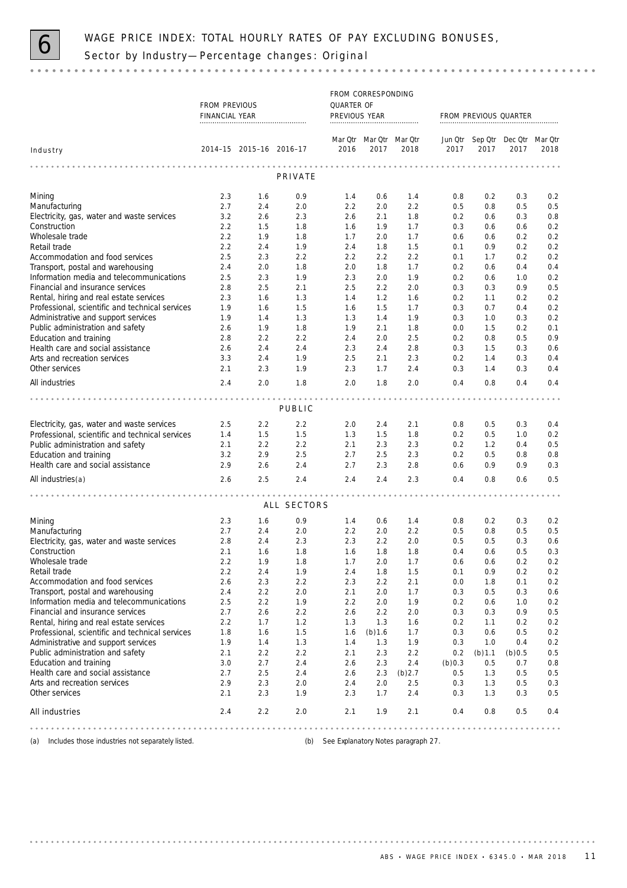

# WAGE PRICE INDEX: TOTAL HOURLY RATES OF PAY EXCLUDING BONUSES,<br>Sector by Industry—Percentage changes: Original

### 

|                                                             | FROM CORRESPONDING<br>QUARTER OF |                         |             |               |                         |            |            |            |                                 |            |
|-------------------------------------------------------------|----------------------------------|-------------------------|-------------|---------------|-------------------------|------------|------------|------------|---------------------------------|------------|
|                                                             | <b>FROM PREVIOUS</b>             |                         |             |               |                         |            |            |            |                                 |            |
|                                                             | FINANCIAL YEAR                   |                         |             | PREVIOUS YEAR |                         |            |            |            | FROM PREVIOUS QUARTER           |            |
|                                                             |                                  |                         |             |               |                         |            |            |            |                                 |            |
|                                                             |                                  |                         |             |               | Mar Qtr Mar Qtr Mar Qtr |            |            |            | Jun Qtr Sep Qtr Dec Qtr Mar Qtr |            |
| Industry                                                    |                                  | 2014-15 2015-16 2016-17 |             | 2016          | 2017                    | 2018       | 2017       | 2017       | 2017                            | 2018       |
|                                                             |                                  |                         |             |               |                         |            |            |            |                                 |            |
|                                                             |                                  |                         | PRIVATE     |               |                         |            |            |            |                                 |            |
| Mining                                                      | 2.3                              | 1.6                     | 0.9         | 1.4           | 0.6                     | 1.4        | 0.8        | 0.2        | 0.3                             | 0.2        |
| Manufacturing                                               | 2.7                              | 2.4                     | 2.0         | 2.2           | 2.0                     | 2.2        | 0.5        | 0.8        | 0.5                             | 0.5        |
| Electricity, gas, water and waste services                  | 3.2                              | 2.6                     | 2.3         | 2.6           | 2.1                     | 1.8        | 0.2        | 0.6        | 0.3                             | 0.8        |
| Construction                                                | 2.2                              | 1.5                     | 1.8         | 1.6           | 1.9                     | 1.7        | 0.3        | 0.6        | 0.6                             | 0.2        |
| Wholesale trade                                             | 2.2                              | 1.9                     | 1.8         | 1.7           | 2.0                     | 1.7        | 0.6        | 0.6        | 0.2                             | 0.2        |
| Retail trade                                                | 2.2                              | 2.4                     | 1.9         | 2.4           | 1.8                     | 1.5        | 0.1        | 0.9        | 0.2                             | 0.2        |
| Accommodation and food services                             | 2.5                              | 2.3                     | 2.2         | 2.2           | 2.2                     | 2.2        | 0.1        | 1.7        | 0.2                             | 0.2        |
| Transport, postal and warehousing                           | 2.4                              | 2.0                     | 1.8         | 2.0           | 1.8                     | 1.7        | 0.2        | 0.6        | 0.4                             | 0.4        |
| Information media and telecommunications                    | 2.5                              | 2.3                     | 1.9         | 2.3           | 2.0                     | 1.9        | 0.2        | 0.6        | 1.0                             | 0.2        |
| Financial and insurance services                            | 2.8                              | 2.5                     | 2.1         | 2.5           | 2.2                     | 2.0        | 0.3        | 0.3        | 0.9                             | 0.5        |
| Rental, hiring and real estate services                     | 2.3                              | 1.6                     | 1.3         | 1.4           | 1.2                     | 1.6        | 0.2        | 1.1        | 0.2                             | 0.2        |
| Professional, scientific and technical services             | 1.9                              | 1.6                     | 1.5         | 1.6           | 1.5                     | 1.7        | 0.3        | 0.7        | 0.4                             | 0.2        |
| Administrative and support services                         | 1.9                              | 1.4                     | 1.3         | 1.3           | 1.4                     | 1.9        | 0.3        | 1.0        | 0.3                             | 0.2        |
| Public administration and safety                            | 2.6<br>2.8                       | 1.9<br>2.2              | 1.8         | 1.9           | 2.1<br>2.0              | 1.8        | 0.0        | 1.5        | 0.2<br>0.5                      | 0.1<br>0.9 |
| Education and training<br>Health care and social assistance | 2.6                              | 2.4                     | 2.2<br>2.4  | 2.4<br>2.3    | 2.4                     | 2.5<br>2.8 | 0.2<br>0.3 | 0.8<br>1.5 | 0.3                             | 0.6        |
| Arts and recreation services                                | 3.3                              | 2.4                     | 1.9         | 2.5           | 2.1                     | 2.3        | 0.2        | 1.4        | 0.3                             | 0.4        |
| Other services                                              | 2.1                              | 2.3                     | 1.9         | 2.3           | 1.7                     | 2.4        | 0.3        | 1.4        | 0.3                             | 0.4        |
| All industries                                              | 2.4                              | 2.0                     | 1.8         | 2.0           | 1.8                     | 2.0        | 0.4        | 0.8        | 0.4                             | 0.4        |
|                                                             |                                  |                         |             |               |                         |            |            |            |                                 |            |
|                                                             |                                  |                         | PUBLIC      | .             | $-0.00$                 |            |            |            | $- - - - -$                     |            |
|                                                             |                                  |                         |             |               |                         |            |            |            |                                 |            |
| Electricity, gas, water and waste services                  | 2.5                              | 2.2                     | 2.2         | 2.0           | 2.4                     | 2.1        | 0.8        | 0.5        | 0.3                             | 0.4        |
| Professional, scientific and technical services             | 1.4                              | 1.5                     | 1.5         | 1.3           | 1.5                     | 1.8        | 0.2        | 0.5        | 1.0                             | 0.2        |
| Public administration and safety                            | 2.1                              | 2.2                     | 2.2         | 2.1           | 2.3                     | 2.3        | 0.2        | 1.2        | 0.4                             | 0.5        |
| Education and training<br>Health care and social assistance | 3.2<br>2.9                       | 2.9<br>2.6              | 2.5<br>2.4  | 2.7<br>2.7    | 2.5<br>2.3              | 2.3<br>2.8 | 0.2<br>0.6 | 0.5<br>0.9 | 0.8<br>0.9                      | 0.8<br>0.3 |
|                                                             |                                  |                         |             | 2.4           |                         |            |            |            |                                 |            |
| All industries(a)                                           | 2.6                              | 2.5                     | 2.4         |               | 2.4                     | 2.3        | 0.4        | 0.8        | 0.6                             | 0.5        |
|                                                             |                                  |                         | ALL SECTORS |               |                         |            |            |            |                                 |            |
|                                                             |                                  |                         |             |               |                         |            |            |            |                                 |            |
| Mining                                                      | 2.3                              | 1.6                     | 0.9         | 1.4           | 0.6                     | 1.4        | 0.8        | 0.2        | 0.3                             | 0.2        |
| Manufacturing                                               | 2.7                              | 2.4                     | 2.0         | 2.2           | 2.0                     | 2.2        | 0.5        | 0.8        | 0.5                             | 0.5        |
| Electricity, gas, water and waste services                  | 2.8                              | 2.4                     | 2.3         | 2.3           | 2.2                     | 2.0        | 0.5        | 0.5        | 0.3                             | 0.6        |
| Construction                                                | 2.1                              | 1.6                     | 1.8         | 1.6           | 1.8                     | 1.8        | 0.4        | 0.6        | 0.5                             | 0.3        |
| Wholesale trade<br>Retail trade                             | 2.2<br>2.2                       | 1.9                     | 1.8         | 1.7           | 2.0                     | 1.7        | 0.6<br>0.1 | 0.6        | 0.2                             | 0.2        |
| Accommodation and food services                             | 2.6                              | 2.4<br>2.3              | 1.9<br>2.2  | 2.4<br>2.3    | 1.8<br>2.2              | 1.5<br>2.1 | 0.0        | 0.9<br>1.8 | 0.2<br>0.1                      | 0.2<br>0.2 |
| Transport, postal and warehousing                           | 2.4                              | 2.2                     | 2.0         | 2.1           | 2.0                     | 1.7        | 0.3        | 0.5        | 0.3                             | 0.6        |
| Information media and telecommunications                    | 2.5                              | 2.2                     | 1.9         | 2.2           | 2.0                     | 1.9        | 0.2        | 0.6        | 1.0                             | 0.2        |
| Financial and insurance services                            | 2.7                              | 2.6                     | 2.2         | 2.6           | 2.2                     | 2.0        | 0.3        | 0.3        | 0.9                             | 0.5        |
| Rental, hiring and real estate services                     | 2.2                              | 1.7                     | 1.2         | 1.3           | 1.3                     | 1.6        | 0.2        | 1.1        | 0.2                             | 0.2        |
| Professional, scientific and technical services             | 1.8                              | 1.6                     | 1.5         | 1.6           | (b) 1.6                 | 1.7        | 0.3        | 0.6        | 0.5                             | 0.2        |
| Administrative and support services                         | 1.9                              | 1.4                     | 1.3         | 1.4           | 1.3                     | 1.9        | 0.3        | 1.0        | 0.4                             | 0.2        |
| Public administration and safety                            | 2.1                              | 2.2                     | 2.2         | 2.1           | 2.3                     | 2.2        | 0.2        | (b) 1.1    | (b)0.5                          | 0.5        |
| Education and training                                      | 3.0                              | 2.7                     | 2.4         | 2.6           | 2.3                     | 2.4        | (b)0.3     | 0.5        | 0.7                             | 0.8        |
| Health care and social assistance                           | 2.7                              | 2.5                     | 2.4         | 2.6           | 2.3                     | $(b)$ 2.7  | 0.5        | 1.3        | 0.5                             | 0.5        |
| Arts and recreation services                                | 2.9                              | 2.3                     | 2.0         | 2.4           | 2.0                     | 2.5        | 0.3        | 1.3        | 0.5                             | 0.3        |
| Other services                                              | 2.1                              | 2.3                     | 1.9         | 2.3           | 1.7                     | 2.4        | 0.3        | 1.3        | 0.3                             | 0.5        |
| All industries                                              | 2.4                              | 2.2                     | 2.0         | 2.1           | 1.9                     | 2.1        | 0.4        | 0.8        | 0.5                             | 0.4        |
|                                                             |                                  |                         |             |               |                         | .          |            |            | .                               |            |

(a) Includes those industries not separately listed. (b) See Explanatory Notes paragraph 27.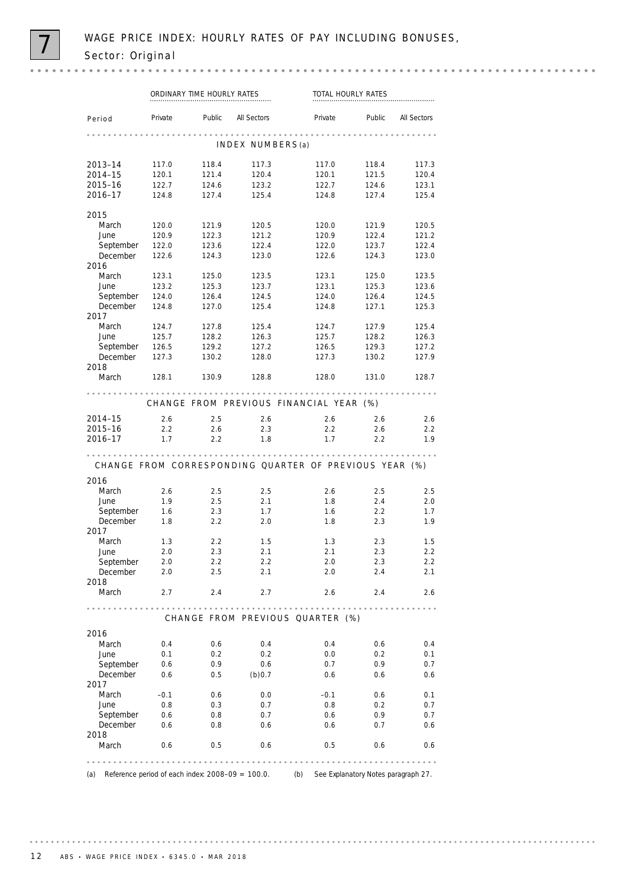|                                                       | ORDINARY TIME HOURLY RATES |         |                                                        | TOTAL HOURLY RATES |        |                                                                                  |  |
|-------------------------------------------------------|----------------------------|---------|--------------------------------------------------------|--------------------|--------|----------------------------------------------------------------------------------|--|
| Period                                                | Private                    | Public  | <b>All Sectors</b>                                     | Private            | Public | <b>All Sectors</b>                                                               |  |
|                                                       |                            |         | INDEX NUMBERS(a)                                       | .                  |        |                                                                                  |  |
| 2013-14                                               | 117.0                      | 118.4   | 117.3                                                  | 117.0              | 118.4  | 117.3                                                                            |  |
| 2014-15                                               | 120.1                      | 121.4   | 120.4                                                  | 120.1              | 121.5  | 120.4                                                                            |  |
| 2015-16                                               | 122.7                      | 124.6   | 123.2                                                  | 122.7              | 124.6  | 123.1                                                                            |  |
| 2016-17                                               | 124.8                      | 127.4   | 125.4                                                  | 124.8              | 127.4  | 125.4                                                                            |  |
| 2015                                                  |                            |         |                                                        |                    |        |                                                                                  |  |
| March                                                 | 120.0                      | 121.9   | 120.5                                                  | 120.0              | 121.9  | 120.5                                                                            |  |
| June                                                  | 120.9                      | 122.3   | 121.2                                                  | 120.9              | 122.4  | 121.2                                                                            |  |
| September                                             | 122.0                      | 123.6   | 122.4                                                  | 122.0              | 123.7  | 122.4                                                                            |  |
| December                                              | 122.6                      | 124.3   | 123.0                                                  | 122.6              | 124.3  | 123.0                                                                            |  |
| 2016                                                  |                            |         |                                                        |                    |        |                                                                                  |  |
| March                                                 | 123.1                      | 125.0   | 123.5                                                  | 123.1              | 125.0  | 123.5                                                                            |  |
| June                                                  | 123.2                      | 125.3   | 123.7                                                  | 123.1              | 125.3  | 123.6                                                                            |  |
| September                                             | 124.0                      | 126.4   | 124.5                                                  | 124.0              | 126.4  | 124.5                                                                            |  |
| December                                              | 124.8                      | 127.0   | 125.4                                                  | 124.8              | 127.1  | 125.3                                                                            |  |
| 2017                                                  |                            |         |                                                        |                    |        |                                                                                  |  |
| March                                                 | 124.7                      | 127.8   | 125.4                                                  | 124.7              | 127.9  | 125.4                                                                            |  |
| June                                                  | 125.7                      | 128.2   | 126.3                                                  | 125.7              | 128.2  | 126.3                                                                            |  |
| September                                             | 126.5                      | 129.2   | 127.2                                                  | 126.5              | 129.3  | 127.2                                                                            |  |
| December                                              | 127.3                      | 130.2   | 128.0                                                  | 127.3              | 130.2  | 127.9                                                                            |  |
| 2018                                                  |                            |         |                                                        |                    |        |                                                                                  |  |
| March                                                 | 128.1                      | 130.9   | 128.8                                                  | 128.0              | 131.0  | 128.7                                                                            |  |
|                                                       |                            |         | CHANGE FROM PREVIOUS FINANCIAL YEAR (%)                |                    |        |                                                                                  |  |
| 2014-15                                               | 2.6                        | 2.5     | 2.6                                                    | 2.6                | 2.6    | 2.6                                                                              |  |
| 2015-16                                               | 2.2                        | 2.6     | 2.3                                                    | 2.2                | 2.6    | 2.2                                                                              |  |
| 2016-17                                               | 1.7                        | $2.2\,$ | 1.8                                                    | 1.7                | 2.2    | 1.9                                                                              |  |
|                                                       |                            |         |                                                        |                    |        |                                                                                  |  |
|                                                       |                            |         | CHANGE FROM CORRESPONDING QUARTER OF PREVIOUS YEAR (%) |                    |        |                                                                                  |  |
|                                                       |                            |         |                                                        |                    |        |                                                                                  |  |
| March                                                 | 2.6                        | 2.5     | 2.5                                                    | 2.6                | 2.5    |                                                                                  |  |
| June                                                  | 1.9                        | 2.5     | 2.1                                                    | 1.8                | 2.4    |                                                                                  |  |
| September                                             | 1.6                        | 2.3     | 1.7                                                    | 1.6                | 2.2    |                                                                                  |  |
| December                                              | 1.8                        | 2.2     | 2.0                                                    | 1.8                | 2.3    |                                                                                  |  |
|                                                       |                            |         |                                                        |                    |        |                                                                                  |  |
| March                                                 | 1.3                        | 2.2     | 1.5                                                    | 1.3                | 2.3    |                                                                                  |  |
| June                                                  | 2.0                        | 2.3     | 2.1                                                    | 2.1                | 2.3    |                                                                                  |  |
| September                                             | 2.0                        | 2.2     | 2.2                                                    | 2.0                | 2.3    |                                                                                  |  |
| December                                              | 2.0                        | 2.5     | 2.1                                                    | 2.0                | 2.4    |                                                                                  |  |
| March                                                 | 2.7                        | 2.4     | 2.7                                                    | 2.6                | 2.4    |                                                                                  |  |
|                                                       |                            |         |                                                        |                    |        |                                                                                  |  |
|                                                       |                            |         | CHANGE FROM PREVIOUS QUARTER (%)                       |                    |        |                                                                                  |  |
|                                                       |                            |         |                                                        |                    |        |                                                                                  |  |
| March                                                 | 0.4                        | 0.6     | 0.4                                                    | 0.4                | 0.6    |                                                                                  |  |
| June                                                  | 0.1                        | 0.2     | 0.2                                                    | 0.0                | 0.2    |                                                                                  |  |
|                                                       | 0.6                        | 0.9     | 0.6                                                    | 0.7                | 0.9    |                                                                                  |  |
| September                                             |                            |         |                                                        |                    |        | 2.5<br>2.0<br>1.7<br>1.9<br>1.5<br>2.2<br>2.2<br>2.1<br>2.6<br>0.4<br>0.1<br>0.7 |  |
| December                                              | 0.6                        | 0.5     | (b)0.7                                                 | 0.6                | 0.6    |                                                                                  |  |
|                                                       |                            |         |                                                        |                    |        |                                                                                  |  |
| March                                                 | $-0.1$                     | 0.6     | 0.0                                                    | $-0.1$             | 0.6    |                                                                                  |  |
| June                                                  | 0.8                        | 0.3     | 0.7                                                    | 0.8                | 0.2    |                                                                                  |  |
| September                                             | 0.6                        | 0.8     | 0.7                                                    | 0.6                | 0.9    |                                                                                  |  |
| December                                              | 0.6                        | 0.8     | 0.6                                                    | 0.6                | 0.7    |                                                                                  |  |
| 2016<br>2017<br>2018<br>2016<br>2017<br>2018<br>March | 0.6                        | 0.5     | 0.6                                                    | 0.5                | 0.6    | 0.6<br>0.1<br>0.7<br>0.7<br>0.6<br>0.6                                           |  |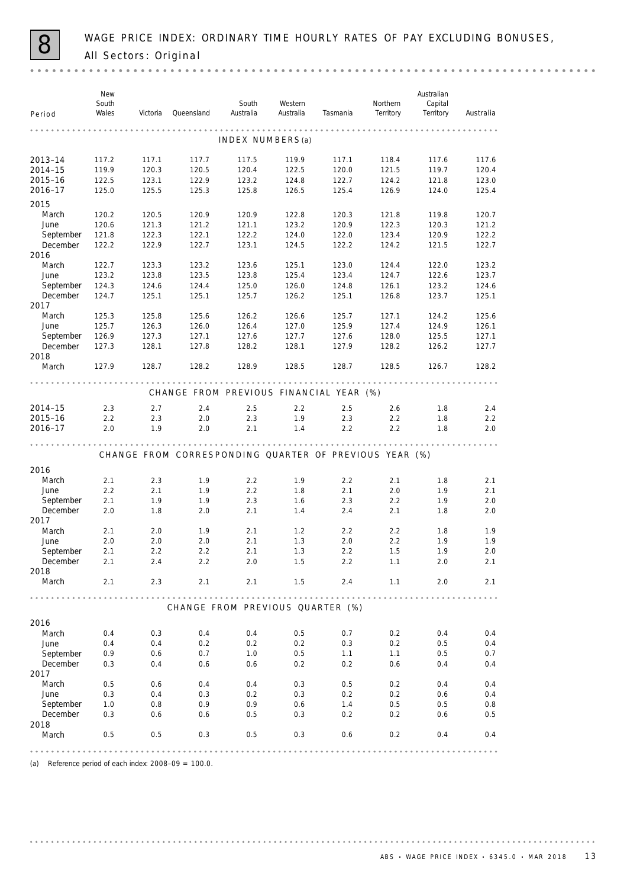WAGE PRICE INDEX: ORDINARY TIME HOURLY RATES OF PAY EXCLUDING BONUSES,<br>All Sectors: Original

| Period           | New<br>South<br>Wales | Victoria | Queensland                                             | South<br>Australia | Western<br>Australia | Tasmania | Northern<br>Territory | Australian<br>Capital<br>Territory | Australia |
|------------------|-----------------------|----------|--------------------------------------------------------|--------------------|----------------------|----------|-----------------------|------------------------------------|-----------|
|                  |                       |          |                                                        |                    |                      |          |                       |                                    |           |
|                  |                       |          |                                                        | INDEX NUMBERS(a)   |                      |          |                       |                                    |           |
| 2013-14          | 117.2                 | 117.1    | 117.7                                                  | 117.5              | 119.9                | 117.1    | 118.4                 | 117.6                              | 117.6     |
| 2014-15          | 119.9                 | 120.3    | 120.5                                                  | 120.4              | 122.5                | 120.0    | 121.5                 | 119.7                              | 120.4     |
| 2015-16          | 122.5                 | 123.1    | 122.9                                                  | 123.2              | 124.8                | 122.7    | 124.2                 | 121.8                              | 123.0     |
| 2016-17          | 125.0                 | 125.5    | 125.3                                                  | 125.8              | 126.5                | 125.4    | 126.9                 | 124.0                              | 125.4     |
| 2015             |                       |          |                                                        |                    |                      |          |                       |                                    |           |
| March            | 120.2                 | 120.5    | 120.9                                                  | 120.9              | 122.8                | 120.3    | 121.8                 | 119.8                              | 120.7     |
| June             | 120.6                 | 121.3    | 121.2                                                  | 121.1              | 123.2                | 120.9    | 122.3                 | 120.3                              | 121.2     |
| September        | 121.8                 | 122.3    | 122.1                                                  | 122.2              | 124.0                | 122.0    | 123.4                 | 120.9                              | 122.2     |
| December         | 122.2                 | 122.9    | 122.7                                                  | 123.1              | 124.5                | 122.2    | 124.2                 | 121.5                              | 122.7     |
| 2016             |                       |          |                                                        |                    |                      |          |                       |                                    |           |
| March            | 122.7                 | 123.3    | 123.2                                                  | 123.6              | 125.1                | 123.0    | 124.4                 | 122.0                              | 123.2     |
| June             | 123.2                 | 123.8    | 123.5                                                  | 123.8              | 125.4                | 123.4    | 124.7                 | 122.6                              | 123.7     |
| September        | 124.3                 | 124.6    | 124.4                                                  | 125.0              | 126.0                | 124.8    | 126.1                 | 123.2                              | 124.6     |
| December<br>2017 | 124.7                 | 125.1    | 125.1                                                  | 125.7              | 126.2                | 125.1    | 126.8                 | 123.7                              | 125.1     |
| March            | 125.3                 | 125.8    | 125.6                                                  | 126.2              | 126.6                | 125.7    | 127.1                 | 124.2                              | 125.6     |
| June             | 125.7                 | 126.3    | 126.0                                                  | 126.4              | 127.0                | 125.9    | 127.4                 | 124.9                              | 126.1     |
| September        | 126.9                 | 127.3    | 127.1                                                  | 127.6              | 127.7                | 127.6    | 128.0                 | 125.5                              | 127.1     |
| December<br>2018 | 127.3                 | 128.1    | 127.8                                                  | 128.2              | 128.1                | 127.9    | 128.2                 | 126.2                              | 127.7     |
| March            | 127.9                 | 128.7    | 128.2                                                  | 128.9              | 128.5                | 128.7    | 128.5                 | 126.7                              | 128.2     |
|                  |                       |          | CHANGE FROM PREVIOUS FINANCIAL YEAR (%)                |                    |                      |          |                       |                                    |           |
| 2014-15          | 2.3                   | 2.7      | 2.4                                                    | 2.5                | 2.2                  | 2.5      | 2.6                   | 1.8                                | 2.4       |
| 2015-16          | 2.2                   | 2.3      | 2.0                                                    | 2.3                | 1.9                  | 2.3      | 2.2                   | 1.8                                | 2.2       |
| 2016-17          | 2.0                   | 1.9      | 2.0                                                    | 2.1                | 1.4                  | 2.2      | 2.2                   | 1.8                                | 2.0       |
|                  |                       |          | CHANGE FROM CORRESPONDING QUARTER OF PREVIOUS YEAR (%) |                    |                      |          |                       |                                    |           |
|                  |                       |          |                                                        |                    |                      |          |                       |                                    |           |
| 2016             |                       |          |                                                        |                    |                      |          |                       |                                    |           |
| March            | 2.1                   | 2.3      | 1.9                                                    | 2.2                | 1.9                  | 2.2      | 2.1                   | 1.8                                | 2.1       |
| June             | 2.2                   | 2.1      | 1.9                                                    | 2.2                | 1.8                  | 2.1      | 2.0                   | 1.9                                | 2.1       |
| September        | 2.1                   | 1.9      | 1.9                                                    | 2.3                | 1.6                  | 2.3      | 2.2                   | 1.9                                | 2.0       |
| December<br>2017 | 2.0                   | 1.8      | 2.0                                                    | 2.1                | 1.4                  | 2.4      | 2.1                   | 1.8                                | 2.0       |
| March            | 2.1                   | 2.0      | 1.9                                                    | 2.1                | 1.2                  | 2.2      | 2.2                   | 1.8                                | 1.9       |
| June             | 2.0                   | 2.0      | 2.0                                                    | 2.1                | 1.3                  | 2.0      | 2.2                   | 1.9                                | 1.9       |
| September        | 2.1                   | 2.2      | 2.2                                                    | 2.1                | 1.3                  | 2.2      | 1.5                   | 1.9                                | 2.0       |
| December         | 2.1                   | 2.4      | 2.2                                                    | 2.0                | 1.5                  | 2.2      | 1.1                   | 2.0                                | 2.1       |
| 2018             |                       |          |                                                        |                    |                      |          |                       |                                    |           |
| March            | 2.1                   | 2.3      | 2.1                                                    | 2.1                | 1.5                  | 2.4      | 1.1                   | 2.0                                | 2.1       |
|                  |                       |          | CHANGE FROM PREVIOUS QUARTER (%)                       |                    |                      |          |                       |                                    |           |
| 2016             |                       |          |                                                        |                    |                      |          |                       |                                    |           |
| March            | 0.4                   | 0.3      | 0.4                                                    | 0.4                | 0.5                  | 0.7      | 0.2                   | 0.4                                | 0.4       |
| June             | 0.4                   | 0.4      | 0.2                                                    | 0.2                | 0.2                  | 0.3      | 0.2                   | 0.5                                | 0.4       |
| September        | 0.9                   | 0.6      | 0.7                                                    | 1.0                | 0.5                  | 1.1      | 1.1                   | 0.5                                | 0.7       |
| December         | 0.3                   | 0.4      | 0.6                                                    | 0.6                | 0.2                  | 0.2      | 0.6                   | 0.4                                | 0.4       |
| 2017             |                       |          |                                                        |                    |                      |          |                       |                                    |           |
| March            | 0.5                   | 0.6      | 0.4                                                    | 0.4                | 0.3                  | 0.5      | 0.2                   | 0.4                                | 0.4       |
| June             | 0.3                   | 0.4      | 0.3                                                    | 0.2                | 0.3                  | 0.2      | 0.2                   | 0.6                                | 0.4       |
| September        | 1.0                   | 0.8      | 0.9                                                    | 0.9                | 0.6                  | 1.4      | 0.5                   | 0.5                                | 0.8       |
| December         | 0.3                   | 0.6      | 0.6                                                    | 0.5                | 0.3                  | 0.2      | 0.2                   | 0.6                                | 0.5       |
| 2018             |                       |          |                                                        |                    |                      |          |                       |                                    |           |
| March            | 0.5                   | 0.5      | 0.3                                                    | 0.5                | 0.3                  | 0.6      | 0.2                   | 0.4                                | 0.4       |
|                  |                       |          |                                                        |                    |                      |          |                       |                                    |           |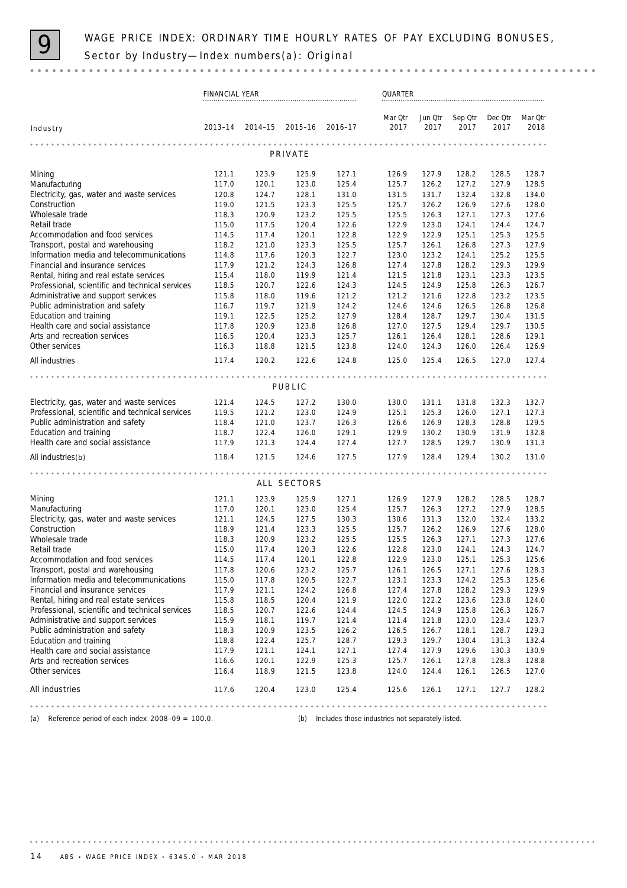

|                                                                              | FINANCIAL YEAR |                |                |                                                      | QUARTER         |                 |                 |                 |                 |
|------------------------------------------------------------------------------|----------------|----------------|----------------|------------------------------------------------------|-----------------|-----------------|-----------------|-----------------|-----------------|
| Industry                                                                     | 2013-14        | $2014 - 15$    | 2015–16        | $2016 - 17$                                          | Mar Qtr<br>2017 | Jun Qtr<br>2017 | Sep Otr<br>2017 | Dec Qtr<br>2017 | Mar Qtr<br>2018 |
|                                                                              |                |                |                |                                                      |                 |                 |                 |                 |                 |
|                                                                              |                |                | PRIVATE        |                                                      |                 |                 |                 |                 |                 |
| Mining                                                                       | 121.1          | 123.9          | 125.9          | 127.1                                                | 126.9           | 127.9           | 128.2           | 128.5           | 128.7           |
| Manufacturing                                                                | 117.0          | 120.1          | 123.0          | 125.4                                                | 125.7           | 126.2           | 127.2           | 127.9           | 128.5           |
| Electricity, gas, water and waste services                                   | 120.8          | 124.7          | 128.1          | 131.0                                                | 131.5           | 131.7           | 132.4           | 132.8           | 134.0           |
| Construction                                                                 | 119.0          | 121.5          | 123.3          | 125.5                                                | 125.7           | 126.2           | 126.9           | 127.6           | 128.0           |
| Wholesale trade                                                              | 118.3          | 120.9          | 123.2          | 125.5                                                | 125.5           | 126.3           | 127.1           | 127.3           | 127.6           |
| Retail trade                                                                 | 115.0          | 117.5          | 120.4          | 122.6                                                | 122.9           | 123.0           | 124.1           | 124.4           | 124.7           |
| Accommodation and food services                                              | 114.5          | 117.4          | 120.1          | 122.8                                                | 122.9           | 122.9           | 125.1           | 125.3           | 125.5           |
| Transport, postal and warehousing                                            | 118.2          | 121.0          | 123.3          | 125.5                                                | 125.7           | 126.1           | 126.8           | 127.3           | 127.9           |
| Information media and telecommunications<br>Financial and insurance services | 114.8<br>117.9 | 117.6<br>121.2 | 120.3<br>124.3 | 122.7<br>126.8                                       | 123.0<br>127.4  | 123.2<br>127.8  | 124.1<br>128.2  | 125.2<br>129.3  | 125.5<br>129.9  |
| Rental, hiring and real estate services                                      | 115.4          | 118.0          | 119.9          | 121.4                                                | 121.5           | 121.8           | 123.1           | 123.3           | 123.5           |
| Professional, scientific and technical services                              | 118.5          | 120.7          | 122.6          | 124.3                                                | 124.5           | 124.9           | 125.8           | 126.3           | 126.7           |
| Administrative and support services                                          | 115.8          | 118.0          | 119.6          | 121.2                                                | 121.2           | 121.6           | 122.8           | 123.2           | 123.5           |
| Public administration and safety                                             | 116.7          | 119.7          | 121.9          | 124.2                                                | 124.6           | 124.6           | 126.5           | 126.8           | 126.8           |
| Education and training                                                       | 119.1          | 122.5          | 125.2          | 127.9                                                | 128.4           | 128.7           | 129.7           | 130.4           | 131.5           |
| Health care and social assistance                                            | 117.8          | 120.9          | 123.8          | 126.8                                                | 127.0           | 127.5           | 129.4           | 129.7           | 130.5           |
| Arts and recreation services                                                 | 116.5          | 120.4          | 123.3          | 125.7                                                | 126.1           | 126.4           | 128.1           | 128.6           | 129.1           |
| Other services                                                               | 116.3          | 118.8          | 121.5          | 123.8                                                | 124.0           | 124.3           | 126.0           | 126.4           | 126.9           |
| All industries                                                               | 117.4          | 120.2          | 122.6          | 124.8                                                | 125.0           | 125.4           | 126.5           | 127.0           | 127.4           |
|                                                                              |                |                |                |                                                      |                 |                 |                 |                 |                 |
|                                                                              |                |                | PUBLIC         |                                                      |                 |                 |                 |                 |                 |
| Electricity, gas, water and waste services                                   | 121.4          | 124.5          | 127.2          | 130.0                                                | 130.0           | 131.1           | 131.8           | 132.3           | 132.7           |
| Professional, scientific and technical services                              | 119.5          | 121.2          | 123.0          | 124.9                                                | 125.1           | 125.3           | 126.0           | 127.1           | 127.3           |
| Public administration and safety                                             | 118.4          | 121.0          | 123.7          | 126.3                                                | 126.6           | 126.9           | 128.3           | 128.8           | 129.5           |
| Education and training                                                       | 118.7          | 122.4          | 126.0          | 129.1                                                | 129.9           | 130.2           | 130.9           | 131.9           | 132.8           |
| Health care and social assistance                                            | 117.9          | 121.3          | 124.4          | 127.4                                                | 127.7           | 128.5           | 129.7           | 130.9           | 131.3           |
| All industries(b)                                                            | 118.4          | 121.5          | 124.6          | 127.5                                                | 127.9           | 128.4           | 129.4           | 130.2           | 131.0           |
|                                                                              |                |                |                |                                                      |                 |                 |                 |                 |                 |
|                                                                              |                |                | ALL SECTORS    |                                                      |                 |                 |                 |                 |                 |
| Mining                                                                       | 121.1          | 123.9          | 125.9          | 127.1                                                | 126.9           | 127.9           | 128.2           | 128.5           | 128.7           |
| Manufacturing                                                                | 117.0          | 120.1          | 123.0          | 125.4                                                | 125.7           | 126.3           | 127.2           | 127.9           | 128.5           |
| Electricity, gas, water and waste services                                   | 121.1          | 124.5          | 127.5          | 130.3                                                | 130.6           | 131.3           | 132.0           | 132.4           | 133.2           |
| Construction                                                                 | 118.9          | 121.4          | 123.3          | 125.5                                                | 125.7           | 126.2           | 126.9           | 127.6           | 128.0           |
| Wholesale trade                                                              | 118.3          | 120.9          | 123.2          | 125.5                                                | 125.5           | 126.3           | 127.1           | 127.3           | 127.6           |
| Retail trade                                                                 | 115.0          | 117.4          | 120.3          | 122.6                                                | 122.8           | 123.0           | 124.1           | 124.3           | 124.7           |
| Accommodation and food services                                              | 114.5          | 117.4          | 120.1          | 122.8                                                | 122.9           | 123.0           | 125.1           | 125.3           | 125.6           |
| Transport, postal and warehousing                                            | 117.8          | 120.6          | 123.2          | 125.7                                                | 126.1           | 126.5           | 127.1           | 127.6           | 128.3           |
| Information media and telecommunications                                     | 115.0          | 117.8          | 120.5          | 122.7                                                | 123.1           | 123.3           | 124.2           | 125.3           | 125.6           |
| Financial and insurance services                                             | 117.9          | 121.1          | 124.2          | 126.8                                                | 127.4           | 127.8           | 128.2           | 129.3           | 129.9           |
| Rental, hiring and real estate services                                      | 115.8          | 118.5          | 120.4          | 121.9                                                | 122.0           | 122.2           | 123.6           | 123.8           | 124.0           |
| Professional, scientific and technical services                              | 118.5          | 120.7          | 122.6          | 124.4                                                | 124.5           | 124.9           | 125.8           | 126.3           | 126.7           |
| Administrative and support services                                          | 115.9          | 118.1          | 119.7          | 121.4                                                | 121.4           | 121.8           | 123.0           | 123.4           | 123.7           |
| Public administration and safety<br>Education and training                   | 118.3<br>118.8 | 120.9<br>122.4 | 123.5<br>125.7 | 126.2<br>128.7                                       | 126.5<br>129.3  | 126.7<br>129.7  | 128.1<br>130.4  | 128.7<br>131.3  | 129.3<br>132.4  |
| Health care and social assistance                                            | 117.9          | 121.1          | 124.1          | 127.1                                                | 127.4           | 127.9           | 129.6           | 130.3           | 130.9           |
| Arts and recreation services                                                 | 116.6          | 120.1          | 122.9          | 125.3                                                | 125.7           | 126.1           | 127.8           | 128.3           | 128.8           |
| Other services                                                               | 116.4          | 118.9          | 121.5          | 123.8                                                | 124.0           | 124.4           | 126.1           | 126.5           | 127.0           |
| All industries                                                               | 117.6          | 120.4          | 123.0          | 125.4                                                | 125.6           | 126.1           | 127.1           | 127.7           | 128.2           |
|                                                                              |                |                |                |                                                      |                 |                 |                 |                 |                 |
| Reference period of each index: $2008-09 = 100.0$ .<br>(a)                   |                |                |                | (b) Includes those industries not separately listed. |                 |                 |                 |                 |                 |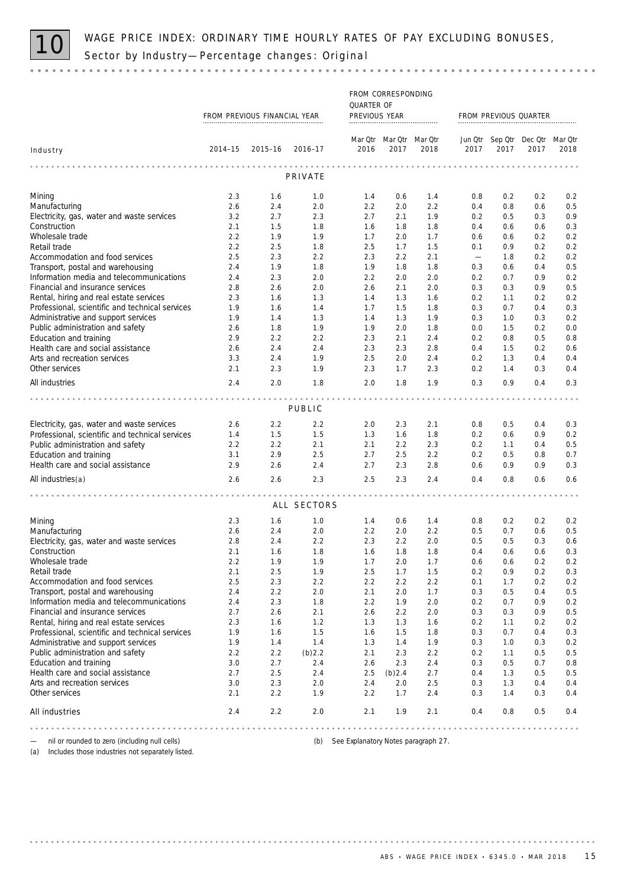

|                                                                               | FROM PREVIOUS FINANCIAL YEAR |            |                 | FROM CORRESPONDING<br>QUARTER OF<br>PREVIOUS YEAR |            |            |            |                 | FROM PREVIOUS QUARTER                   |            |
|-------------------------------------------------------------------------------|------------------------------|------------|-----------------|---------------------------------------------------|------------|------------|------------|-----------------|-----------------------------------------|------------|
|                                                                               |                              |            |                 |                                                   |            |            |            |                 |                                         |            |
| Industry                                                                      | $2014 - 15$                  |            | 2015-16 2016-17 | Mar Qtr Mar Qtr Mar Qtr<br>2016                   | 2017       | 2018       | 2017       | 2017            | Jun Qtr Sep Qtr Dec Qtr Mar Qtr<br>2017 | 2018       |
|                                                                               |                              |            |                 |                                                   |            |            |            |                 |                                         |            |
|                                                                               |                              |            | PRIVATE         |                                                   |            |            |            |                 |                                         |            |
| Mining                                                                        | 2.3                          | 1.6        | 1.0             | 1.4                                               | 0.6        | 1.4        | 0.8        | 0.2             | 0.2                                     | 0.2        |
| Manufacturing                                                                 | 2.6                          | 2.4        | 2.0             | 2.2                                               | 2.0        | 2.2        | 0.4        | 0.8             | 0.6                                     | 0.5        |
| Electricity, gas, water and waste services                                    | 3.2                          | 2.7        | 2.3             | 2.7                                               | 2.1        | 1.9        | 0.2        | 0.5             | 0.3                                     | 0.9        |
| Construction                                                                  | 2.1                          | 1.5        | 1.8             | 1.6                                               | 1.8        | 1.8        | 0.4        | 0.6             | 0.6                                     | 0.3        |
| Wholesale trade                                                               | 2.2                          | 1.9        | 1.9             | 1.7                                               | 2.0        | 1.7        | 0.6        | 0.6             | 0.2                                     | 0.2        |
| Retail trade                                                                  | 2.2                          | 2.5        | 1.8             | 2.5                                               | 1.7        | 1.5        | 0.1        | 0.9             | 0.2                                     | 0.2        |
| Accommodation and food services                                               | 2.5                          | 2.3        | 2.2             | 2.3                                               | 2.2        | 2.1        |            | 1.8             | 0.2                                     | 0.2        |
| Transport, postal and warehousing<br>Information media and telecommunications | 2.4<br>2.4                   | 1.9<br>2.3 | 1.8<br>2.0      | 1.9<br>2.2                                        | 1.8<br>2.0 | 1.8<br>2.0 | 0.3<br>0.2 | 0.6<br>0.7      | 0.4<br>0.9                              | 0.5<br>0.2 |
| Financial and insurance services                                              | 2.8                          | 2.6        | 2.0             | 2.6                                               | 2.1        | 2.0        | 0.3        | 0.3             | 0.9                                     | 0.5        |
| Rental, hiring and real estate services                                       | 2.3                          | 1.6        | 1.3             | 1.4                                               | 1.3        | 1.6        | 0.2        | 1.1             | 0.2                                     | 0.2        |
| Professional, scientific and technical services                               | 1.9                          | 1.6        | 1.4             | 1.7                                               | 1.5        | 1.8        | 0.3        | 0.7             | 0.4                                     | 0.3        |
| Administrative and support services                                           | 1.9                          | 1.4        | 1.3             | 1.4                                               | 1.3        | 1.9        | 0.3        | 1.0             | 0.3                                     | 0.2        |
| Public administration and safety                                              | 2.6                          | 1.8        | 1.9             | 1.9                                               | 2.0        | 1.8        | 0.0        | 1.5             | 0.2                                     | 0.0        |
| Education and training                                                        | 2.9                          | 2.2        | 2.2             | 2.3                                               | 2.1        | 2.4        | 0.2        | 0.8             | 0.5                                     | 0.8        |
| Health care and social assistance                                             | 2.6                          | 2.4        | 2.4             | 2.3                                               | 2.3        | 2.8        | 0.4        | 1.5             | 0.2                                     | 0.6        |
| Arts and recreation services                                                  | 3.3                          | 2.4        | 1.9             | 2.5                                               | 2.0        | 2.4        | 0.2        | 1.3             | 0.4                                     | 0.4        |
| Other services                                                                | 2.1                          | 2.3        | 1.9             | 2.3                                               | 1.7        | 2.3        | 0.2        | 1.4             | 0.3                                     | 0.4        |
| All industries                                                                | 2.4                          | 2.0        | 1.8             | 2.0                                               | 1.8        | 1.9        | 0.3        | 0.9             | 0.4                                     | 0.3        |
|                                                                               |                              |            |                 | .                                                 |            |            |            | $- - - - - - -$ | .                                       |            |
|                                                                               |                              |            | PUBLIC          |                                                   |            |            |            |                 |                                         |            |
| Electricity, gas, water and waste services                                    | 2.6                          | 2.2        | 2.2             | 2.0                                               | 2.3        | 2.1        | 0.8        | 0.5             | 0.4                                     | 0.3        |
| Professional, scientific and technical services                               | 1.4                          | 1.5        | 1.5             | 1.3                                               | 1.6        | 1.8        | 0.2        | 0.6             | 0.9                                     | 0.2        |
| Public administration and safety                                              | 2.2                          | 2.2        | 2.1             | 2.1                                               | 2.2        | 2.3        | 0.2        | 1.1             | 0.4                                     | 0.5        |
| Education and training                                                        | 3.1                          | 2.9        | 2.5             | 2.7                                               | 2.5        | 2.2        | 0.2        | 0.5             | 0.8                                     | 0.7        |
| Health care and social assistance                                             | 2.9                          | 2.6        | 2.4             | 2.7                                               | 2.3        | 2.8        | 0.6        | 0.9             | 0.9                                     | 0.3        |
| All industries(a)                                                             | 2.6                          | 2.6        | 2.3             | 2.5                                               | 2.3        | 2.4        | 0.4        | 0.8             | 0.6                                     | 0.6        |
|                                                                               | .                            |            |                 |                                                   |            |            |            |                 |                                         |            |
|                                                                               |                              |            | ALL SECTORS     |                                                   |            |            |            |                 |                                         |            |
| Mining                                                                        | 2.3                          | 1.6        | 1.0             | 1.4                                               | 0.6        | 1.4        | 0.8        | 0.2             | 0.2                                     | 0.2        |
| Manufacturing                                                                 | 2.6                          | 2.4        | 2.0             | 2.2                                               | 2.0        | 2.2        | 0.5        | 0.7             | 0.6                                     | 0.5        |
| Electricity, gas, water and waste services                                    | 2.8                          | 2.4        | 2.2             | 2.3                                               | 2.2        | 2.0        | 0.5        | 0.5             | 0.3                                     | 0.6        |
| Construction                                                                  | 2.1                          | 1.6        | 1.8             | 1.6                                               | 1.8        | 1.8        | 0.4        | 0.6             | 0.6                                     | 0.3        |
| Wholesale trade                                                               | 2.2                          | 1.9        | 1.9             | 1.7                                               | 2.0        | 1.7        | 0.6        | 0.6             | 0.2                                     | $0.2\,$    |
| Retail trade                                                                  | 2.1                          | 2.5        | 1.9             | 2.5                                               | 1.7        | 1.5        | 0.2        | 0.9             | 0.2                                     | 0.3        |
| Accommodation and food services                                               | 2.5                          | 2.3        | 2.2             | 2.2                                               | 2.2        | 2.2        | 0.1        | 1.7             | 0.2                                     | 0.2        |
| Transport, postal and warehousing                                             | 2.4                          | 2.2        | 2.0             | 2.1                                               | 2.0        | 1.7        | 0.3        | 0.5             | 0.4                                     | 0.5        |
| Information media and telecommunications                                      | 2.4                          | 2.3        | 1.8             | 2.2                                               | 1.9        | 2.0        | 0.2        | 0.7             | 0.9                                     | 0.2        |
| Financial and insurance services<br>Rental, hiring and real estate services   | 2.7<br>2.3                   | 2.6<br>1.6 | 2.1<br>1.2      | 2.6<br>1.3                                        | 2.2<br>1.3 | 2.0<br>1.6 | 0.3<br>0.2 | 0.3<br>1.1      | 0.9<br>0.2                              | 0.5<br>0.2 |
| Professional, scientific and technical services                               | 1.9                          | 1.6        | 1.5             | 1.6                                               | 1.5        | 1.8        | 0.3        | 0.7             | 0.4                                     | 0.3        |
| Administrative and support services                                           | 1.9                          | 1.4        | 1.4             | 1.3                                               | 1.4        | 1.9        | 0.3        | 1.0             | 0.3                                     | 0.2        |
| Public administration and safety                                              | 2.2                          | 2.2        | $(b)$ 2.2       | 2.1                                               | 2.3        | 2.2        | 0.2        | 1.1             | 0.5                                     | 0.5        |
| Education and training                                                        | 3.0                          | 2.7        | 2.4             | 2.6                                               | 2.3        | 2.4        | 0.3        | 0.5             | 0.7                                     | 0.8        |
| Health care and social assistance                                             | 2.7                          | 2.5        | 2.4             | 2.5                                               | $(b)$ 2.4  | 2.7        | 0.4        | 1.3             | 0.5                                     | 0.5        |
| Arts and recreation services                                                  | 3.0                          | 2.3        | 2.0             | 2.4                                               | 2.0        | 2.5        | 0.3        | 1.3             | 0.4                                     | 0.4        |
| Other services                                                                | 2.1                          | 2.2        | 1.9             | 2.2                                               | 1.7        | 2.4        | 0.3        | 1.4             | 0.3                                     | 0.4        |
| All industries                                                                | 2.4                          | 2.2        | 2.0             | 2.1                                               | 1.9        | 2.1        | 0.4        | 0.8             | 0.5                                     | 0.4        |
|                                                                               |                              |            |                 |                                                   |            |            |            |                 |                                         |            |

— nil or rounded to zero (including null cells) (b) See Explanatory Notes paragraph 27.

(a) Includes those industries not separately listed.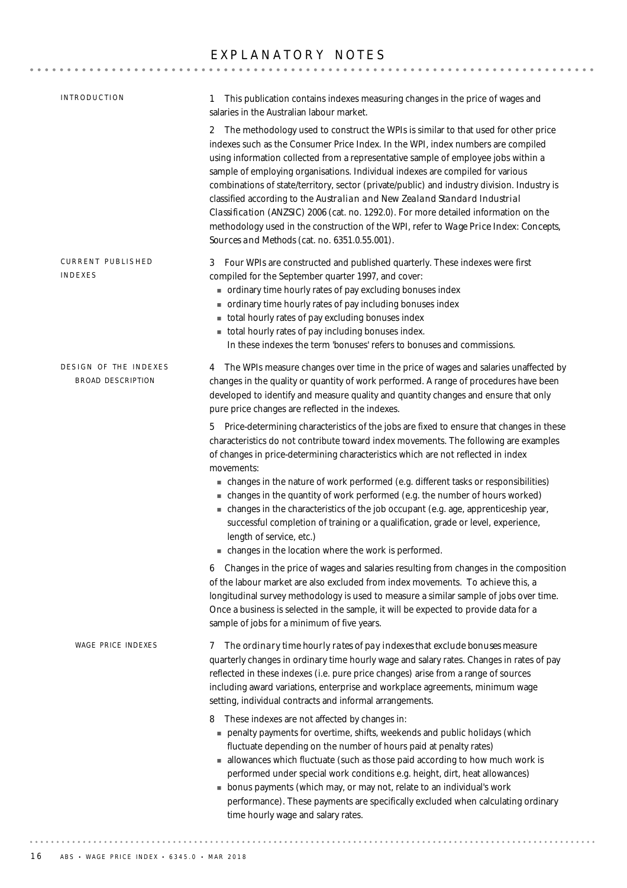# EXPLANATORY NOTES

| INTRODUCTION                                      | This publication contains indexes measuring changes in the price of wages and<br>1<br>salaries in the Australian labour market.                                                                                                                                                                                                                                                                                                                                                                                                                                                                                                                                                                                                                                 |
|---------------------------------------------------|-----------------------------------------------------------------------------------------------------------------------------------------------------------------------------------------------------------------------------------------------------------------------------------------------------------------------------------------------------------------------------------------------------------------------------------------------------------------------------------------------------------------------------------------------------------------------------------------------------------------------------------------------------------------------------------------------------------------------------------------------------------------|
|                                                   | 2 The methodology used to construct the WPIs is similar to that used for other price<br>indexes such as the Consumer Price Index. In the WPI, index numbers are compiled<br>using information collected from a representative sample of employee jobs within a<br>sample of employing organisations. Individual indexes are compiled for various<br>combinations of state/territory, sector (private/public) and industry division. Industry is<br>classified according to the Australian and New Zealand Standard Industrial<br>Classification (ANZSIC) 2006 (cat. no. 1292.0). For more detailed information on the<br>methodology used in the construction of the WPI, refer to Wage Price Index: Concepts,<br>Sources and Methods (cat. no. 6351.0.55.001). |
| CURRENT PUBLISHED<br>INDEXES                      | 3 Four WPIs are constructed and published quarterly. These indexes were first<br>compiled for the September quarter 1997, and cover:<br>ordinary time hourly rates of pay excluding bonuses index<br>ordinary time hourly rates of pay including bonuses index<br>total hourly rates of pay excluding bonuses index<br>total hourly rates of pay including bonuses index.<br>In these indexes the term 'bonuses' refers to bonuses and commissions.                                                                                                                                                                                                                                                                                                             |
| DESIGN OF THE INDEXES<br><b>BROAD DESCRIPTION</b> | 4 The WPIs measure changes over time in the price of wages and salaries unaffected by<br>changes in the quality or quantity of work performed. A range of procedures have been<br>developed to identify and measure quality and quantity changes and ensure that only<br>pure price changes are reflected in the indexes.                                                                                                                                                                                                                                                                                                                                                                                                                                       |
|                                                   | 5 Price-determining characteristics of the jobs are fixed to ensure that changes in these<br>characteristics do not contribute toward index movements. The following are examples<br>of changes in price-determining characteristics which are not reflected in index<br>movements:<br>• changes in the nature of work performed (e.g. different tasks or responsibilities)<br>• changes in the quantity of work performed (e.g. the number of hours worked)                                                                                                                                                                                                                                                                                                    |
|                                                   | - changes in the characteristics of the job occupant (e.g. age, apprenticeship year,<br>successful completion of training or a qualification, grade or level, experience,<br>length of service, etc.)<br>- changes in the location where the work is performed.                                                                                                                                                                                                                                                                                                                                                                                                                                                                                                 |
|                                                   | 6 Changes in the price of wages and salaries resulting from changes in the composition<br>of the labour market are also excluded from index movements. To achieve this, a<br>longitudinal survey methodology is used to measure a similar sample of jobs over time.<br>Once a business is selected in the sample, it will be expected to provide data for a<br>sample of jobs for a minimum of five years.                                                                                                                                                                                                                                                                                                                                                      |
| <b>WAGE PRICE INDEXES</b>                         | The ordinary time hourly rates of pay indexes that exclude bonuses measure<br>7<br>quarterly changes in ordinary time hourly wage and salary rates. Changes in rates of pay<br>reflected in these indexes (i.e. pure price changes) arise from a range of sources<br>including award variations, enterprise and workplace agreements, minimum wage<br>setting, individual contracts and informal arrangements.                                                                                                                                                                                                                                                                                                                                                  |
|                                                   | These indexes are not affected by changes in:<br>8<br>penalty payments for overtime, shifts, weekends and public holidays (which<br>fluctuate depending on the number of hours paid at penalty rates)<br>allowances which fluctuate (such as those paid according to how much work is<br>performed under special work conditions e.g. height, dirt, heat allowances)<br>bonus payments (which may, or may not, relate to an individual's work<br>performance). These payments are specifically excluded when calculating ordinary<br>time hourly wage and salary rates.                                                                                                                                                                                         |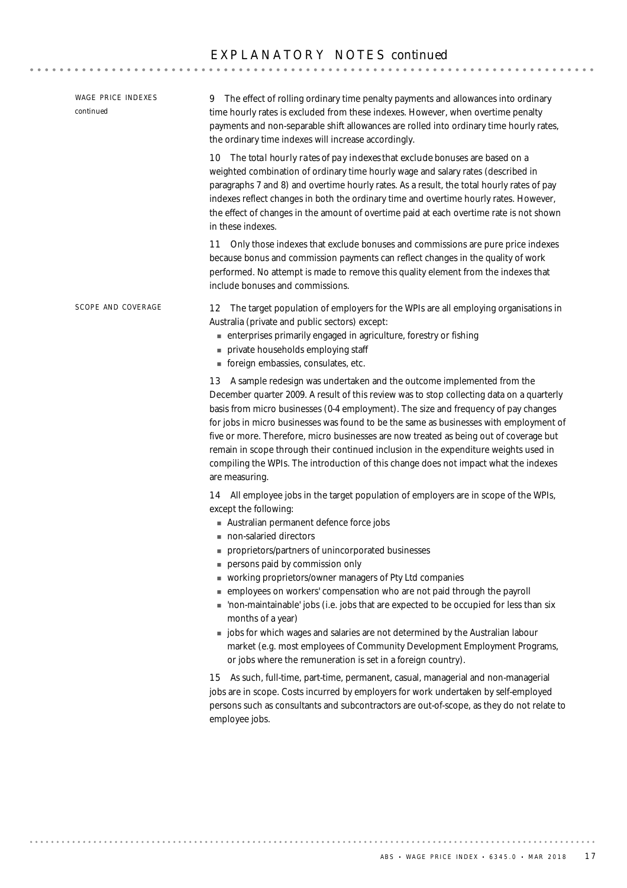| <b>WAGE PRICE INDEXES</b><br>continued | 9 The effect of rolling ordinary time penalty payments and allowances into ordinary<br>time hourly rates is excluded from these indexes. However, when overtime penalty<br>payments and non-separable shift allowances are rolled into ordinary time hourly rates,<br>the ordinary time indexes will increase accordingly.                                                                                                                                                                                                                                                                                                                                                                                                                                   |
|----------------------------------------|--------------------------------------------------------------------------------------------------------------------------------------------------------------------------------------------------------------------------------------------------------------------------------------------------------------------------------------------------------------------------------------------------------------------------------------------------------------------------------------------------------------------------------------------------------------------------------------------------------------------------------------------------------------------------------------------------------------------------------------------------------------|
|                                        | 10 The total hourly rates of pay indexes that exclude bonuses are based on a<br>weighted combination of ordinary time hourly wage and salary rates (described in<br>paragraphs 7 and 8) and overtime hourly rates. As a result, the total hourly rates of pay<br>indexes reflect changes in both the ordinary time and overtime hourly rates. However,<br>the effect of changes in the amount of overtime paid at each overtime rate is not shown<br>in these indexes.                                                                                                                                                                                                                                                                                       |
|                                        | Only those indexes that exclude bonuses and commissions are pure price indexes<br>11<br>because bonus and commission payments can reflect changes in the quality of work<br>performed. No attempt is made to remove this quality element from the indexes that<br>include bonuses and commissions.                                                                                                                                                                                                                                                                                                                                                                                                                                                           |
| SCOPE AND COVERAGE                     | The target population of employers for the WPIs are all employing organisations in<br>12<br>Australia (private and public sectors) except:<br>enterprises primarily engaged in agriculture, forestry or fishing<br>private households employing staff<br>foreign embassies, consulates, etc.                                                                                                                                                                                                                                                                                                                                                                                                                                                                 |
|                                        | 13 A sample redesign was undertaken and the outcome implemented from the<br>December quarter 2009. A result of this review was to stop collecting data on a quarterly<br>basis from micro businesses (0-4 employment). The size and frequency of pay changes<br>for jobs in micro businesses was found to be the same as businesses with employment of<br>five or more. Therefore, micro businesses are now treated as being out of coverage but<br>remain in scope through their continued inclusion in the expenditure weights used in<br>compiling the WPIs. The introduction of this change does not impact what the indexes<br>are measuring.                                                                                                           |
|                                        | 14 All employee jobs in the target population of employers are in scope of the WPIs,<br>except the following:<br>Australian permanent defence force jobs<br>non-salaried directors<br>proprietors/partners of unincorporated businesses<br>persons paid by commission only<br>vorking proprietors/owner managers of Pty Ltd companies<br>memployees on workers' compensation who are not paid through the payroll<br>non-maintainable' jobs (i.e. jobs that are expected to be occupied for less than six<br>months of a year)<br>jobs for which wages and salaries are not determined by the Australian labour<br>market (e.g. most employees of Community Development Employment Programs,<br>or jobs where the remuneration is set in a foreign country). |
|                                        | 15 As such, full-time, part-time, permanent, casual, managerial and non-managerial<br>jobs are in scope. Costs incurred by employers for work undertaken by self-employed<br>persons such as consultants and subcontractors are out-of-scope, as they do not relate to<br>employee jobs.                                                                                                                                                                                                                                                                                                                                                                                                                                                                     |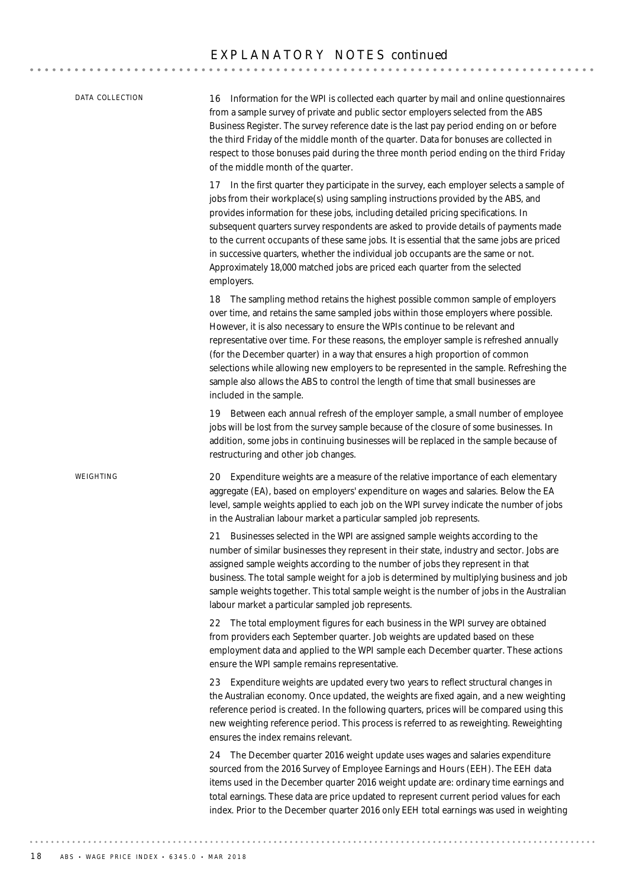20 Expenditure weights are a measure of the relative importance of each elementary aggregate (EA), based on employers' expenditure on wages and salaries. Below the EA level, sample weights applied to each job on the WPI survey indicate the number of jobs in the Australian labour market a particular sampled job represents. 21 Businesses selected in the WPI are assigned sample weights according to the number of similar businesses they represent in their state, industry and sector. Jobs are assigned sample weights according to the number of jobs they represent in that business. The total sample weight for a job is determined by multiplying business and job sample weights together. This total sample weight is the number of jobs in the Australian labour market a particular sampled job represents. 22 The total employment figures for each business in the WPI survey are obtained from providers each September quarter. Job weights are updated based on these employment data and applied to the WPI sample each December quarter. These actions ensure the WPI sample remains representative. 23 Expenditure weights are updated every two years to reflect structural changes in the Australian economy. Once updated, the weights are fixed again, and a new weighting reference period is created. In the following quarters, prices will be compared using this new weighting reference period. This process is referred to as reweighting. Reweighting ensures the index remains relevant. 24 The December quarter 2016 weight update uses wages and salaries expenditure sourced from the 2016 Survey of Employee Earnings and Hours (EEH). The EEH data items used in the December quarter 2016 weight update are: ordinary time earnings and total earnings. These data are price updated to represent current period values for each index. Prior to the December quarter 2016 only EEH total earnings was used in weighting *WEIGHTING* 16 Information for the WPI is collected each quarter by mail and online questionnaires from a sample survey of private and public sector employers selected from the ABS Business Register. The survey reference date is the last pay period ending on or before the third Friday of the middle month of the quarter. Data for bonuses are collected in respect to those bonuses paid during the three month period ending on the third Friday of the middle month of the quarter. 17 In the first quarter they participate in the survey, each employer selects a sample of jobs from their workplace(s) using sampling instructions provided by the ABS, and provides information for these jobs, including detailed pricing specifications. In subsequent quarters survey respondents are asked to provide details of payments made to the current occupants of these same jobs. It is essential that the same jobs are priced in successive quarters, whether the individual job occupants are the same or not. Approximately 18,000 matched jobs are priced each quarter from the selected employers. 18 The sampling method retains the highest possible common sample of employers over time, and retains the same sampled jobs within those employers where possible. However, it is also necessary to ensure the WPIs continue to be relevant and representative over time. For these reasons, the employer sample is refreshed annually (for the December quarter) in a way that ensures a high proportion of common selections while allowing new employers to be represented in the sample. Refreshing the sample also allows the ABS to control the length of time that small businesses are included in the sample. 19 Between each annual refresh of the employer sample, a small number of employee jobs will be lost from the survey sample because of the closure of some businesses. In addition, some jobs in continuing businesses will be replaced in the sample because of restructuring and other job changes. *DATA COLLECTION*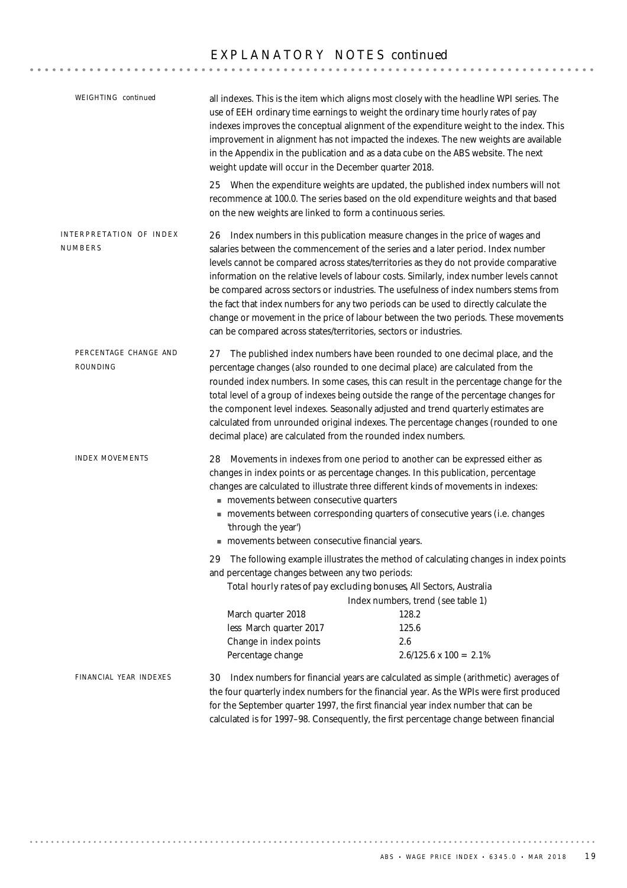| WEIGHTING continued                | weight update will occur in the December quarter 2018.                                                                                                                                                                                                    | all indexes. This is the item which aligns most closely with the headline WPI series. The<br>use of EEH ordinary time earnings to weight the ordinary time hourly rates of pay<br>indexes improves the conceptual alignment of the expenditure weight to the index. This<br>improvement in alignment has not impacted the indexes. The new weights are available<br>in the Appendix in the publication and as a data cube on the ABS website. The next                                                                                                                                                                        |  |  |
|------------------------------------|-----------------------------------------------------------------------------------------------------------------------------------------------------------------------------------------------------------------------------------------------------------|-------------------------------------------------------------------------------------------------------------------------------------------------------------------------------------------------------------------------------------------------------------------------------------------------------------------------------------------------------------------------------------------------------------------------------------------------------------------------------------------------------------------------------------------------------------------------------------------------------------------------------|--|--|
|                                    | on the new weights are linked to form a continuous series.                                                                                                                                                                                                | 25 When the expenditure weights are updated, the published index numbers will not<br>recommence at 100.0. The series based on the old expenditure weights and that based                                                                                                                                                                                                                                                                                                                                                                                                                                                      |  |  |
| INTERPRETATION OF INDEX<br>NUMBERS | 26<br>can be compared across states/territories, sectors or industries.                                                                                                                                                                                   | Index numbers in this publication measure changes in the price of wages and<br>salaries between the commencement of the series and a later period. Index number<br>levels cannot be compared across states/territories as they do not provide comparative<br>information on the relative levels of labour costs. Similarly, index number levels cannot<br>be compared across sectors or industries. The usefulness of index numbers stems from<br>the fact that index numbers for any two periods can be used to directly calculate the<br>change or movement in the price of labour between the two periods. These movements |  |  |
| PERCENTAGE CHANGE AND<br>ROUNDING  | 27<br>decimal place) are calculated from the rounded index numbers.                                                                                                                                                                                       | The published index numbers have been rounded to one decimal place, and the<br>percentage changes (also rounded to one decimal place) are calculated from the<br>rounded index numbers. In some cases, this can result in the percentage change for the<br>total level of a group of indexes being outside the range of the percentage changes for<br>the component level indexes. Seasonally adjusted and trend quarterly estimates are<br>calculated from unrounded original indexes. The percentage changes (rounded to one                                                                                                |  |  |
| <b>INDEX MOVEMENTS</b>             | movements between consecutive quarters<br>'through the year')<br>movements between consecutive financial years.                                                                                                                                           | 28 Movements in indexes from one period to another can be expressed either as<br>changes in index points or as percentage changes. In this publication, percentage<br>changes are calculated to illustrate three different kinds of movements in indexes:<br>movements between corresponding quarters of consecutive years (i.e. changes                                                                                                                                                                                                                                                                                      |  |  |
|                                    | The following example illustrates the method of calculating changes in index points<br>29<br>and percentage changes between any two periods:<br>Total hourly rates of pay excluding bonuses, All Sectors, Australia<br>Index numbers, trend (see table 1) |                                                                                                                                                                                                                                                                                                                                                                                                                                                                                                                                                                                                                               |  |  |
|                                    | March quarter 2018<br>less March quarter 2017<br>Change in index points                                                                                                                                                                                   | 128.2<br>125.6<br>2.6                                                                                                                                                                                                                                                                                                                                                                                                                                                                                                                                                                                                         |  |  |
|                                    | Percentage change                                                                                                                                                                                                                                         | $2.6/125.6 \times 100 = 2.1\%$                                                                                                                                                                                                                                                                                                                                                                                                                                                                                                                                                                                                |  |  |
| FINANCIAL YEAR INDEXES             |                                                                                                                                                                                                                                                           | 30 Index numbers for financial years are calculated as simple (arithmetic) averages of<br>the four quarterly index numbers for the financial year. As the WPIs were first produced<br>for the September quarter 1997, the first financial year index number that can be<br>calculated is for 1997-98. Consequently, the first percentage change between financial                                                                                                                                                                                                                                                             |  |  |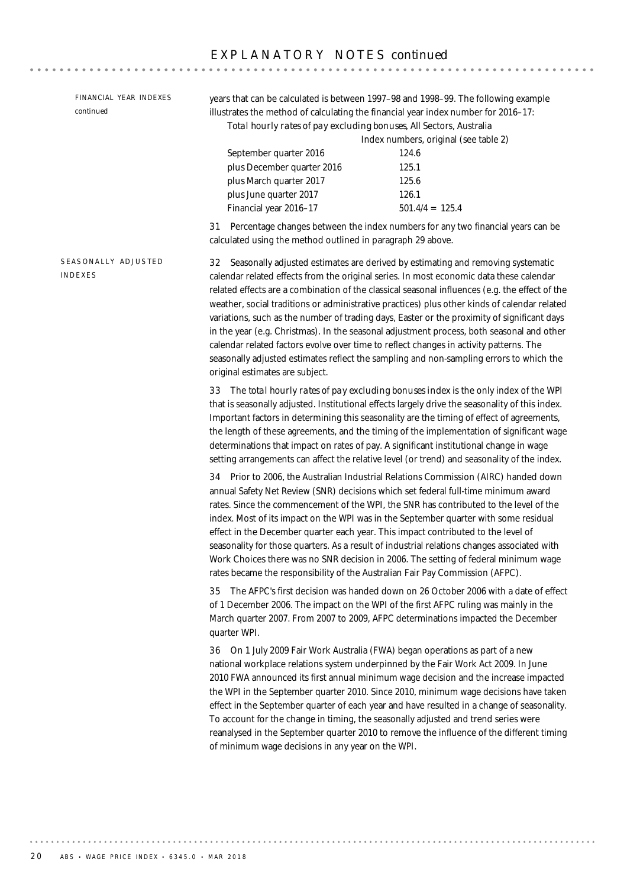32 Seasonally adjusted estimates are derived by estimating and removing systematic calendar related effects from the original series. In most economic data these calendar related effects are a combination of the classical seasonal influences (e.g. the effect of the weather, social traditions or administrative practices) plus other kinds of calendar related variations, such as the number of trading days, Easter or the proximity of significant days in the year (e.g. Christmas). In the seasonal adjustment process, both seasonal and other calendar related factors evolve over time to reflect changes in activity patterns. The seasonally adjusted estimates reflect the sampling and non-sampling errors to which the original estimates are subject. 33 The *total hourly rates of pay excluding bonuses index* is the only index of the WPI that is seasonally adjusted. Institutional effects largely drive the seasonality of this index. Important factors in determining this seasonality are the timing of effect of agreements, the length of these agreements, and the timing of the implementation of significant wage determinations that impact on rates of pay. A significant institutional change in wage setting arrangements can affect the relative level (or trend) and seasonality of the index. 34 Prior to 2006, the Australian Industrial Relations Commission (AIRC) handed down annual Safety Net Review (SNR) decisions which set federal full-time minimum award rates. Since the commencement of the WPI, the SNR has contributed to the level of the index. Most of its impact on the WPI was in the September quarter with some residual effect in the December quarter each year. This impact contributed to the level of seasonality for those quarters. As a result of industrial relations changes associated with Work Choices there was no SNR decision in 2006. The setting of federal minimum wage rates became the responsibility of the Australian Fair Pay Commission (AFPC). 35 The AFPC's first decision was handed down on 26 October 2006 with a date of effect of 1 December 2006. The impact on the WPI of the first AFPC ruling was mainly in the March quarter 2007. From 2007 to 2009, AFPC determinations impacted the December quarter WPI. 36 On 1 July 2009 Fair Work Australia (FWA) began operations as part of a new national workplace relations system underpinned by the Fair Work Act 2009. In June 2010 FWA announced its first annual minimum wage decision and the increase impacted the WPI in the September quarter 2010. Since 2010, minimum wage decisions have taken effect in the September quarter of each year and have resulted in a change of seasonality. To account for the change in timing, the seasonally adjusted and trend series were reanalysed in the September quarter 2010 to remove the influence of the different timing of minimum wage decisions in any year on the WPI. SEASONALLY ADJUSTED INDEXES years that can be calculated is between 1997–98 and 1998–99. The following example illustrates the method of calculating the financial year index number for 2016–17: *Total hourly rates of pay excluding bonuses*, All Sectors, Australia Index numbers, original (see table 2) September quarter 2016 124.6 plus December quarter 2016 125.1 *plus* March quarter 2017 125.6 *plus* June quarter 2017 126.1 Financial year 2016–17 501.4/4 = 125.4 31 Percentage changes between the index numbers for any two financial years can be calculated using the method outlined in paragraph 29 above. *FINANCIAL YEAR INDEXES continued*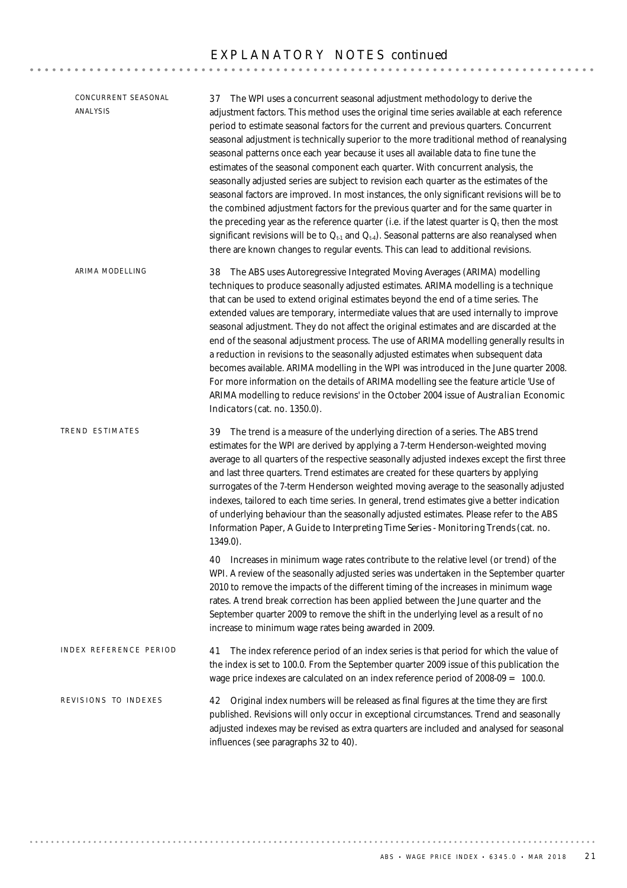| CONCURRENT SEASONAL<br><b>ANALYSIS</b> | 37 The WPI uses a concurrent seasonal adjustment methodology to derive the<br>adjustment factors. This method uses the original time series available at each reference<br>period to estimate seasonal factors for the current and previous quarters. Concurrent<br>seasonal adjustment is technically superior to the more traditional method of reanalysing<br>seasonal patterns once each year because it uses all available data to fine tune the<br>estimates of the seasonal component each quarter. With concurrent analysis, the<br>seasonally adjusted series are subject to revision each quarter as the estimates of the<br>seasonal factors are improved. In most instances, the only significant revisions will be to<br>the combined adjustment factors for the previous quarter and for the same quarter in<br>the preceding year as the reference quarter (i.e. if the latest quarter is $Q_t$ then the most<br>significant revisions will be to $Q_{t-1}$ and $Q_{t-4}$ ). Seasonal patterns are also reanalysed when<br>there are known changes to regular events. This can lead to additional revisions. |
|----------------------------------------|-----------------------------------------------------------------------------------------------------------------------------------------------------------------------------------------------------------------------------------------------------------------------------------------------------------------------------------------------------------------------------------------------------------------------------------------------------------------------------------------------------------------------------------------------------------------------------------------------------------------------------------------------------------------------------------------------------------------------------------------------------------------------------------------------------------------------------------------------------------------------------------------------------------------------------------------------------------------------------------------------------------------------------------------------------------------------------------------------------------------------------|
| ARIMA MODELLING                        | 38 The ABS uses Autoregressive Integrated Moving Averages (ARIMA) modelling<br>techniques to produce seasonally adjusted estimates. ARIMA modelling is a technique<br>that can be used to extend original estimates beyond the end of a time series. The<br>extended values are temporary, intermediate values that are used internally to improve<br>seasonal adjustment. They do not affect the original estimates and are discarded at the<br>end of the seasonal adjustment process. The use of ARIMA modelling generally results in<br>a reduction in revisions to the seasonally adjusted estimates when subsequent data<br>becomes available. ARIMA modelling in the WPI was introduced in the June quarter 2008.<br>For more information on the details of ARIMA modelling see the feature article 'Use of<br>ARIMA modelling to reduce revisions' in the October 2004 issue of Australian Economic<br>Indicators (cat. no. 1350.0).                                                                                                                                                                                |
| TREND ESTIMATES                        | 39 The trend is a measure of the underlying direction of a series. The ABS trend<br>estimates for the WPI are derived by applying a 7-term Henderson-weighted moving<br>average to all quarters of the respective seasonally adjusted indexes except the first three<br>and last three quarters. Trend estimates are created for these quarters by applying<br>surrogates of the 7-term Henderson weighted moving average to the seasonally adjusted<br>indexes, tailored to each time series. In general, trend estimates give a better indication<br>of underlying behaviour than the seasonally adjusted estimates. Please refer to the ABS<br>Information Paper, A Guide to Interpreting Time Series - Monitoring Trends (cat. no.<br>1349.0).                                                                                                                                                                                                                                                                                                                                                                          |
|                                        | 40 Increases in minimum wage rates contribute to the relative level (or trend) of the<br>WPI. A review of the seasonally adjusted series was undertaken in the September quarter<br>2010 to remove the impacts of the different timing of the increases in minimum wage<br>rates. A trend break correction has been applied between the June quarter and the<br>September quarter 2009 to remove the shift in the underlying level as a result of no<br>increase to minimum wage rates being awarded in 2009.                                                                                                                                                                                                                                                                                                                                                                                                                                                                                                                                                                                                               |
| INDEX REFERENCE PERIOD                 | The index reference period of an index series is that period for which the value of<br>41<br>the index is set to 100.0. From the September quarter 2009 issue of this publication the<br>wage price indexes are calculated on an index reference period of $2008-09 = 100.0$ .                                                                                                                                                                                                                                                                                                                                                                                                                                                                                                                                                                                                                                                                                                                                                                                                                                              |
| REVISIONS TO INDEXES                   | Original index numbers will be released as final figures at the time they are first<br>42<br>published. Revisions will only occur in exceptional circumstances. Trend and seasonally<br>adjusted indexes may be revised as extra quarters are included and analysed for seasonal<br>influences (see paragraphs 32 to 40).                                                                                                                                                                                                                                                                                                                                                                                                                                                                                                                                                                                                                                                                                                                                                                                                   |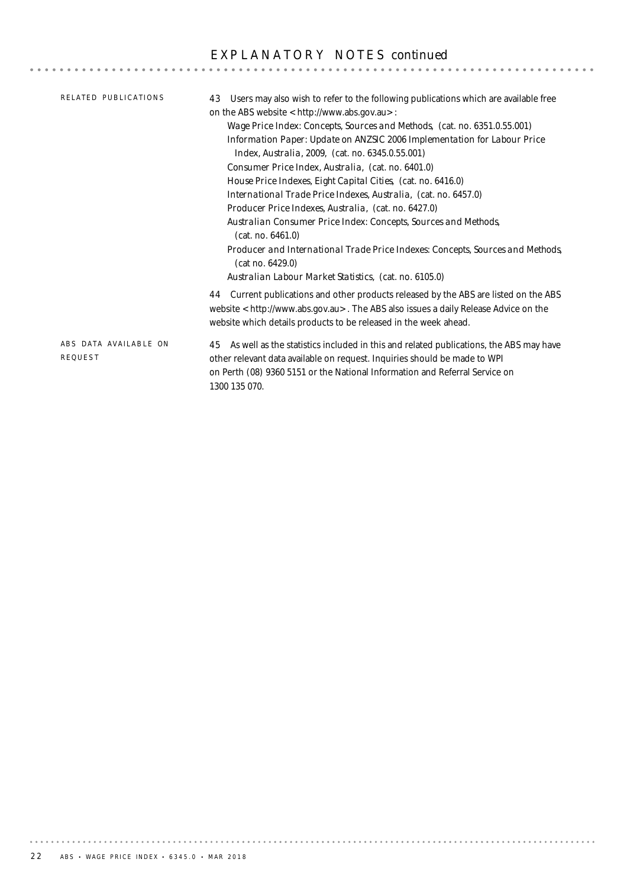| RELATED PUBLICATIONS                    | Users may also wish to refer to the following publications which are available free<br>43<br>on the ABS website <http: www.abs.gov.au="">:<br/>Wage Price Index: Concepts, Sources and Methods, (cat. no. 6351.0.55.001)<br/>Information Paper: Update on ANZSIC 2006 Implementation for Labour Price<br/>Index, Australia, 2009, (cat. no. 6345.0.55.001)<br/>Consumer Price Index, Australia, (cat. no. 6401.0)<br/>House Price Indexes, Eight Capital Cities, (cat. no. 6416.0)<br/>International Trade Price Indexes, Australia, (cat. no. 6457.0)<br/><i>Producer Price Indexes, Australia,</i> (cat. no. 6427.0)<br/>Australian Consumer Price Index: Concepts, Sources and Methods,<br/>(cat. no. 6461.0)<br/>Producer and International Trade Price Indexes: Concepts, Sources and Methods,<br/>(cat no. 6429.0)<br/>Australian Labour Market Statistics, (cat. no. 6105.0)</http:> |
|-----------------------------------------|---------------------------------------------------------------------------------------------------------------------------------------------------------------------------------------------------------------------------------------------------------------------------------------------------------------------------------------------------------------------------------------------------------------------------------------------------------------------------------------------------------------------------------------------------------------------------------------------------------------------------------------------------------------------------------------------------------------------------------------------------------------------------------------------------------------------------------------------------------------------------------------------|
|                                         | 44 Current publications and other products released by the ABS are listed on the ABS<br>website <http: www.abs.gov.au="">. The ABS also issues a daily Release Advice on the<br/>website which details products to be released in the week ahead.</http:>                                                                                                                                                                                                                                                                                                                                                                                                                                                                                                                                                                                                                                   |
| ABS DATA AVAILABLE ON<br><b>REQUEST</b> | As well as the statistics included in this and related publications, the ABS may have<br>45<br>other relevant data available on request. Inquiries should be made to WPI<br>on Perth (08) 9360 5151 or the National Information and Referral Service on<br>1300 135 070.                                                                                                                                                                                                                                                                                                                                                                                                                                                                                                                                                                                                                    |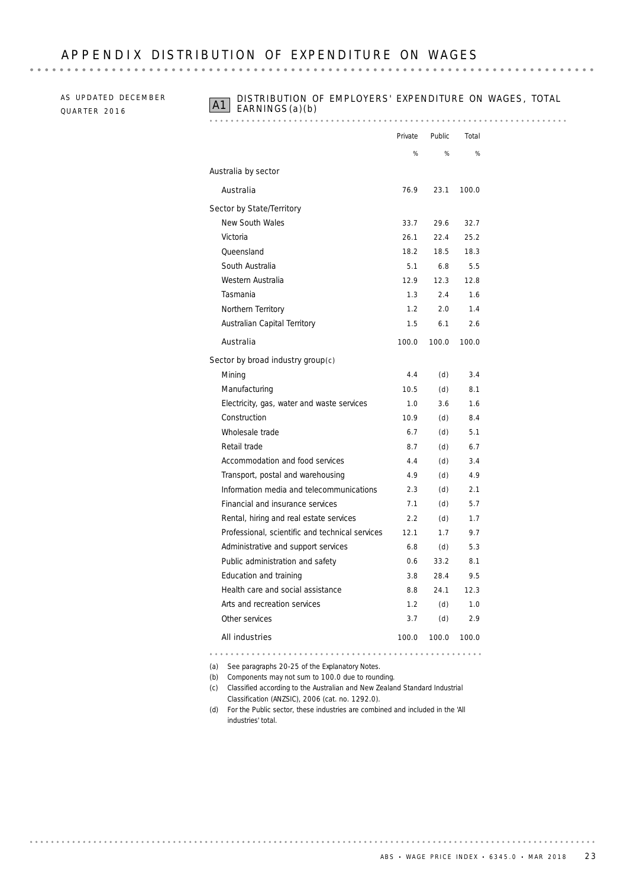## APPENDIX DISTRIBUTION OF FXPENDITURE ON WAGES

AS UPDATED DECEMBER QUARTER 2016

# **A1** DISTRIBUTION OF EMPLOYERS' EXPENDITURE ON WAGES, TOTAL EARNINGS(a)(b)

### 

|                                                 | Private | Public | Total |
|-------------------------------------------------|---------|--------|-------|
|                                                 | %       | %      | %     |
| Australia by sector                             |         |        |       |
| Australia                                       | 76.9    | 23.1   | 100.0 |
| Sector by State/Territory                       |         |        |       |
| <b>New South Wales</b>                          | 33.7    | 29.6   | 32.7  |
| Victoria                                        | 26.1    | 22.4   | 25.2  |
| Queensland                                      | 18.2    | 18.5   | 18.3  |
| South Australia                                 | 5.1     | 6.8    | 5.5   |
| Western Australia                               | 12.9    | 12.3   | 12.8  |
| Tasmania                                        | 1.3     | 2.4    | 1.6   |
| Northern Territory                              | 1.2     | 2.0    | 1.4   |
| Australian Capital Territory                    | 1.5     | 6.1    | 2.6   |
| Australia                                       | 100.0   | 100.0  | 100.0 |
| Sector by broad industry group $(c)$            |         |        |       |
| Mining                                          | 4.4     | (d)    | 3.4   |
| Manufacturing                                   | 10.5    | (d)    | 8.1   |
| Electricity, gas, water and waste services      | 1.0     | 3.6    | 1.6   |
| Construction                                    | 10.9    | (d)    | 8.4   |
| Wholesale trade                                 | 6.7     | (d)    | 5.1   |
| Retail trade                                    | 8.7     | (d)    | 6.7   |
| Accommodation and food services                 | 4.4     | (d)    | 3.4   |
| Transport, postal and warehousing               | 4.9     | (d)    | 4.9   |
| Information media and telecommunications        | 2.3     | (d)    | 2.1   |
| Financial and insurance services                | 7.1     | (d)    | 5.7   |
| Rental, hiring and real estate services         | 2.2     | (d)    | 1.7   |
| Professional, scientific and technical services | 12.1    | 1.7    | 9.7   |
| Administrative and support services             | 6.8     | (d)    | 5.3   |
| Public administration and safety                | 0.6     | 33.2   | 8.1   |
| Education and training                          | 3.8     | 28.4   | 9.5   |
| Health care and social assistance               | 8.8     | 24.1   | 12.3  |
| Arts and recreation services                    | 1.2     | (d)    | 1.0   |
| Other services                                  | 3.7     | (d)    | 2.9   |
| <b>All industries</b>                           | 100.0   | 100.0  | 100.0 |

(a) See paragraphs 20-25 of the Explanatory Notes.

(b) Components may not sum to 100.0 due to rounding.

- (c) Classified according to the *Australian and New Zealand Standard Industrial Classification (ANZSIC), 2006* (cat. no. 1292.0).
- (d) For the Public sector, these industries are combined and included in the 'All industries' total.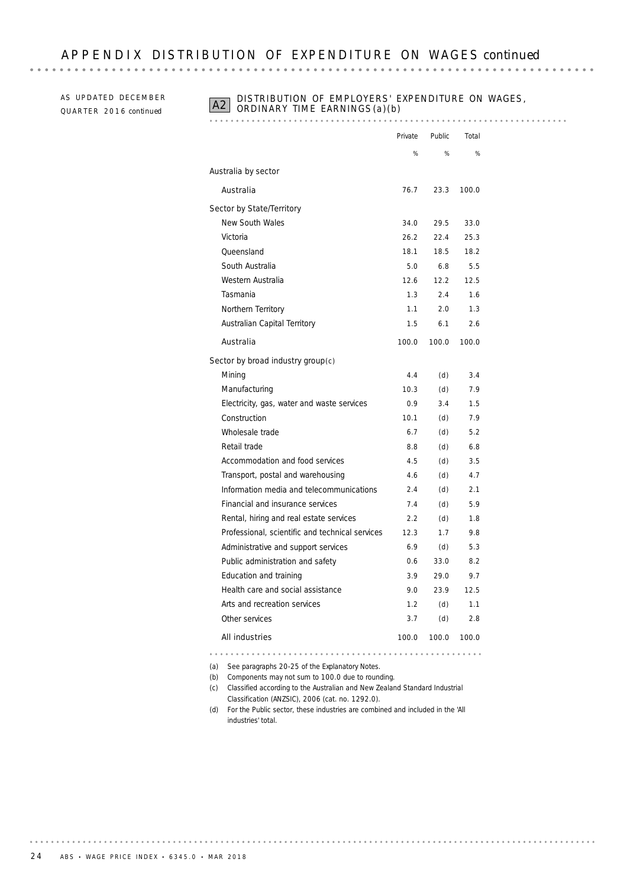AS UPDATED DECEMBER QU A R T E R 20 1 6 *continued*

# **A2** DISTRIBUTION OF EMPLOYERS' EXPENDITURE ON WAGES, ORDINARY TIME EARNINGS (a)(b)

|                                                 | Private | Public            | Total         |
|-------------------------------------------------|---------|-------------------|---------------|
|                                                 | %       | %                 | $\frac{1}{2}$ |
| Australia by sector                             |         |                   |               |
| Australia                                       | 76.7    | 23.3              | 100.0         |
| Sector by State/Territory                       |         |                   |               |
| New South Wales                                 | 34.0    | 29.5              | 33.0          |
| Victoria                                        | 26.2    | 22.4              | 25.3          |
| Oueensland                                      | 18.1    | 18.5              | 18.2          |
| South Australia                                 | 5.0     | 6.8               | 5.5           |
| Western Australia                               | 12.6    | 12.2 <sub>1</sub> | 12.5          |
| Tasmania                                        | 1.3     | 24                | 1.6           |
| Northern Territory                              | 1.1     | 2.0               | 1.3           |
| Australian Capital Territory                    | 1.5     | 61                | 26            |
| Australia                                       | 100.0   | 100.0             | 100.0         |
| Sector by broad industry group $(c)$            |         |                   |               |
| Mining                                          | 4.4     | (d)               | 3.4           |
| Manufacturing                                   | 10.3    | (d)               | 7.9           |
| Electricity, gas, water and waste services      | 0.9     | 3.4               | 1.5           |
| Construction                                    | 10.1    | (d)               | 7.9           |
| Wholesale trade                                 | 6.7     | (d)               | 5.2           |
| Retail trade                                    | 8.8     | (d)               | 6.8           |
| Accommodation and food services                 | 4.5     | (d)               | 3.5           |
| Transport, postal and warehousing               | 4.6     | (d)               | 4.7           |
| Information media and telecommunications        | 2.4     | (d)               | 2.1           |
| Financial and insurance services                | 7.4     | (d)               | 5.9           |
| Rental, hiring and real estate services         | 2.2     | (d)               | 1.8           |
| Professional, scientific and technical services | 12.3    | 1.7               | 9.8           |
| Administrative and support services             | 6.9     | (d)               | 5.3           |
| Public administration and safety                | 0.6     | 33.0              | 8.2           |
| Education and training                          | 3.9     | 29.0              | 9.7           |
| Health care and social assistance               | 9.0     | 23.9              | 12.5          |
| Arts and recreation services                    | 1.2     | (d)               | 1.1           |
| Other services                                  | 3.7     | (d)               | 2.8           |
| <b>All industries</b>                           | 100.0   | 100.0             | 100.0         |

(a) See paragraphs 20-25 of the Explanatory Notes.

(b) Components may not sum to 100.0 due to rounding.

- (c) Classified according to the *Australian and New Zealand Standard Industrial Classification (ANZSIC), 2006* (cat. no. 1292.0).
- (d) For the Public sector, these industries are combined and included in the 'All industries' total.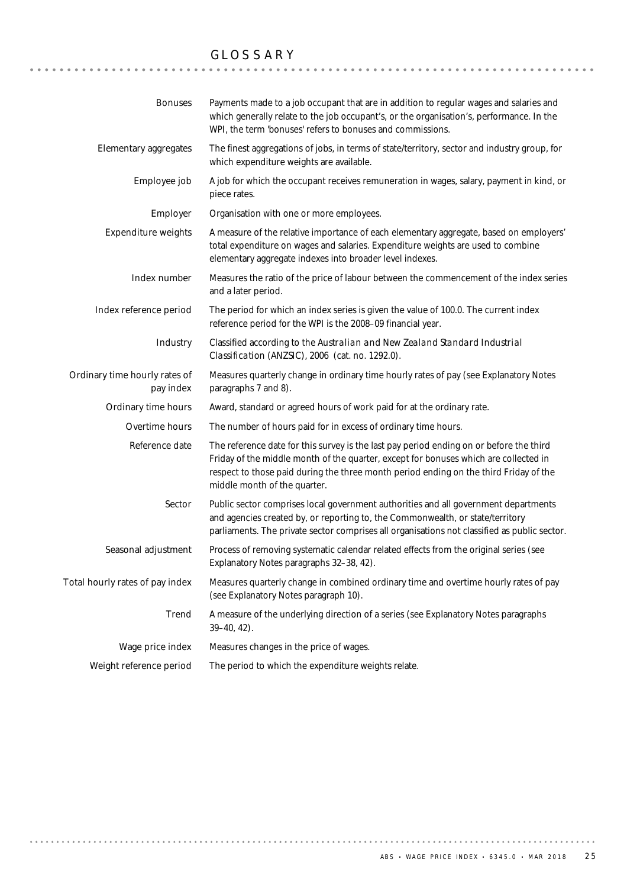# GLOSSARY

| <b>Bonuses</b>                             | Payments made to a job occupant that are in addition to regular wages and salaries and<br>which generally relate to the job occupant's, or the organisation's, performance. In the<br>WPI, the term 'bonuses' refers to bonuses and commissions.                                                         |
|--------------------------------------------|----------------------------------------------------------------------------------------------------------------------------------------------------------------------------------------------------------------------------------------------------------------------------------------------------------|
| Elementary aggregates                      | The finest aggregations of jobs, in terms of state/territory, sector and industry group, for<br>which expenditure weights are available.                                                                                                                                                                 |
| Employee job                               | A job for which the occupant receives remuneration in wages, salary, payment in kind, or<br>piece rates.                                                                                                                                                                                                 |
| Employer                                   | Organisation with one or more employees.                                                                                                                                                                                                                                                                 |
| <b>Expenditure weights</b>                 | A measure of the relative importance of each elementary aggregate, based on employers'<br>total expenditure on wages and salaries. Expenditure weights are used to combine<br>elementary aggregate indexes into broader level indexes.                                                                   |
| Index number                               | Measures the ratio of the price of labour between the commencement of the index series<br>and a later period.                                                                                                                                                                                            |
| Index reference period                     | The period for which an index series is given the value of 100.0. The current index<br>reference period for the WPI is the 2008-09 financial year.                                                                                                                                                       |
| Industry                                   | Classified according to the Australian and New Zealand Standard Industrial<br>Classification (ANZSIC), 2006 (cat. no. 1292.0).                                                                                                                                                                           |
| Ordinary time hourly rates of<br>pay index | Measures quarterly change in ordinary time hourly rates of pay (see Explanatory Notes<br>paragraphs 7 and 8).                                                                                                                                                                                            |
| Ordinary time hours                        | Award, standard or agreed hours of work paid for at the ordinary rate.                                                                                                                                                                                                                                   |
| Overtime hours                             | The number of hours paid for in excess of ordinary time hours.                                                                                                                                                                                                                                           |
| Reference date                             | The reference date for this survey is the last pay period ending on or before the third<br>Friday of the middle month of the quarter, except for bonuses which are collected in<br>respect to those paid during the three month period ending on the third Friday of the<br>middle month of the quarter. |
| Sector                                     | Public sector comprises local government authorities and all government departments<br>and agencies created by, or reporting to, the Commonwealth, or state/territory<br>parliaments. The private sector comprises all organisations not classified as public sector.                                    |
| Seasonal adjustment                        | Process of removing systematic calendar related effects from the original series (see<br>Explanatory Notes paragraphs 32-38, 42).                                                                                                                                                                        |
| Total hourly rates of pay index            | Measures quarterly change in combined ordinary time and overtime hourly rates of pay<br>(see Explanatory Notes paragraph 10).                                                                                                                                                                            |
| Trend                                      | A measure of the underlying direction of a series (see Explanatory Notes paragraphs<br>$39 - 40, 42$ ).                                                                                                                                                                                                  |
| Wage price index                           | Measures changes in the price of wages.                                                                                                                                                                                                                                                                  |
| Weight reference period                    | The period to which the expenditure weights relate.                                                                                                                                                                                                                                                      |